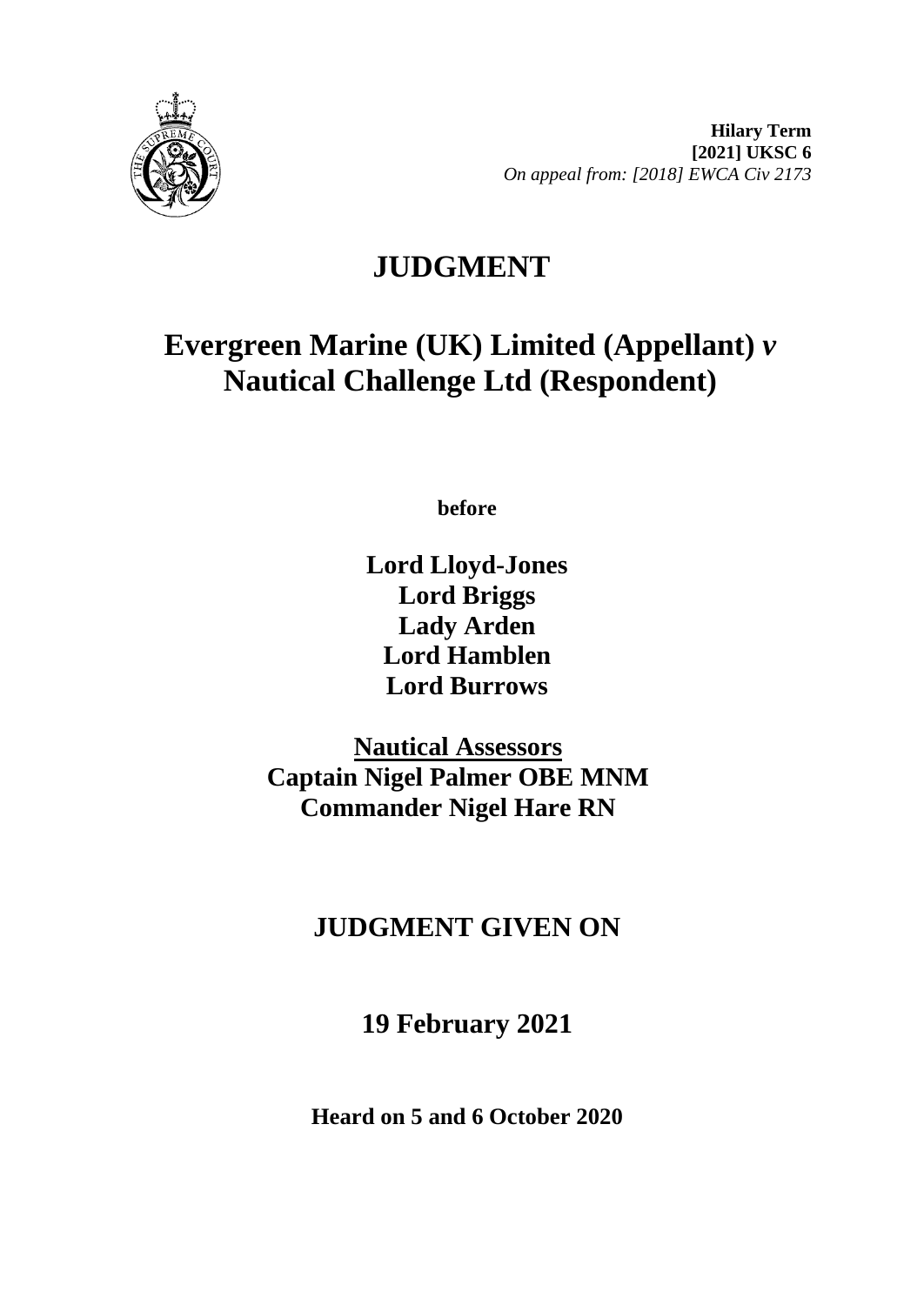

# **JUDGMENT**

## **Evergreen Marine (UK) Limited (Appellant)** *v* **Nautical Challenge Ltd (Respondent)**

**before** 

**Lord Lloyd-Jones Lord Briggs Lady Arden Lord Hamblen Lord Burrows**

**Nautical Assessors Captain Nigel Palmer OBE MNM Commander Nigel Hare RN**

## **JUDGMENT GIVEN ON**

**19 February 2021**

**Heard on 5 and 6 October 2020**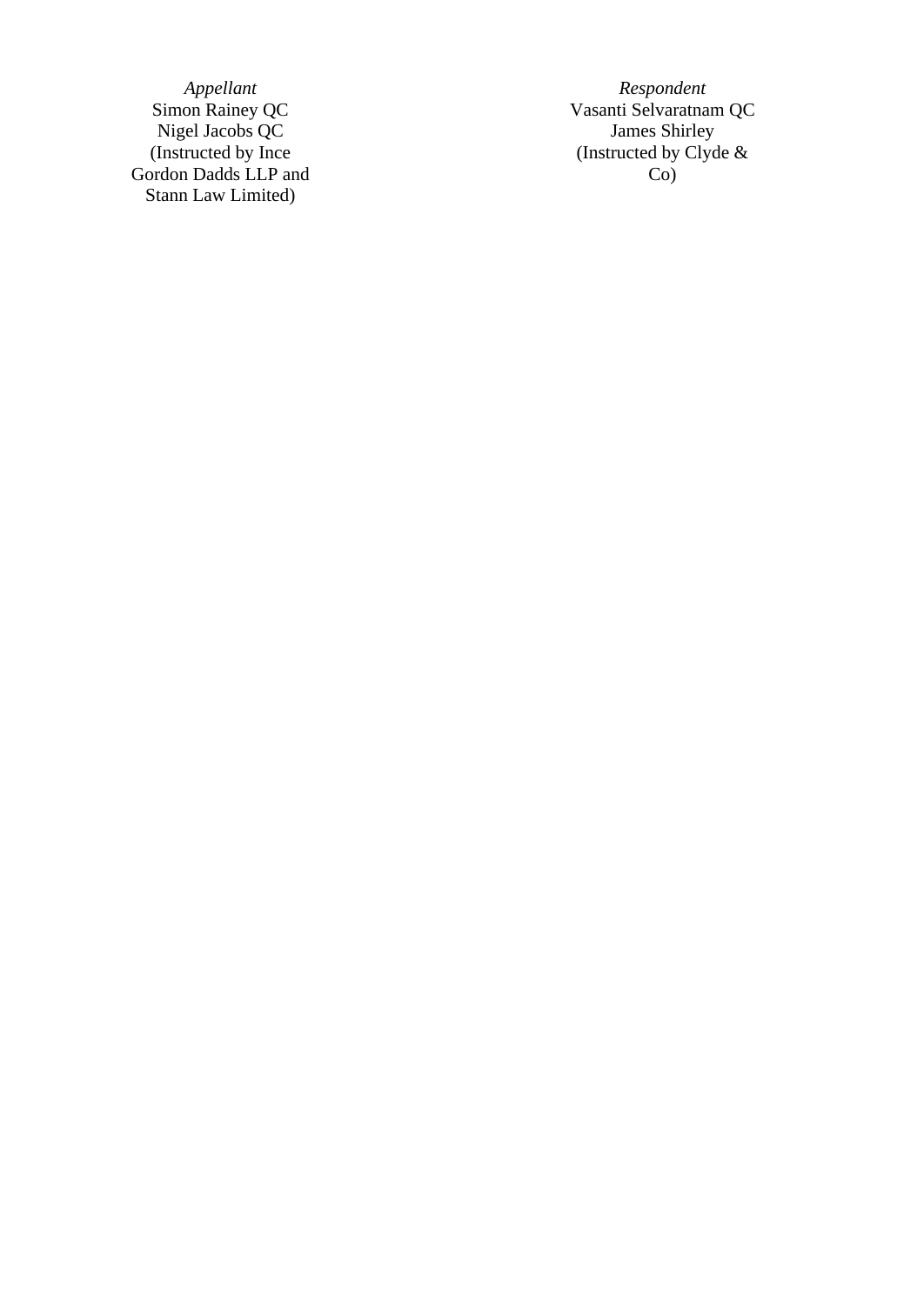Nigel Jacobs QC James Shirley Simon Rainey QC<br>Nigel Jacobs QC<br>(Instructed by Ince Gordon Dadds LLP and Stann Law Limited )

*Appellant Respondent* Simon Rainey QC **Vasanti Selvaratnam QC** (Instructed by Clyde & Co )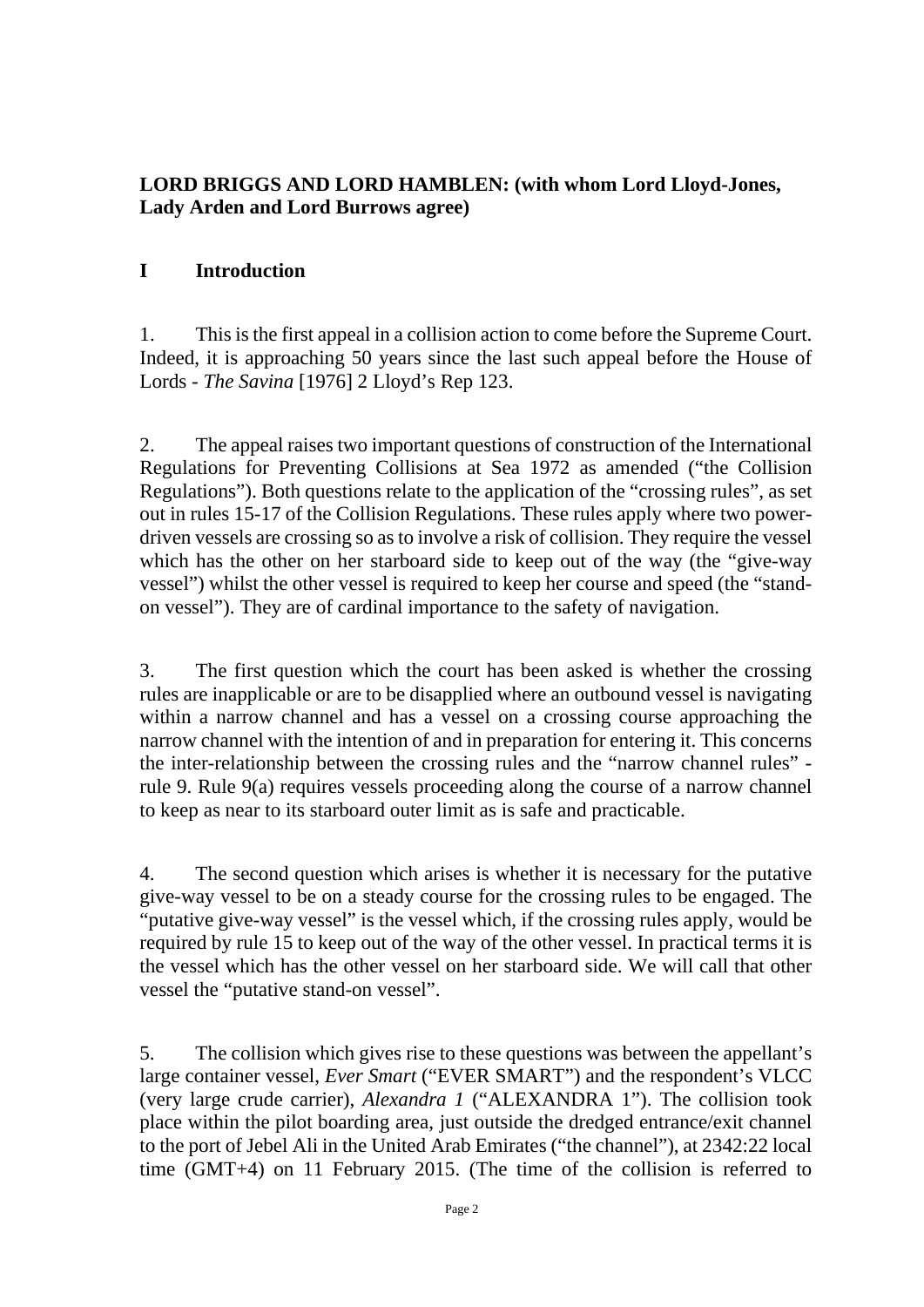## **LORD BRIGGS AND LORD HAMBLEN: (with whom Lord Lloyd-Jones, Lady Arden and Lord Burrows agree)**

## **I Introduction**

1. This is the first appeal in a collision action to come before the Supreme Court. Indeed, it is approaching 50 years since the last such appeal before the House of Lords - *The Savina* [1976] 2 Lloyd's Rep 123.

2. The appeal raises two important questions of construction of the International Regulations for Preventing Collisions at Sea 1972 as amended ("the Collision Regulations"). Both questions relate to the application of the "crossing rules", as set out in rules 15-17 of the Collision Regulations. These rules apply where two powerdriven vessels are crossing so as to involve a risk of collision. They require the vessel which has the other on her starboard side to keep out of the way (the "give-way vessel") whilst the other vessel is required to keep her course and speed (the "standon vessel"). They are of cardinal importance to the safety of navigation.

3. The first question which the court has been asked is whether the crossing rules are inapplicable or are to be disapplied where an outbound vessel is navigating within a narrow channel and has a vessel on a crossing course approaching the narrow channel with the intention of and in preparation for entering it. This concerns the inter-relationship between the crossing rules and the "narrow channel rules" rule 9. Rule 9(a) requires vessels proceeding along the course of a narrow channel to keep as near to its starboard outer limit as is safe and practicable.

4. The second question which arises is whether it is necessary for the putative give-way vessel to be on a steady course for the crossing rules to be engaged. The "putative give-way vessel" is the vessel which, if the crossing rules apply, would be required by rule 15 to keep out of the way of the other vessel. In practical terms it is the vessel which has the other vessel on her starboard side. We will call that other vessel the "putative stand-on vessel".

5. The collision which gives rise to these questions was between the appellant's large container vessel, *Ever Smart* ("EVER SMART") and the respondent's VLCC (very large crude carrier), *Alexandra 1* ("ALEXANDRA 1"). The collision took place within the pilot boarding area, just outside the dredged entrance/exit channel to the port of Jebel Ali in the United Arab Emirates ("the channel"), at 2342:22 local time (GMT+4) on 11 February 2015. (The time of the collision is referred to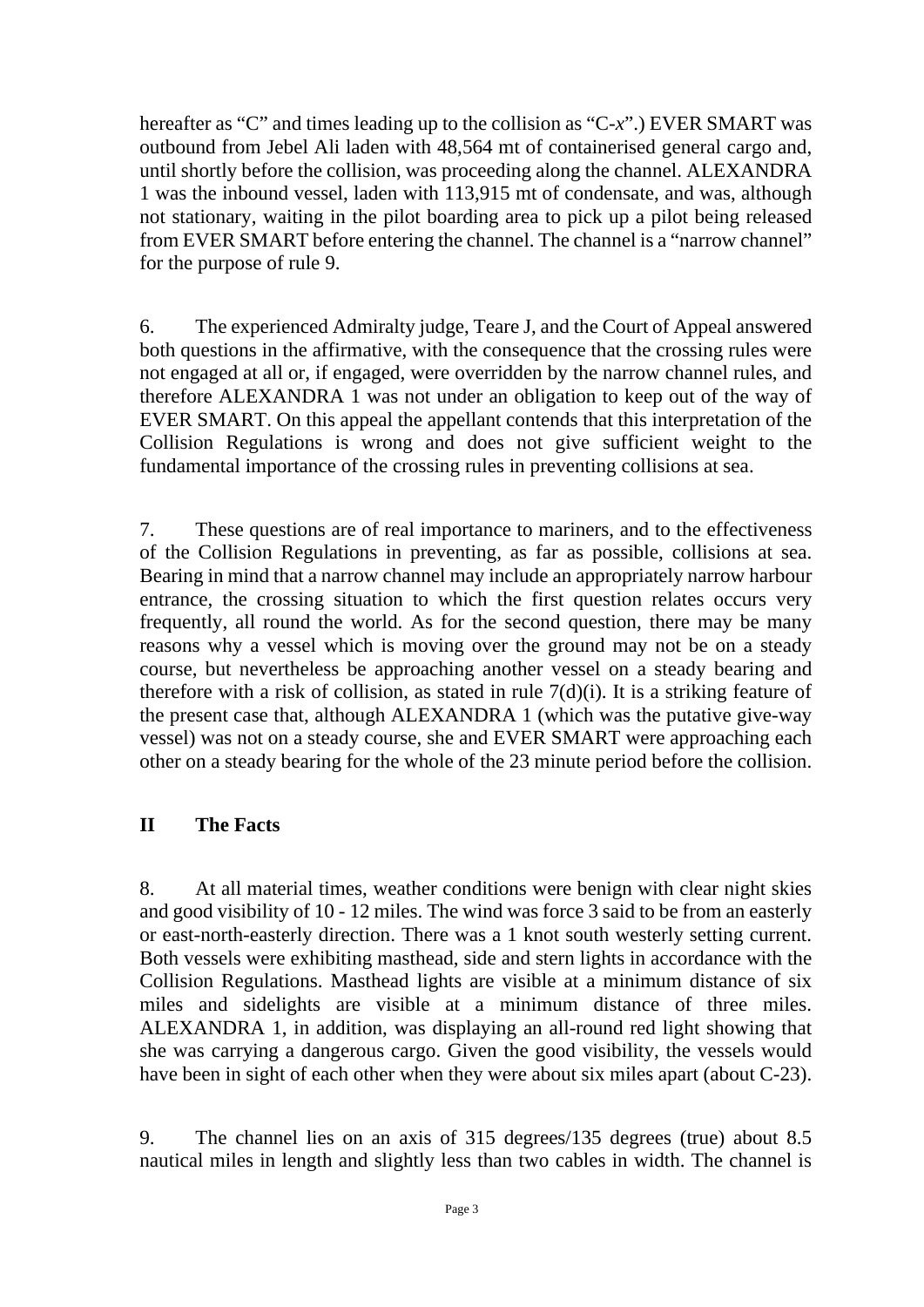hereafter as "C" and times leading up to the collision as "C-*x*".) EVER SMART was outbound from Jebel Ali laden with 48,564 mt of containerised general cargo and, until shortly before the collision, was proceeding along the channel. ALEXANDRA 1 was the inbound vessel, laden with 113,915 mt of condensate, and was, although not stationary, waiting in the pilot boarding area to pick up a pilot being released from EVER SMART before entering the channel. The channel is a "narrow channel" for the purpose of rule 9.

6. The experienced Admiralty judge, Teare J, and the Court of Appeal answered both questions in the affirmative, with the consequence that the crossing rules were not engaged at all or, if engaged, were overridden by the narrow channel rules, and therefore ALEXANDRA 1 was not under an obligation to keep out of the way of EVER SMART. On this appeal the appellant contends that this interpretation of the Collision Regulations is wrong and does not give sufficient weight to the fundamental importance of the crossing rules in preventing collisions at sea.

7. These questions are of real importance to mariners, and to the effectiveness of the Collision Regulations in preventing, as far as possible, collisions at sea. Bearing in mind that a narrow channel may include an appropriately narrow harbour entrance, the crossing situation to which the first question relates occurs very frequently, all round the world. As for the second question, there may be many reasons why a vessel which is moving over the ground may not be on a steady course, but nevertheless be approaching another vessel on a steady bearing and therefore with a risk of collision, as stated in rule  $7(d)(i)$ . It is a striking feature of the present case that, although ALEXANDRA 1 (which was the putative give-way vessel) was not on a steady course, she and EVER SMART were approaching each other on a steady bearing for the whole of the 23 minute period before the collision.

## **II The Facts**

8. At all material times, weather conditions were benign with clear night skies and good visibility of 10 - 12 miles. The wind was force 3 said to be from an easterly or east-north-easterly direction. There was a 1 knot south westerly setting current. Both vessels were exhibiting masthead, side and stern lights in accordance with the Collision Regulations. Masthead lights are visible at a minimum distance of six miles and sidelights are visible at a minimum distance of three miles. ALEXANDRA 1, in addition, was displaying an all-round red light showing that she was carrying a dangerous cargo. Given the good visibility, the vessels would have been in sight of each other when they were about six miles apart (about C-23).

9. The channel lies on an axis of 315 degrees/135 degrees (true) about 8.5 nautical miles in length and slightly less than two cables in width. The channel is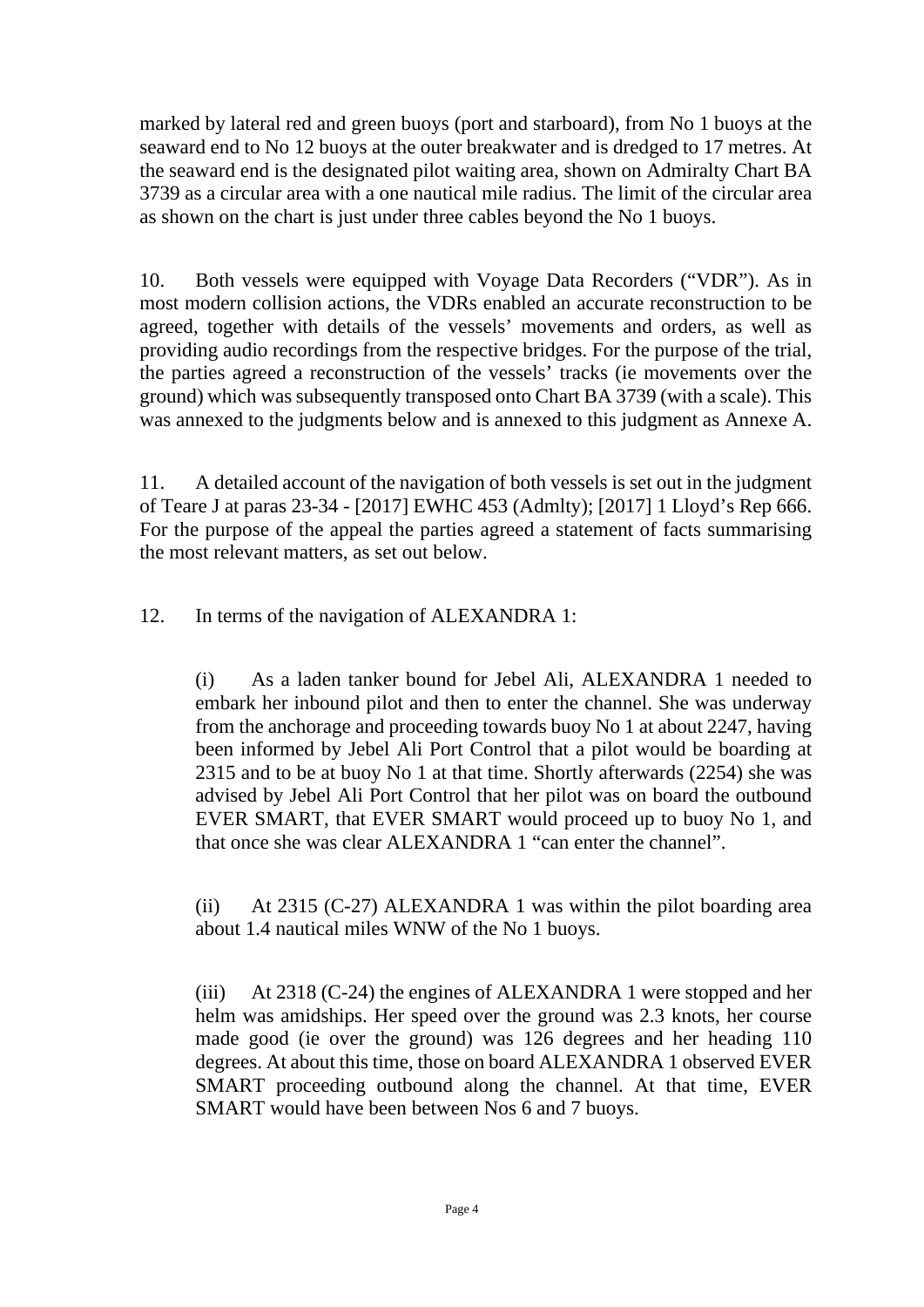marked by lateral red and green buoys (port and starboard), from No 1 buoys at the seaward end to No 12 buoys at the outer breakwater and is dredged to 17 metres. At the seaward end is the designated pilot waiting area, shown on Admiralty Chart BA 3739 as a circular area with a one nautical mile radius. The limit of the circular area as shown on the chart is just under three cables beyond the No 1 buoys.

10. Both vessels were equipped with Voyage Data Recorders ("VDR"). As in most modern collision actions, the VDRs enabled an accurate reconstruction to be agreed, together with details of the vessels' movements and orders, as well as providing audio recordings from the respective bridges. For the purpose of the trial, the parties agreed a reconstruction of the vessels' tracks (ie movements over the ground) which was subsequently transposed onto Chart BA 3739 (with a scale). This was annexed to the judgments below and is annexed to this judgment as Annexe A.

11. A detailed account of the navigation of both vessels is set out in the judgment of Teare J at paras 23-34 - [2017] EWHC 453 (Admlty); [2017] 1 Lloyd's Rep 666. For the purpose of the appeal the parties agreed a statement of facts summarising the most relevant matters, as set out below.

12. In terms of the navigation of ALEXANDRA 1:

(i) As a laden tanker bound for Jebel Ali, ALEXANDRA 1 needed to embark her inbound pilot and then to enter the channel. She was underway from the anchorage and proceeding towards buoy No 1 at about 2247, having been informed by Jebel Ali Port Control that a pilot would be boarding at 2315 and to be at buoy No 1 at that time. Shortly afterwards (2254) she was advised by Jebel Ali Port Control that her pilot was on board the outbound EVER SMART, that EVER SMART would proceed up to buoy No 1, and that once she was clear ALEXANDRA 1 "can enter the channel".

(ii) At 2315 (C-27) ALEXANDRA 1 was within the pilot boarding area about 1.4 nautical miles WNW of the No 1 buoys.

(iii) At 2318 (C-24) the engines of ALEXANDRA 1 were stopped and her helm was amidships. Her speed over the ground was 2.3 knots, her course made good (ie over the ground) was 126 degrees and her heading 110 degrees. At about this time, those on board ALEXANDRA 1 observed EVER SMART proceeding outbound along the channel. At that time, EVER SMART would have been between Nos 6 and 7 buoys.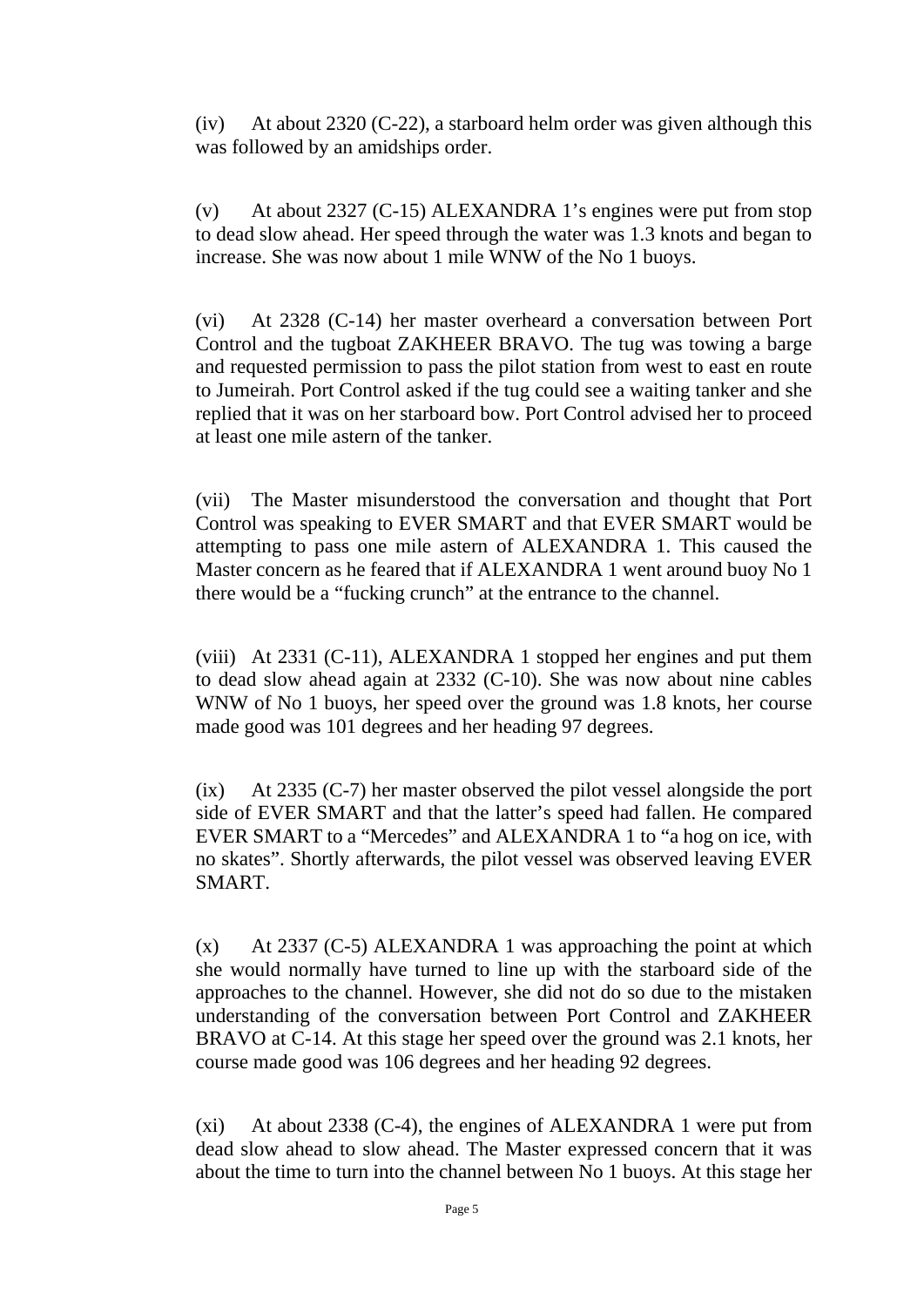(iv) At about 2320 (C-22), a starboard helm order was given although this was followed by an amidships order.

(v) At about 2327 (C-15) ALEXANDRA 1's engines were put from stop to dead slow ahead. Her speed through the water was 1.3 knots and began to increase. She was now about 1 mile WNW of the No 1 buoys.

(vi) At 2328 (C-14) her master overheard a conversation between Port Control and the tugboat ZAKHEER BRAVO. The tug was towing a barge and requested permission to pass the pilot station from west to east en route to Jumeirah. Port Control asked if the tug could see a waiting tanker and she replied that it was on her starboard bow. Port Control advised her to proceed at least one mile astern of the tanker.

(vii) The Master misunderstood the conversation and thought that Port Control was speaking to EVER SMART and that EVER SMART would be attempting to pass one mile astern of ALEXANDRA 1. This caused the Master concern as he feared that if ALEXANDRA 1 went around buoy No 1 there would be a "fucking crunch" at the entrance to the channel.

(viii) At 2331 (C-11), ALEXANDRA 1 stopped her engines and put them to dead slow ahead again at 2332 (C-10). She was now about nine cables WNW of No 1 buoys, her speed over the ground was 1.8 knots, her course made good was 101 degrees and her heading 97 degrees.

(ix) At 2335 (C-7) her master observed the pilot vessel alongside the port side of EVER SMART and that the latter's speed had fallen. He compared EVER SMART to a "Mercedes" and ALEXANDRA 1 to "a hog on ice, with no skates". Shortly afterwards, the pilot vessel was observed leaving EVER SMART.

(x) At 2337 (C-5) ALEXANDRA 1 was approaching the point at which she would normally have turned to line up with the starboard side of the approaches to the channel. However, she did not do so due to the mistaken understanding of the conversation between Port Control and ZAKHEER BRAVO at C-14. At this stage her speed over the ground was 2.1 knots, her course made good was 106 degrees and her heading 92 degrees.

(xi) At about 2338 (C-4), the engines of ALEXANDRA 1 were put from dead slow ahead to slow ahead. The Master expressed concern that it was about the time to turn into the channel between No 1 buoys. At this stage her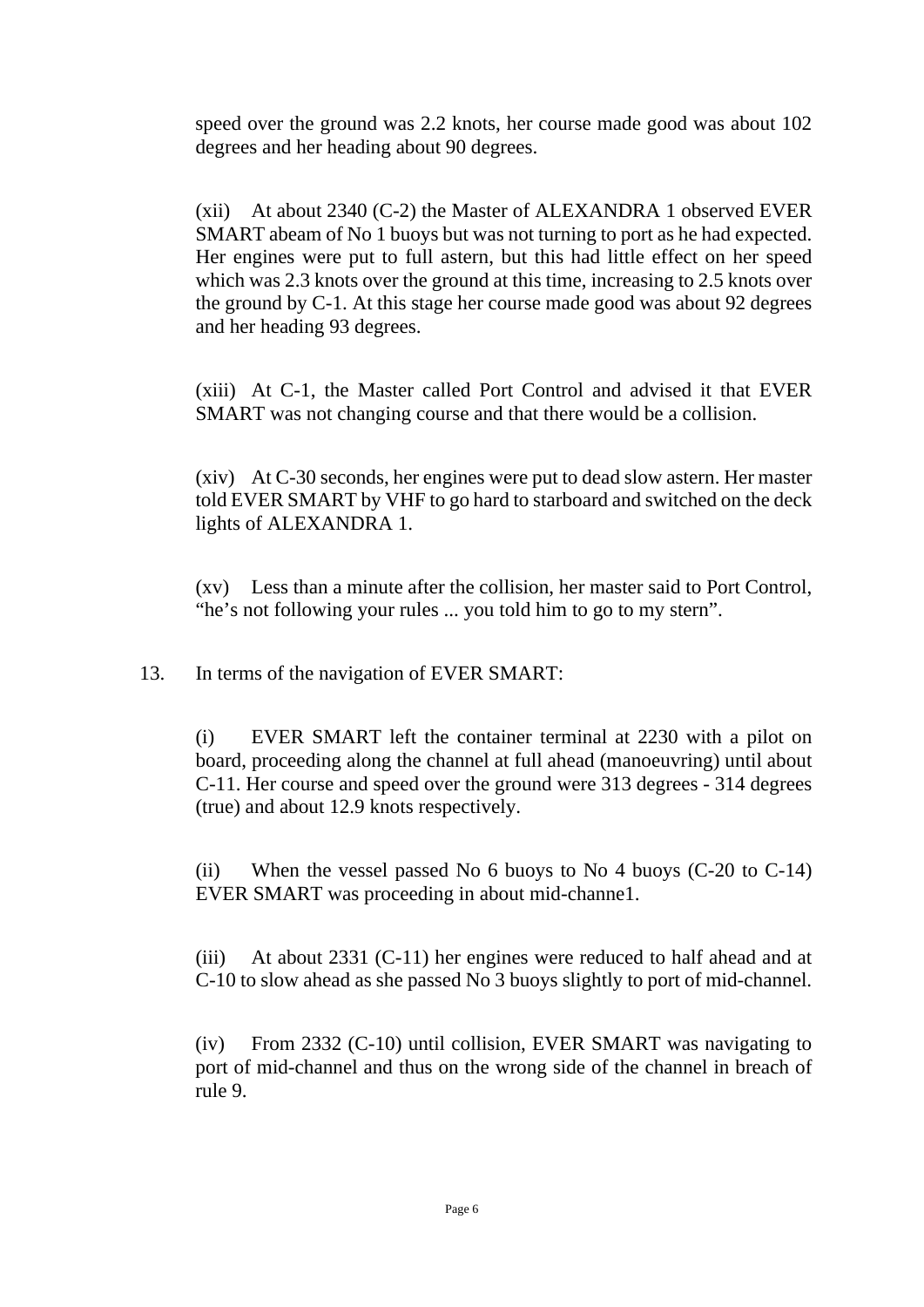speed over the ground was 2.2 knots, her course made good was about 102 degrees and her heading about 90 degrees.

(xii) At about 2340 (C-2) the Master of ALEXANDRA 1 observed EVER SMART abeam of No 1 buoys but was not turning to port as he had expected. Her engines were put to full astern, but this had little effect on her speed which was 2.3 knots over the ground at this time, increasing to 2.5 knots over the ground by C-1. At this stage her course made good was about 92 degrees and her heading 93 degrees.

(xiii) At C-1, the Master called Port Control and advised it that EVER SMART was not changing course and that there would be a collision.

(xiv) At C-30 seconds, her engines were put to dead slow astern. Her master told EVER SMART by VHF to go hard to starboard and switched on the deck lights of ALEXANDRA 1.

(xv) Less than a minute after the collision, her master said to Port Control, "he's not following your rules ... you told him to go to my stern".

13. In terms of the navigation of EVER SMART:

(i) EVER SMART left the container terminal at 2230 with a pilot on board, proceeding along the channel at full ahead (manoeuvring) until about C-11. Her course and speed over the ground were 313 degrees - 314 degrees (true) and about 12.9 knots respectively.

(ii) When the vessel passed No 6 buoys to No 4 buoys (C-20 to C-14) EVER SMART was proceeding in about mid-channe1.

(iii) At about 2331 (C-11) her engines were reduced to half ahead and at C-10 to slow ahead as she passed No 3 buoys slightly to port of mid-channel.

(iv) From 2332 (C-10) until collision, EVER SMART was navigating to port of mid-channel and thus on the wrong side of the channel in breach of rule 9.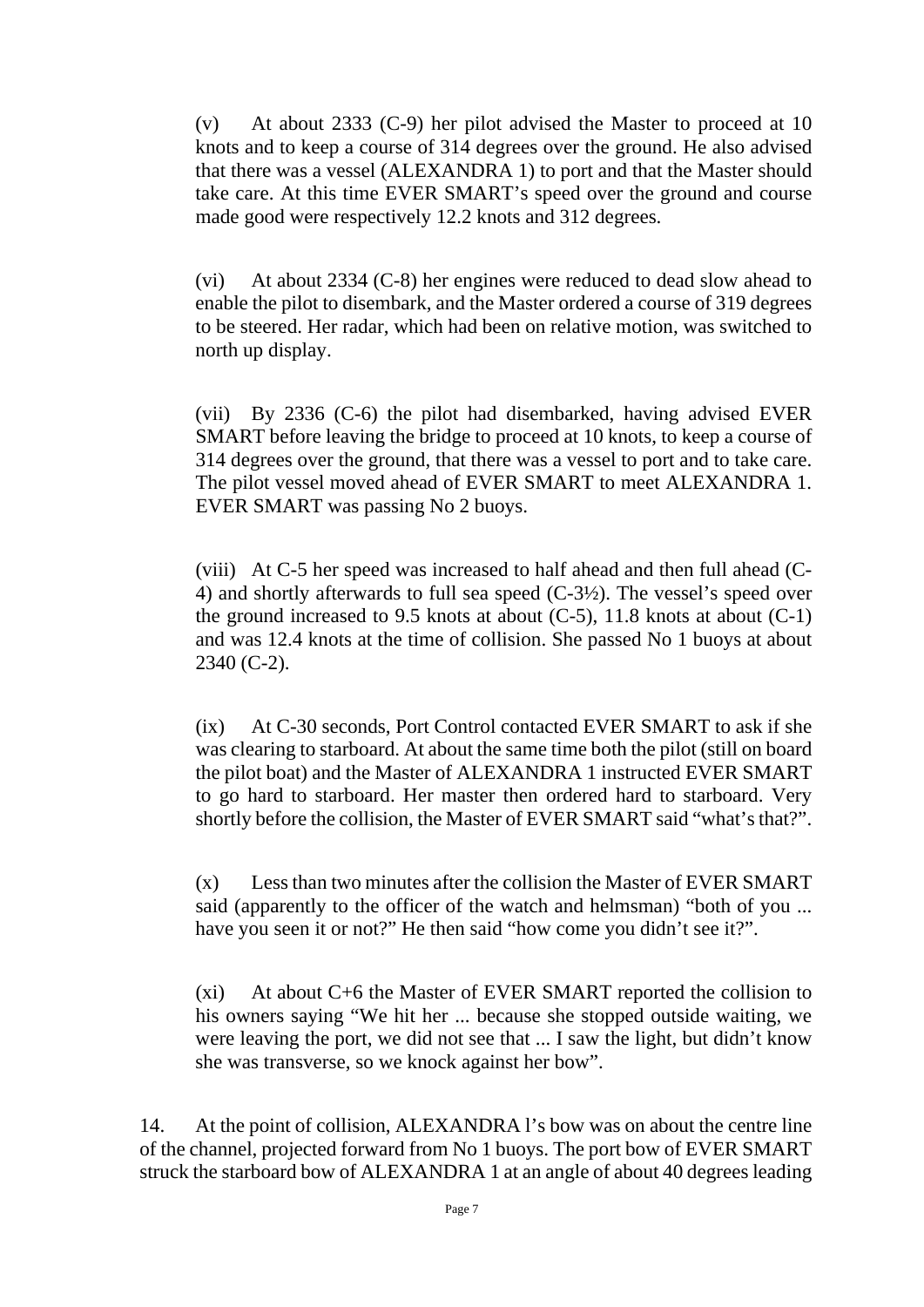(v) At about 2333 (C-9) her pilot advised the Master to proceed at 10 knots and to keep a course of 314 degrees over the ground. He also advised that there was a vessel (ALEXANDRA 1) to port and that the Master should take care. At this time EVER SMART's speed over the ground and course made good were respectively 12.2 knots and 312 degrees.

(vi) At about 2334 (C-8) her engines were reduced to dead slow ahead to enable the pilot to disembark, and the Master ordered a course of 319 degrees to be steered. Her radar, which had been on relative motion, was switched to north up display.

(vii) By 2336 (C-6) the pilot had disembarked, having advised EVER SMART before leaving the bridge to proceed at 10 knots, to keep a course of 314 degrees over the ground, that there was a vessel to port and to take care. The pilot vessel moved ahead of EVER SMART to meet ALEXANDRA 1. EVER SMART was passing No 2 buoys.

(viii) At C-5 her speed was increased to half ahead and then full ahead (C-4) and shortly afterwards to full sea speed (C-3½). The vessel's speed over the ground increased to 9.5 knots at about  $(C-5)$ , 11.8 knots at about  $(C-1)$ and was 12.4 knots at the time of collision. She passed No 1 buoys at about 2340 (C-2).

(ix) At C-30 seconds, Port Control contacted EVER SMART to ask if she was clearing to starboard. At about the same time both the pilot (still on board the pilot boat) and the Master of ALEXANDRA 1 instructed EVER SMART to go hard to starboard. Her master then ordered hard to starboard. Very shortly before the collision, the Master of EVER SMART said "what's that?".

(x) Less than two minutes after the collision the Master of EVER SMART said (apparently to the officer of the watch and helmsman) "both of you ... have you seen it or not?" He then said "how come you didn't see it?".

(xi) At about C+6 the Master of EVER SMART reported the collision to his owners saying "We hit her ... because she stopped outside waiting, we were leaving the port, we did not see that ... I saw the light, but didn't know she was transverse, so we knock against her bow".

14. At the point of collision, ALEXANDRA l's bow was on about the centre line of the channel, projected forward from No 1 buoys. The port bow of EVER SMART struck the starboard bow of ALEXANDRA 1 at an angle of about 40 degrees leading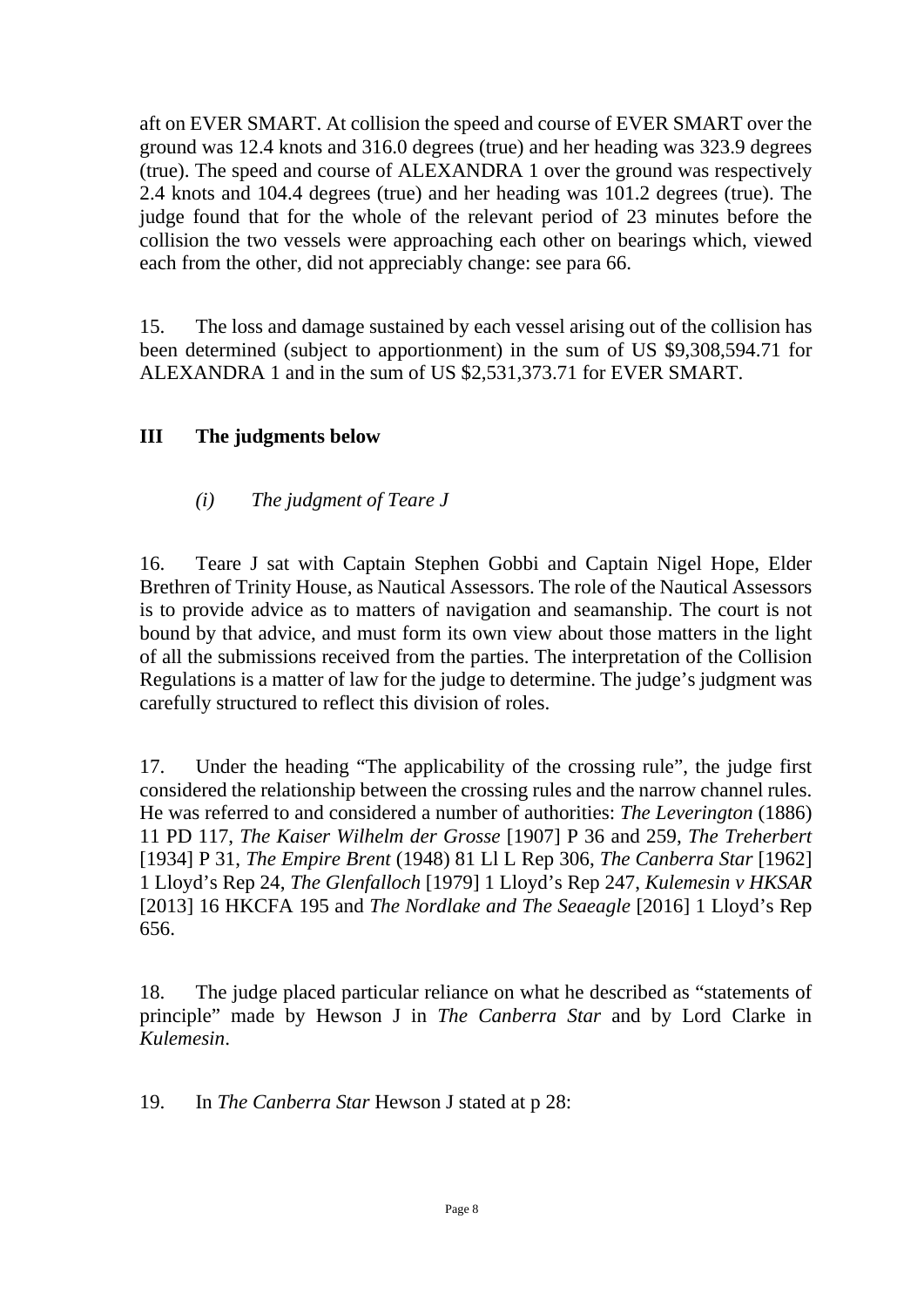aft on EVER SMART. At collision the speed and course of EVER SMART over the ground was 12.4 knots and 316.0 degrees (true) and her heading was 323.9 degrees (true). The speed and course of ALEXANDRA 1 over the ground was respectively 2.4 knots and 104.4 degrees (true) and her heading was 101.2 degrees (true). The judge found that for the whole of the relevant period of 23 minutes before the collision the two vessels were approaching each other on bearings which, viewed each from the other, did not appreciably change: see para 66.

15. The loss and damage sustained by each vessel arising out of the collision has been determined (subject to apportionment) in the sum of US \$9,308,594.71 for ALEXANDRA 1 and in the sum of US \$2,531,373.71 for EVER SMART.

## **III The judgments below**

## *(i) The judgment of Teare J*

16. Teare J sat with Captain Stephen Gobbi and Captain Nigel Hope, Elder Brethren of Trinity House, as Nautical Assessors. The role of the Nautical Assessors is to provide advice as to matters of navigation and seamanship. The court is not bound by that advice, and must form its own view about those matters in the light of all the submissions received from the parties. The interpretation of the Collision Regulations is a matter of law for the judge to determine. The judge's judgment was carefully structured to reflect this division of roles.

17. Under the heading "The applicability of the crossing rule", the judge first considered the relationship between the crossing rules and the narrow channel rules. He was referred to and considered a number of authorities: *The Leverington* (1886) 11 PD 117, *The Kaiser Wilhelm der Grosse* [1907] P 36 and 259, *The Treherbert* [1934] P 31, *The Empire Brent* (1948) 81 Ll L Rep 306, *The Canberra Star* [1962] 1 Lloyd's Rep 24, *The Glenfalloch* [1979] 1 Lloyd's Rep 247, *Kulemesin v HKSAR* [2013] 16 HKCFA 195 and *The Nordlake and The Seaeagle* [2016] 1 Lloyd's Rep 656.

18. The judge placed particular reliance on what he described as "statements of principle" made by Hewson J in *The Canberra Star* and by Lord Clarke in *Kulemesin*.

19. In *The Canberra Star* Hewson J stated at p 28: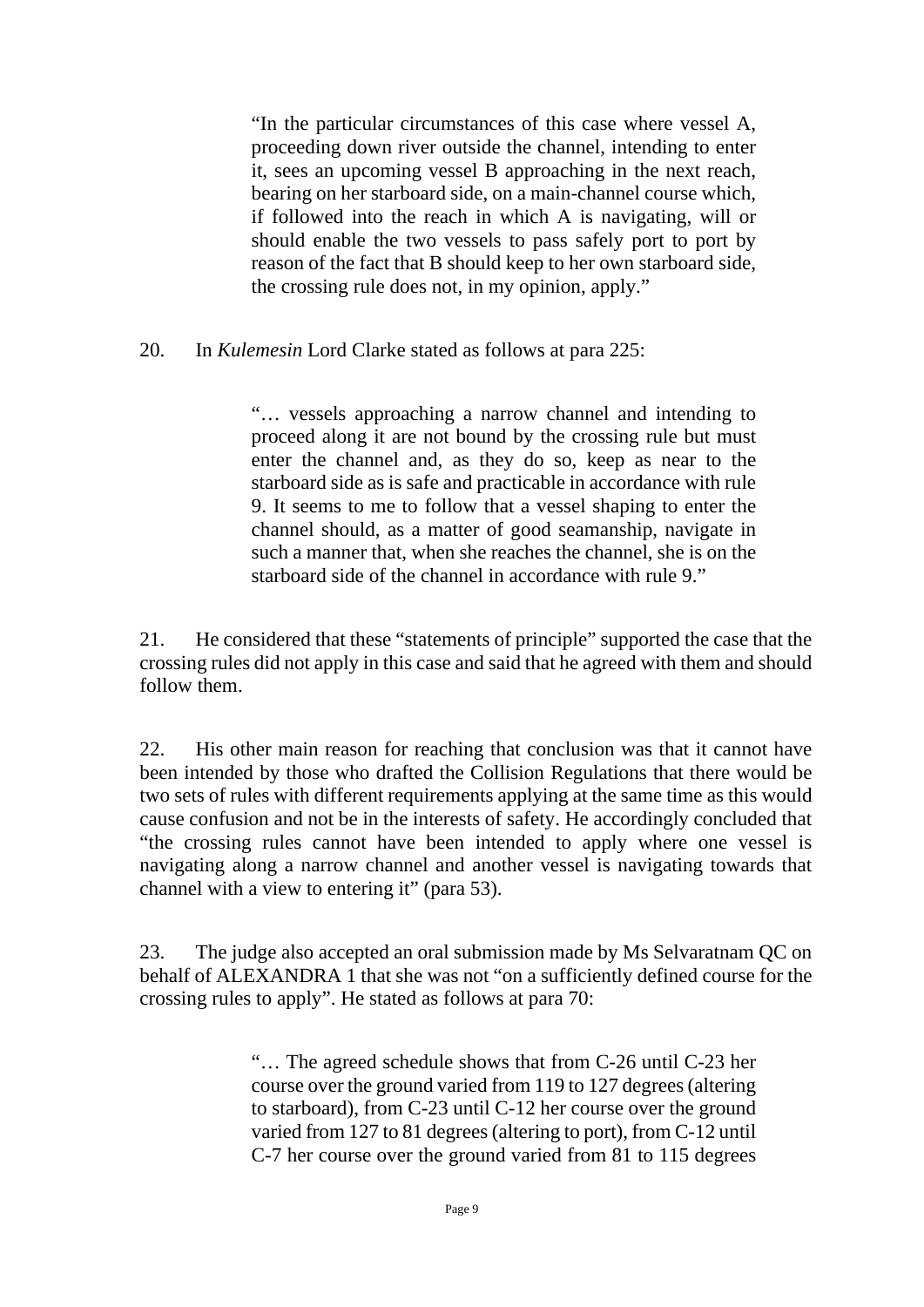"In the particular circumstances of this case where vessel A, proceeding down river outside the channel, intending to enter it, sees an upcoming vessel B approaching in the next reach, bearing on her starboard side, on a main-channel course which, if followed into the reach in which A is navigating, will or should enable the two vessels to pass safely port to port by reason of the fact that B should keep to her own starboard side, the crossing rule does not, in my opinion, apply."

20. In *Kulemesin* Lord Clarke stated as follows at para 225:

"… vessels approaching a narrow channel and intending to proceed along it are not bound by the crossing rule but must enter the channel and, as they do so, keep as near to the starboard side as is safe and practicable in accordance with rule 9. It seems to me to follow that a vessel shaping to enter the channel should, as a matter of good seamanship, navigate in such a manner that, when she reaches the channel, she is on the starboard side of the channel in accordance with rule 9"

21. He considered that these "statements of principle" supported the case that the crossing rules did not apply in this case and said that he agreed with them and should follow them.

22. His other main reason for reaching that conclusion was that it cannot have been intended by those who drafted the Collision Regulations that there would be two sets of rules with different requirements applying at the same time as this would cause confusion and not be in the interests of safety. He accordingly concluded that "the crossing rules cannot have been intended to apply where one vessel is navigating along a narrow channel and another vessel is navigating towards that channel with a view to entering it" (para 53).

23. The judge also accepted an oral submission made by Ms Selvaratnam QC on behalf of ALEXANDRA 1 that she was not "on a sufficiently defined course for the crossing rules to apply". He stated as follows at para 70:

> "… The agreed schedule shows that from C-26 until C-23 her course over the ground varied from 119 to 127 degrees (altering to starboard), from C-23 until C-12 her course over the ground varied from 127 to 81 degrees (altering to port), from C-12 until C-7 her course over the ground varied from 81 to 115 degrees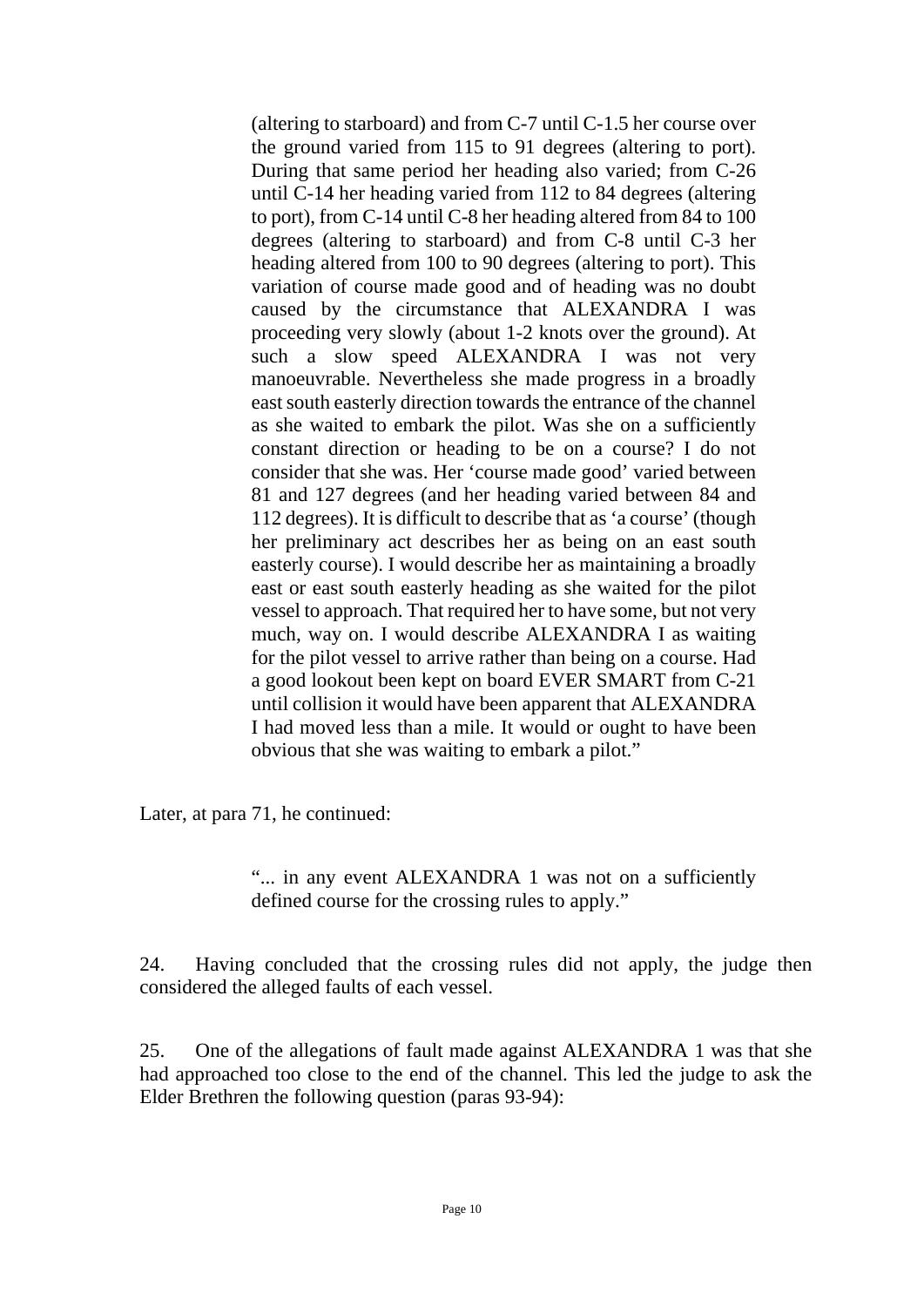(altering to starboard) and from C-7 until C-1.5 her course over the ground varied from 115 to 91 degrees (altering to port). During that same period her heading also varied; from C-26 until C-14 her heading varied from 112 to 84 degrees (altering to port), from C-14 until C-8 her heading altered from 84 to 100 degrees (altering to starboard) and from C-8 until C-3 her heading altered from 100 to 90 degrees (altering to port). This variation of course made good and of heading was no doubt caused by the circumstance that ALEXANDRA I was proceeding very slowly (about 1-2 knots over the ground). At such a slow speed ALEXANDRA I was not very manoeuvrable. Nevertheless she made progress in a broadly east south easterly direction towards the entrance of the channel as she waited to embark the pilot. Was she on a sufficiently constant direction or heading to be on a course? I do not consider that she was. Her 'course made good' varied between 81 and 127 degrees (and her heading varied between 84 and 112 degrees). It is difficult to describe that as 'a course' (though her preliminary act describes her as being on an east south easterly course). I would describe her as maintaining a broadly east or east south easterly heading as she waited for the pilot vessel to approach. That required her to have some, but not very much, way on. I would describe ALEXANDRA I as waiting for the pilot vessel to arrive rather than being on a course. Had a good lookout been kept on board EVER SMART from C-21 until collision it would have been apparent that ALEXANDRA I had moved less than a mile. It would or ought to have been obvious that she was waiting to embark a pilot."

Later, at para 71, he continued:

"... in any event ALEXANDRA 1 was not on a sufficiently defined course for the crossing rules to apply."

24. Having concluded that the crossing rules did not apply, the judge then considered the alleged faults of each vessel.

25. One of the allegations of fault made against ALEXANDRA 1 was that she had approached too close to the end of the channel. This led the judge to ask the Elder Brethren the following question (paras 93-94):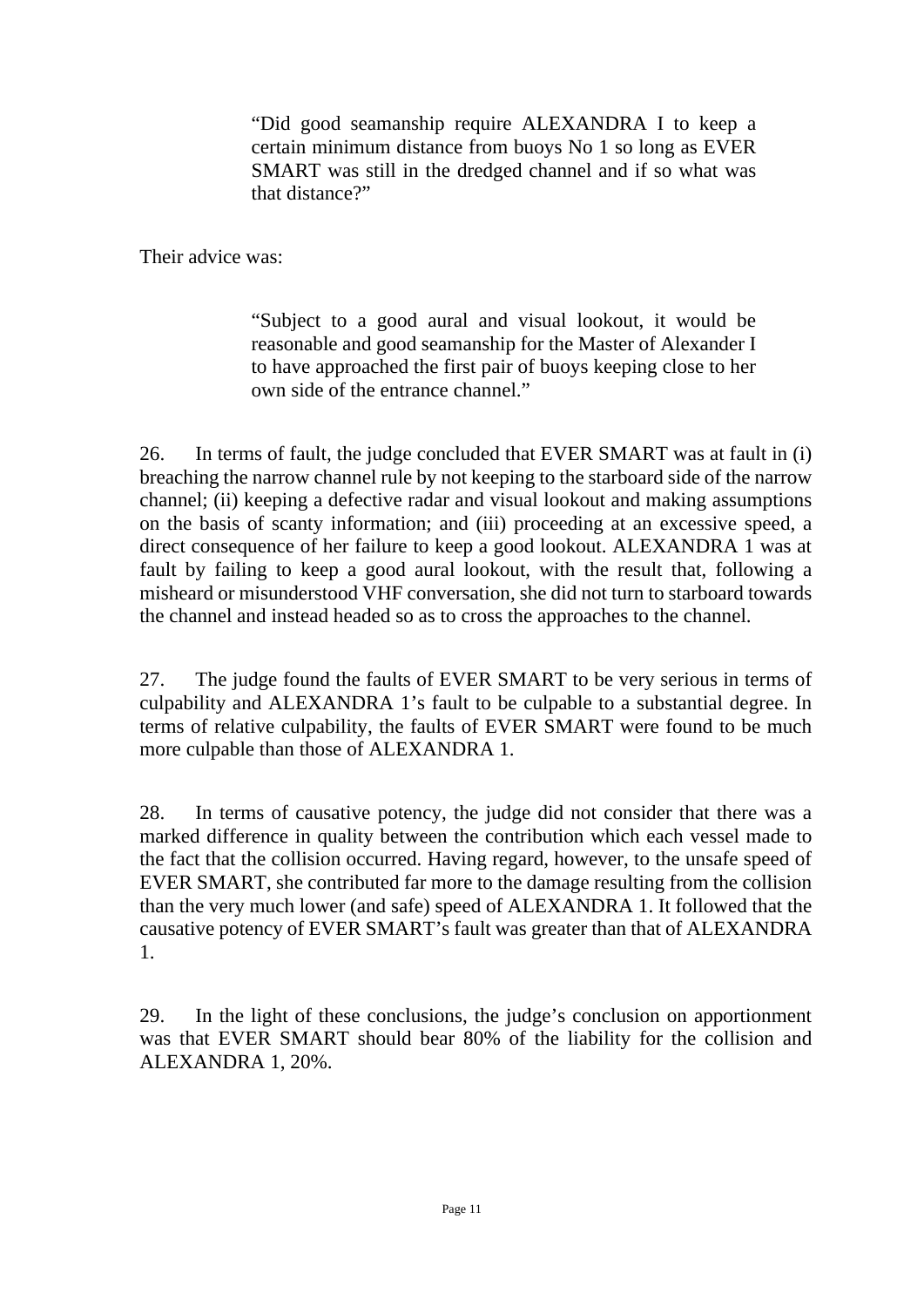"Did good seamanship require ALEXANDRA I to keep a certain minimum distance from buoys No 1 so long as EVER SMART was still in the dredged channel and if so what was that distance?"

Their advice was:

"Subject to a good aural and visual lookout, it would be reasonable and good seamanship for the Master of Alexander I to have approached the first pair of buoys keeping close to her own side of the entrance channel."

26. In terms of fault, the judge concluded that EVER SMART was at fault in (i) breaching the narrow channel rule by not keeping to the starboard side of the narrow channel; (ii) keeping a defective radar and visual lookout and making assumptions on the basis of scanty information; and (iii) proceeding at an excessive speed, a direct consequence of her failure to keep a good lookout. ALEXANDRA 1 was at fault by failing to keep a good aural lookout, with the result that, following a misheard or misunderstood VHF conversation, she did not turn to starboard towards the channel and instead headed so as to cross the approaches to the channel.

27. The judge found the faults of EVER SMART to be very serious in terms of culpability and ALEXANDRA 1's fault to be culpable to a substantial degree. In terms of relative culpability, the faults of EVER SMART were found to be much more culpable than those of ALEXANDRA 1.

28. In terms of causative potency, the judge did not consider that there was a marked difference in quality between the contribution which each vessel made to the fact that the collision occurred. Having regard, however, to the unsafe speed of EVER SMART, she contributed far more to the damage resulting from the collision than the very much lower (and safe) speed of ALEXANDRA 1. It followed that the causative potency of EVER SMART's fault was greater than that of ALEXANDRA 1.

29. In the light of these conclusions, the judge's conclusion on apportionment was that EVER SMART should bear 80% of the liability for the collision and ALEXANDRA 1, 20%.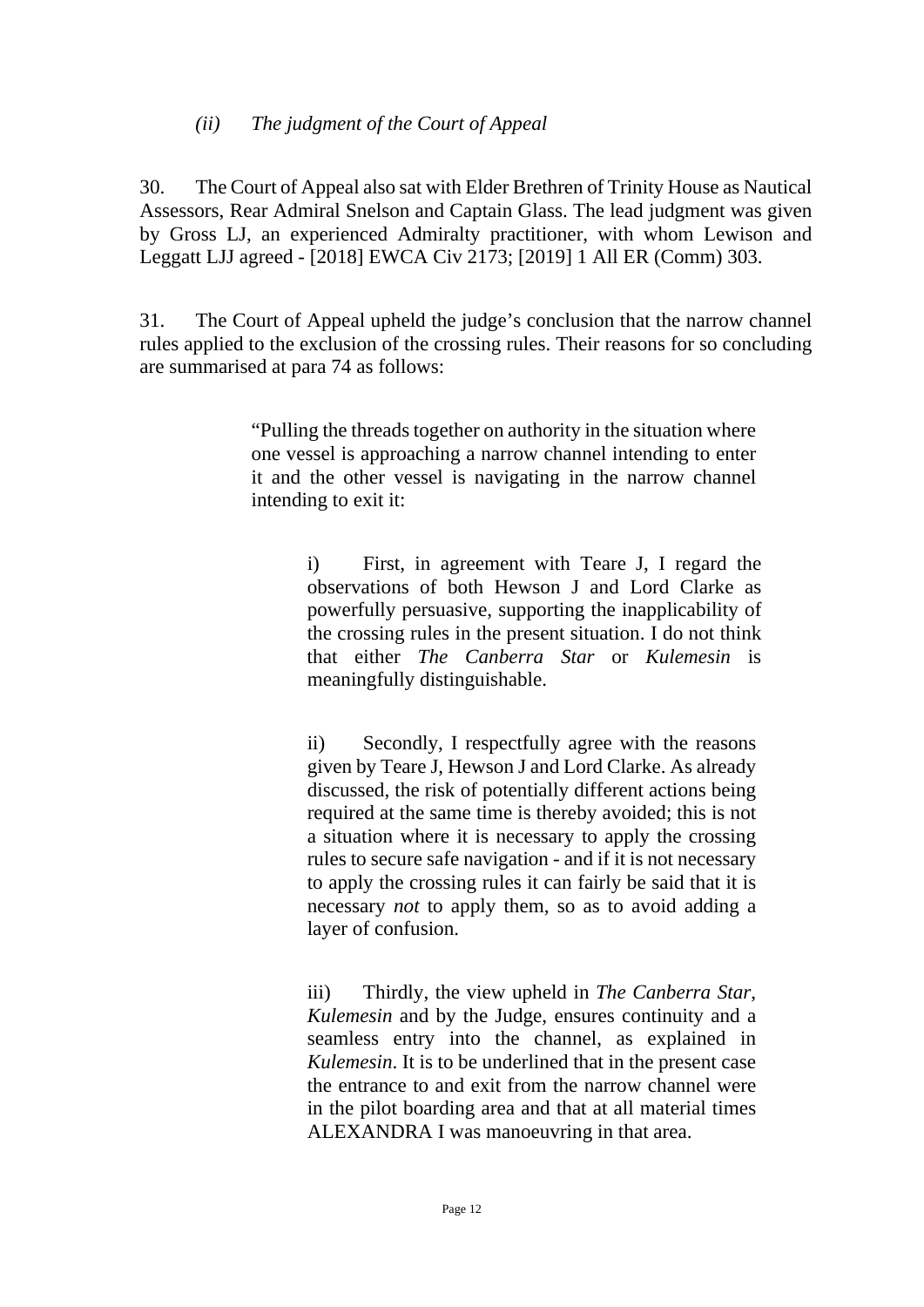## *(ii) The judgment of the Court of Appeal*

30. The Court of Appeal also sat with Elder Brethren of Trinity House as Nautical Assessors, Rear Admiral Snelson and Captain Glass. The lead judgment was given by Gross LJ, an experienced Admiralty practitioner, with whom Lewison and Leggatt LJJ agreed - [2018] EWCA Civ 2173; [2019] 1 All ER (Comm) 303.

31. The Court of Appeal upheld the judge's conclusion that the narrow channel rules applied to the exclusion of the crossing rules. Their reasons for so concluding are summarised at para 74 as follows:

> "Pulling the threads together on authority in the situation where one vessel is approaching a narrow channel intending to enter it and the other vessel is navigating in the narrow channel intending to exit it:

> > i) First, in agreement with Teare J, I regard the observations of both Hewson J and Lord Clarke as powerfully persuasive, supporting the inapplicability of the crossing rules in the present situation. I do not think that either *The Canberra Star* or *Kulemesin* is meaningfully distinguishable.

> > ii) Secondly, I respectfully agree with the reasons given by Teare J, Hewson J and Lord Clarke. As already discussed, the risk of potentially different actions being required at the same time is thereby avoided; this is not a situation where it is necessary to apply the crossing rules to secure safe navigation - and if it is not necessary to apply the crossing rules it can fairly be said that it is necessary *not* to apply them, so as to avoid adding a layer of confusion.

> > iii) Thirdly, the view upheld in *The Canberra Star*, *Kulemesin* and by the Judge, ensures continuity and a seamless entry into the channel, as explained in *Kulemesin*. It is to be underlined that in the present case the entrance to and exit from the narrow channel were in the pilot boarding area and that at all material times ALEXANDRA I was manoeuvring in that area.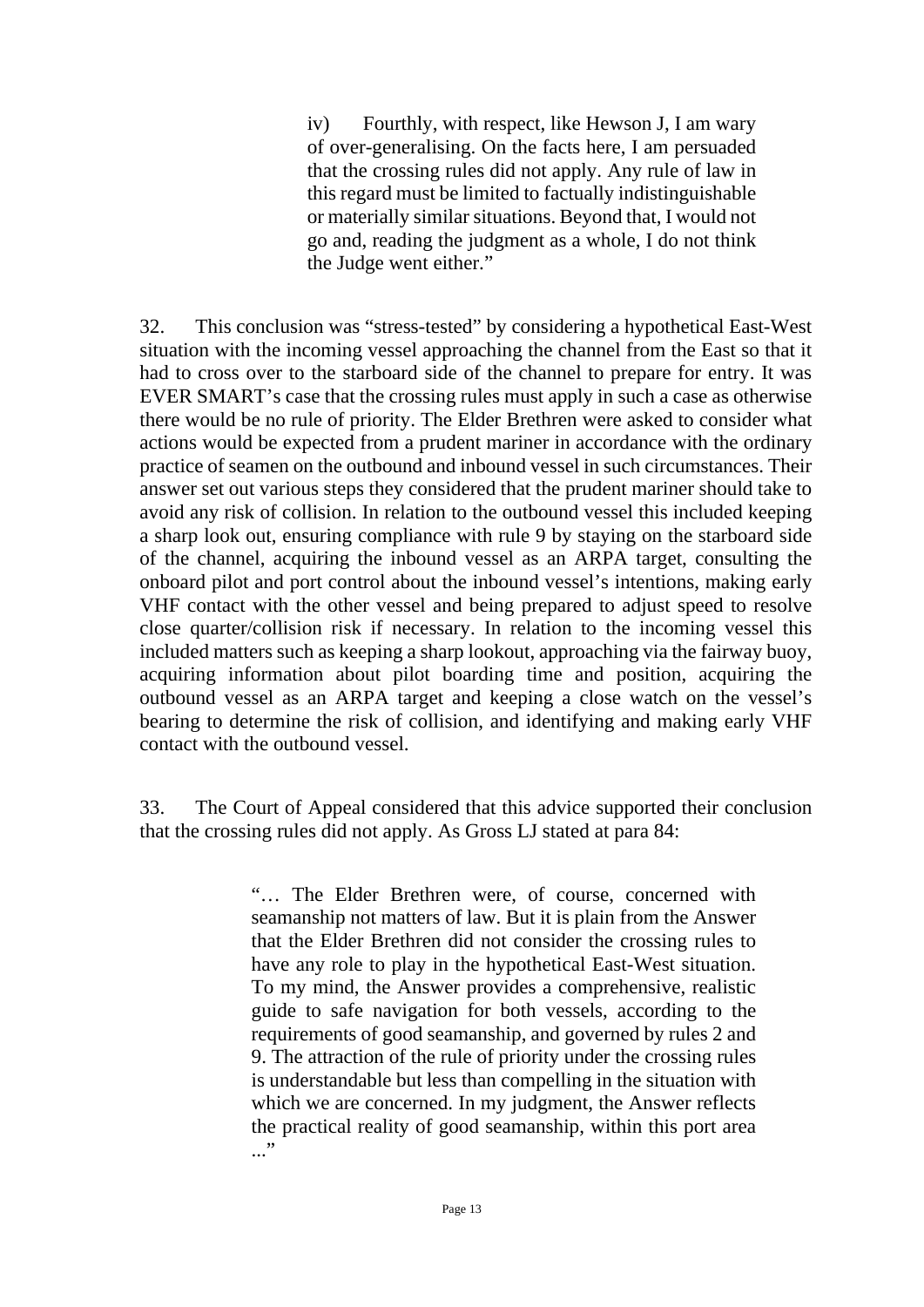iv) Fourthly, with respect, like Hewson J, I am wary of over-generalising. On the facts here, I am persuaded that the crossing rules did not apply. Any rule of law in this regard must be limited to factually indistinguishable or materially similar situations. Beyond that, I would not go and, reading the judgment as a whole, I do not think the Judge went either."

32. This conclusion was "stress-tested" by considering a hypothetical East-West situation with the incoming vessel approaching the channel from the East so that it had to cross over to the starboard side of the channel to prepare for entry. It was EVER SMART's case that the crossing rules must apply in such a case as otherwise there would be no rule of priority. The Elder Brethren were asked to consider what actions would be expected from a prudent mariner in accordance with the ordinary practice of seamen on the outbound and inbound vessel in such circumstances. Their answer set out various steps they considered that the prudent mariner should take to avoid any risk of collision. In relation to the outbound vessel this included keeping a sharp look out, ensuring compliance with rule 9 by staying on the starboard side of the channel, acquiring the inbound vessel as an ARPA target, consulting the onboard pilot and port control about the inbound vessel's intentions, making early VHF contact with the other vessel and being prepared to adjust speed to resolve close quarter/collision risk if necessary. In relation to the incoming vessel this included matters such as keeping a sharp lookout, approaching via the fairway buoy, acquiring information about pilot boarding time and position, acquiring the outbound vessel as an ARPA target and keeping a close watch on the vessel's bearing to determine the risk of collision, and identifying and making early VHF contact with the outbound vessel.

33. The Court of Appeal considered that this advice supported their conclusion that the crossing rules did not apply. As Gross LJ stated at para 84:

> "… The Elder Brethren were, of course, concerned with seamanship not matters of law. But it is plain from the Answer that the Elder Brethren did not consider the crossing rules to have any role to play in the hypothetical East-West situation. To my mind, the Answer provides a comprehensive, realistic guide to safe navigation for both vessels, according to the requirements of good seamanship, and governed by rules 2 and 9. The attraction of the rule of priority under the crossing rules is understandable but less than compelling in the situation with which we are concerned. In my judgment, the Answer reflects the practical reality of good seamanship, within this port area  $\cdot$  . . .  $\cdot$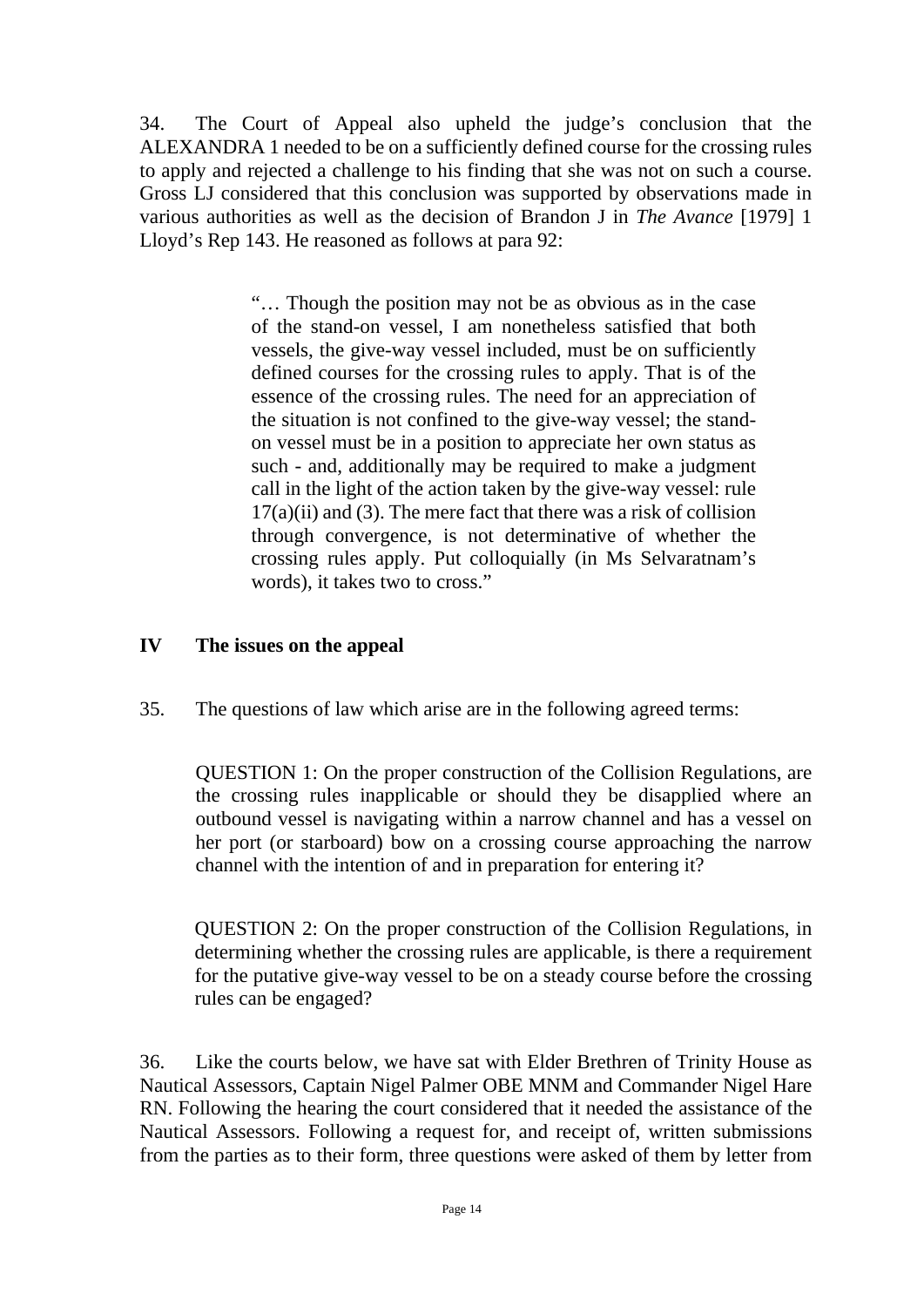34. The Court of Appeal also upheld the judge's conclusion that the ALEXANDRA 1 needed to be on a sufficiently defined course for the crossing rules to apply and rejected a challenge to his finding that she was not on such a course. Gross LJ considered that this conclusion was supported by observations made in various authorities as well as the decision of Brandon J in *The Avance* [1979] 1 Lloyd's Rep 143. He reasoned as follows at para 92:

> "… Though the position may not be as obvious as in the case of the stand-on vessel, I am nonetheless satisfied that both vessels, the give-way vessel included, must be on sufficiently defined courses for the crossing rules to apply. That is of the essence of the crossing rules. The need for an appreciation of the situation is not confined to the give-way vessel; the standon vessel must be in a position to appreciate her own status as such - and, additionally may be required to make a judgment call in the light of the action taken by the give-way vessel: rule  $17(a)(ii)$  and (3). The mere fact that there was a risk of collision through convergence, is not determinative of whether the crossing rules apply. Put colloquially (in Ms Selvaratnam's words), it takes two to cross."

## **IV The issues on the appeal**

35. The questions of law which arise are in the following agreed terms:

QUESTION 1: On the proper construction of the Collision Regulations, are the crossing rules inapplicable or should they be disapplied where an outbound vessel is navigating within a narrow channel and has a vessel on her port (or starboard) bow on a crossing course approaching the narrow channel with the intention of and in preparation for entering it?

QUESTION 2: On the proper construction of the Collision Regulations, in determining whether the crossing rules are applicable, is there a requirement for the putative give-way vessel to be on a steady course before the crossing rules can be engaged?

36. Like the courts below, we have sat with Elder Brethren of Trinity House as Nautical Assessors, Captain Nigel Palmer OBE MNM and Commander Nigel Hare RN. Following the hearing the court considered that it needed the assistance of the Nautical Assessors. Following a request for, and receipt of, written submissions from the parties as to their form, three questions were asked of them by letter from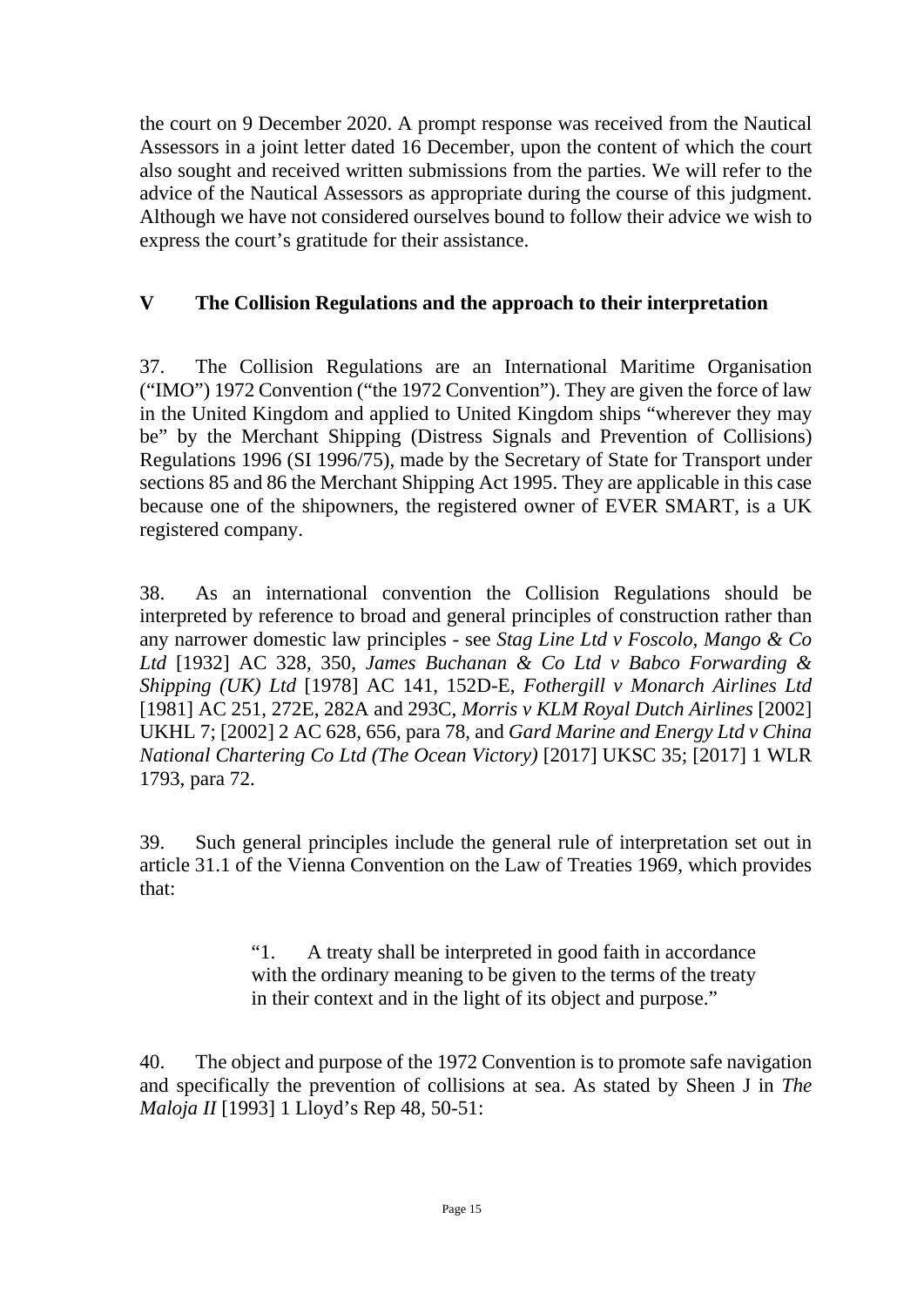the court on 9 December 2020. A prompt response was received from the Nautical Assessors in a joint letter dated 16 December, upon the content of which the court also sought and received written submissions from the parties. We will refer to the advice of the Nautical Assessors as appropriate during the course of this judgment. Although we have not considered ourselves bound to follow their advice we wish to express the court's gratitude for their assistance.

## **V The Collision Regulations and the approach to their interpretation**

37. The Collision Regulations are an International Maritime Organisation ("IMO") 1972 Convention ("the 1972 Convention"). They are given the force of law in the United Kingdom and applied to United Kingdom ships "wherever they may be" by the Merchant Shipping (Distress Signals and Prevention of Collisions) Regulations 1996 (SI 1996/75), made by the Secretary of State for Transport under sections 85 and 86 the Merchant Shipping Act 1995. They are applicable in this case because one of the shipowners, the registered owner of EVER SMART, is a UK registered company.

38. As an international convention the Collision Regulations should be interpreted by reference to broad and general principles of construction rather than any narrower domestic law principles - see *Stag Line Ltd v Foscolo, Mango & Co Ltd* [1932] AC 328, 350, *James Buchanan & Co Ltd v Babco Forwarding & Shipping (UK) Ltd* [1978] AC 141, 152D-E, *Fothergill v Monarch Airlines Ltd* [1981] AC 251, 272E, 282A and 293C, *Morris v KLM Royal Dutch Airlines* [2002] UKHL 7; [2002] 2 AC 628, 656, para 78, and *Gard Marine and Energy Ltd v China National Chartering Co Ltd (The Ocean Victory)* [2017] UKSC 35; [2017] 1 WLR 1793, para 72.

39. Such general principles include the general rule of interpretation set out in article 31.1 of the Vienna Convention on the Law of Treaties 1969, which provides that:

> "1. A treaty shall be interpreted in good faith in accordance with the ordinary meaning to be given to the terms of the treaty in their context and in the light of its object and purpose."

40. The object and purpose of the 1972 Convention is to promote safe navigation and specifically the prevention of collisions at sea. As stated by Sheen J in *The Maloja II* [1993] 1 Lloyd's Rep 48, 50-51: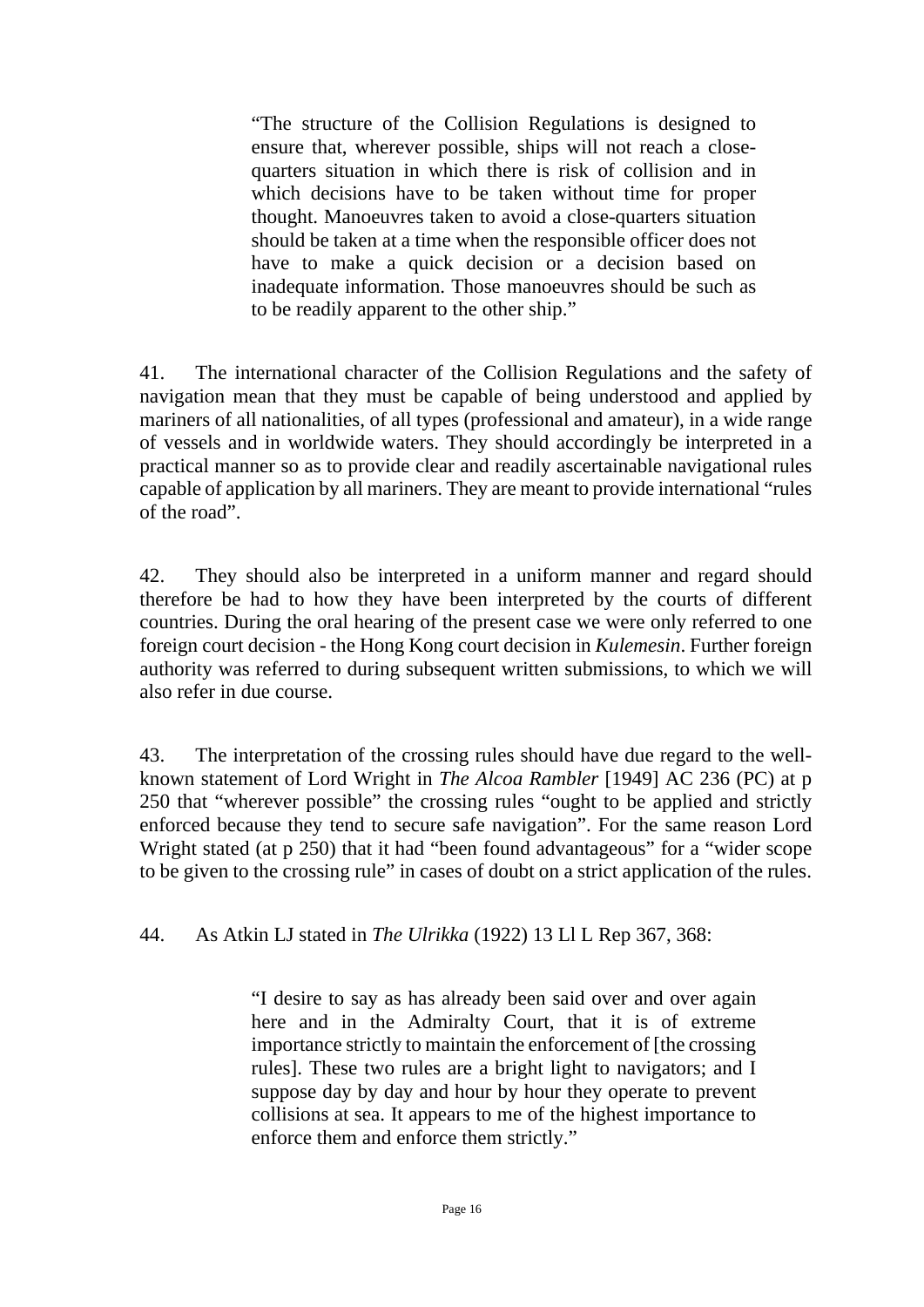"The structure of the Collision Regulations is designed to ensure that, wherever possible, ships will not reach a closequarters situation in which there is risk of collision and in which decisions have to be taken without time for proper thought. Manoeuvres taken to avoid a close-quarters situation should be taken at a time when the responsible officer does not have to make a quick decision or a decision based on inadequate information. Those manoeuvres should be such as to be readily apparent to the other ship."

41. The international character of the Collision Regulations and the safety of navigation mean that they must be capable of being understood and applied by mariners of all nationalities, of all types (professional and amateur), in a wide range of vessels and in worldwide waters. They should accordingly be interpreted in a practical manner so as to provide clear and readily ascertainable navigational rules capable of application by all mariners. They are meant to provide international "rules of the road".

42. They should also be interpreted in a uniform manner and regard should therefore be had to how they have been interpreted by the courts of different countries. During the oral hearing of the present case we were only referred to one foreign court decision - the Hong Kong court decision in *Kulemesin*. Further foreign authority was referred to during subsequent written submissions, to which we will also refer in due course.

43. The interpretation of the crossing rules should have due regard to the wellknown statement of Lord Wright in *The Alcoa Rambler* [1949] AC 236 (PC) at p 250 that "wherever possible" the crossing rules "ought to be applied and strictly enforced because they tend to secure safe navigation". For the same reason Lord Wright stated (at p 250) that it had "been found advantageous" for a "wider scope to be given to the crossing rule" in cases of doubt on a strict application of the rules.

44. As Atkin LJ stated in *The Ulrikka* (1922) 13 Ll L Rep 367, 368:

"I desire to say as has already been said over and over again here and in the Admiralty Court, that it is of extreme importance strictly to maintain the enforcement of [the crossing rules]. These two rules are a bright light to navigators; and I suppose day by day and hour by hour they operate to prevent collisions at sea. It appears to me of the highest importance to enforce them and enforce them strictly."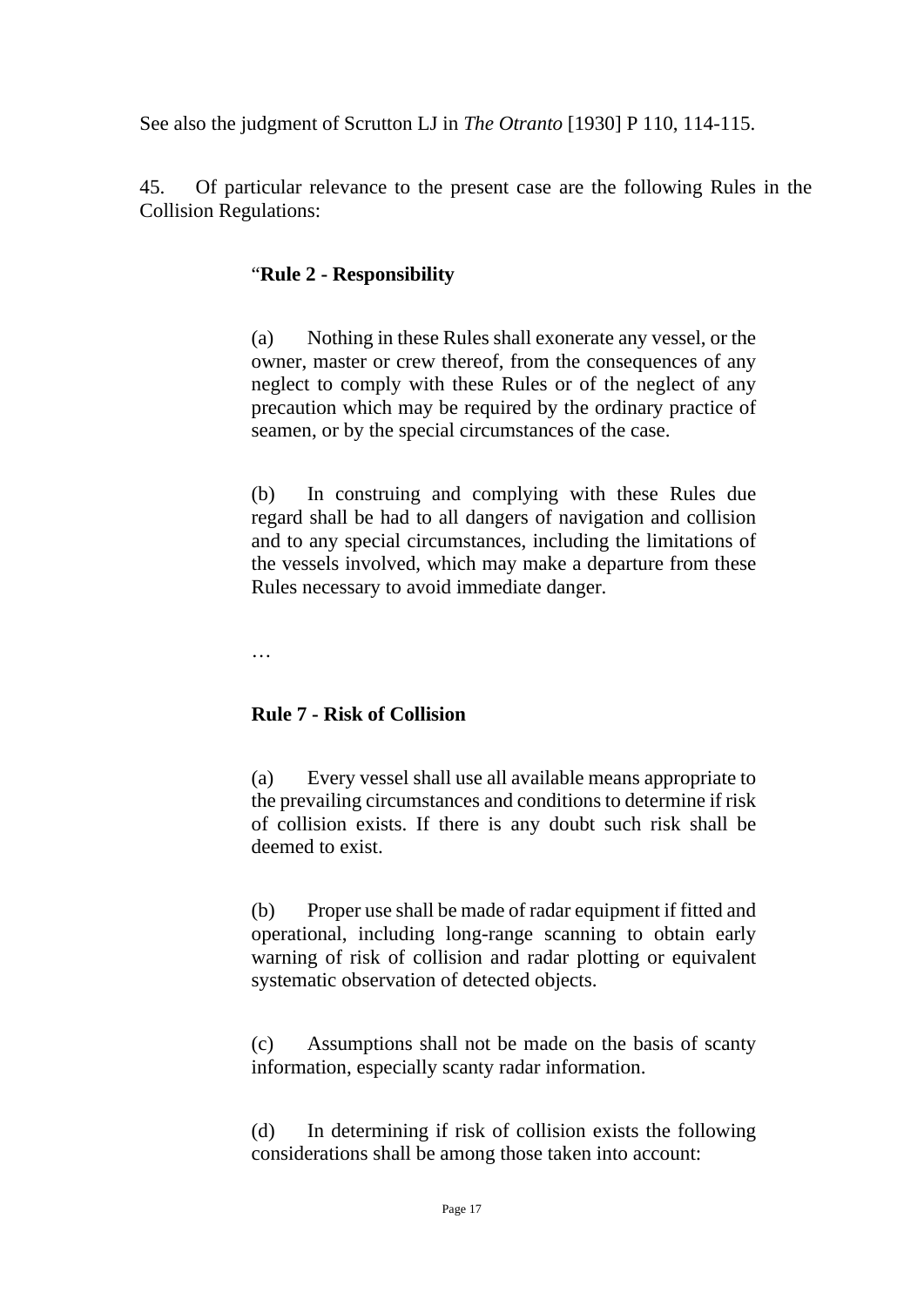See also the judgment of Scrutton LJ in *The Otranto* [1930] P 110, 114-115.

45. Of particular relevance to the present case are the following Rules in the Collision Regulations:

## "**Rule 2 - Responsibility**

(a) Nothing in these Rules shall exonerate any vessel, or the owner, master or crew thereof, from the consequences of any neglect to comply with these Rules or of the neglect of any precaution which may be required by the ordinary practice of seamen, or by the special circumstances of the case.

(b) In construing and complying with these Rules due regard shall be had to all dangers of navigation and collision and to any special circumstances, including the limitations of the vessels involved, which may make a departure from these Rules necessary to avoid immediate danger.

…

## **Rule 7 - Risk of Collision**

(a) Every vessel shall use all available means appropriate to the prevailing circumstances and conditions to determine if risk of collision exists. If there is any doubt such risk shall be deemed to exist.

(b) Proper use shall be made of radar equipment if fitted and operational, including long-range scanning to obtain early warning of risk of collision and radar plotting or equivalent systematic observation of detected objects.

(c) Assumptions shall not be made on the basis of scanty information, especially scanty radar information.

(d) In determining if risk of collision exists the following considerations shall be among those taken into account: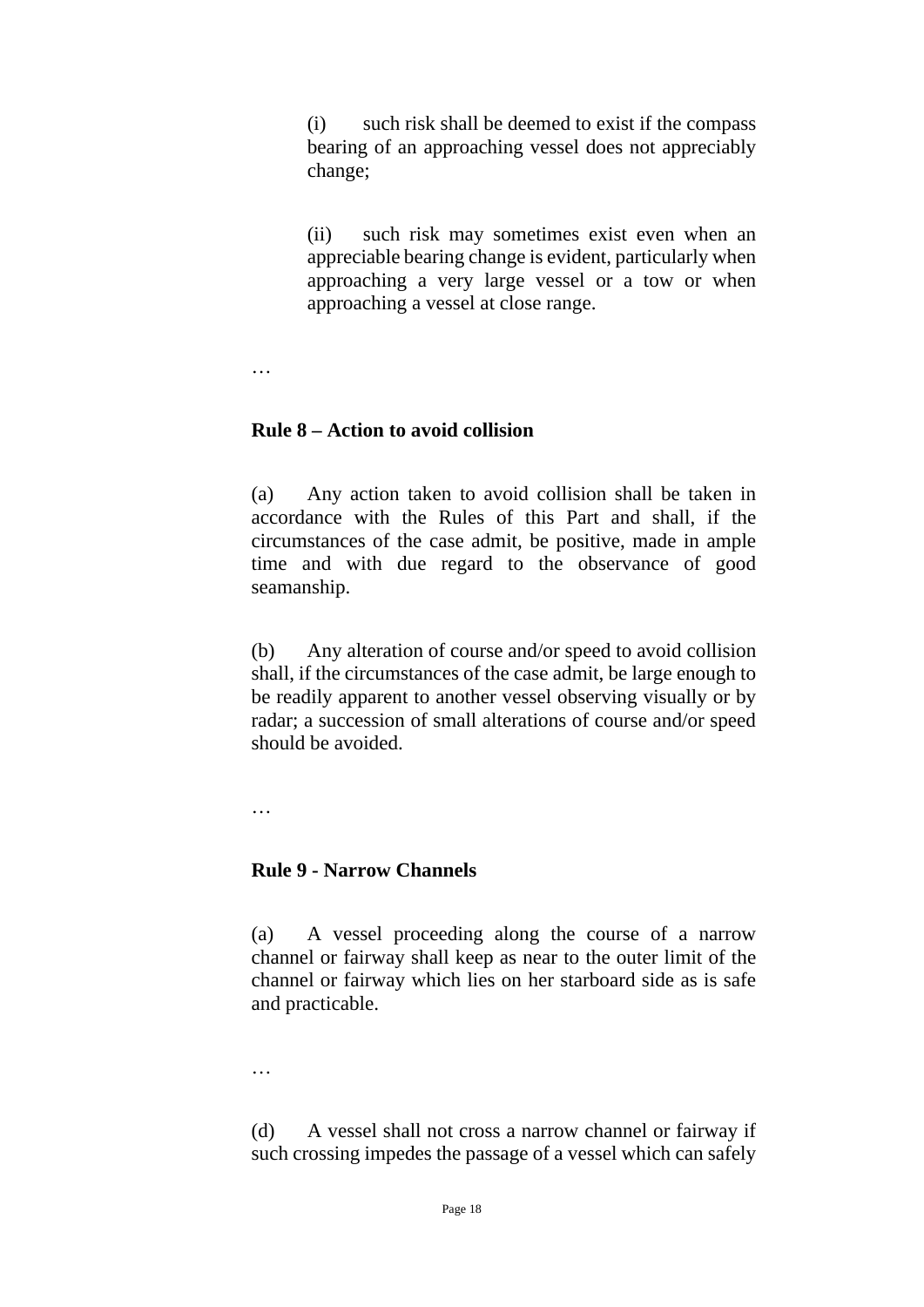(i) such risk shall be deemed to exist if the compass bearing of an approaching vessel does not appreciably change;

(ii) such risk may sometimes exist even when an appreciable bearing change is evident, particularly when approaching a very large vessel or a tow or when approaching a vessel at close range.

…

#### **Rule 8 – Action to avoid collision**

(a) Any action taken to avoid collision shall be taken in accordance with the Rules of this Part and shall, if the circumstances of the case admit, be positive, made in ample time and with due regard to the observance of good seamanship.

(b) Any alteration of course and/or speed to avoid collision shall, if the circumstances of the case admit, be large enough to be readily apparent to another vessel observing visually or by radar; a succession of small alterations of course and/or speed should be avoided.

…

#### **Rule 9 - Narrow Channels**

(a) A vessel proceeding along the course of a narrow channel or fairway shall keep as near to the outer limit of the channel or fairway which lies on her starboard side as is safe and practicable.

…

(d) A vessel shall not cross a narrow channel or fairway if such crossing impedes the passage of a vessel which can safely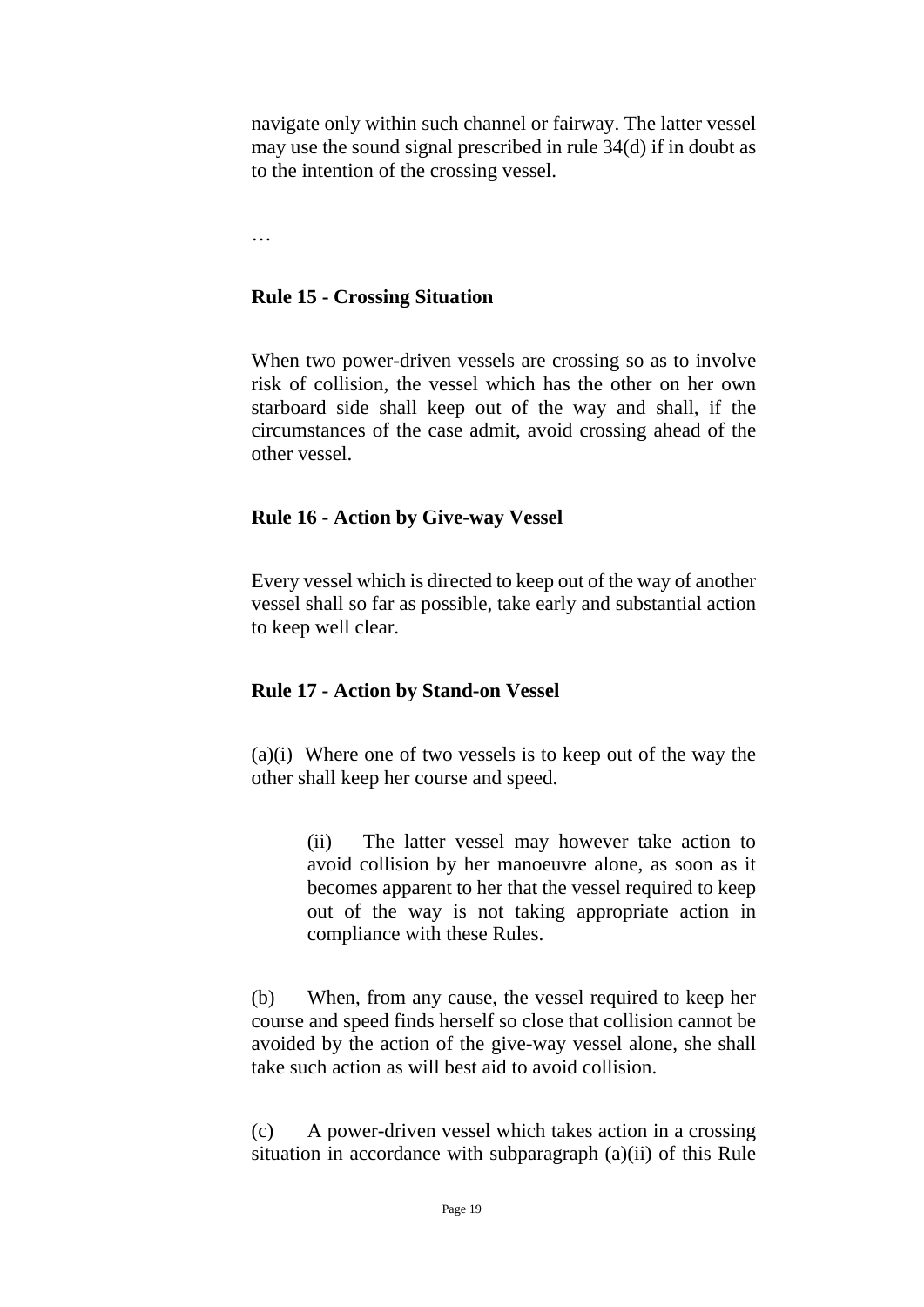navigate only within such channel or fairway. The latter vessel may use the sound signal prescribed in rule 34(d) if in doubt as to the intention of the crossing vessel.

…

#### **Rule 15 - Crossing Situation**

When two power-driven vessels are crossing so as to involve risk of collision, the vessel which has the other on her own starboard side shall keep out of the way and shall, if the circumstances of the case admit, avoid crossing ahead of the other vessel.

#### **Rule 16 - Action by Give-way Vessel**

Every vessel which is directed to keep out of the way of another vessel shall so far as possible, take early and substantial action to keep well clear.

#### **Rule 17 - Action by Stand-on Vessel**

(a)(i) Where one of two vessels is to keep out of the way the other shall keep her course and speed.

> (ii) The latter vessel may however take action to avoid collision by her manoeuvre alone, as soon as it becomes apparent to her that the vessel required to keep out of the way is not taking appropriate action in compliance with these Rules.

(b) When, from any cause, the vessel required to keep her course and speed finds herself so close that collision cannot be avoided by the action of the give-way vessel alone, she shall take such action as will best aid to avoid collision.

(c) A power-driven vessel which takes action in a crossing situation in accordance with subparagraph (a)(ii) of this Rule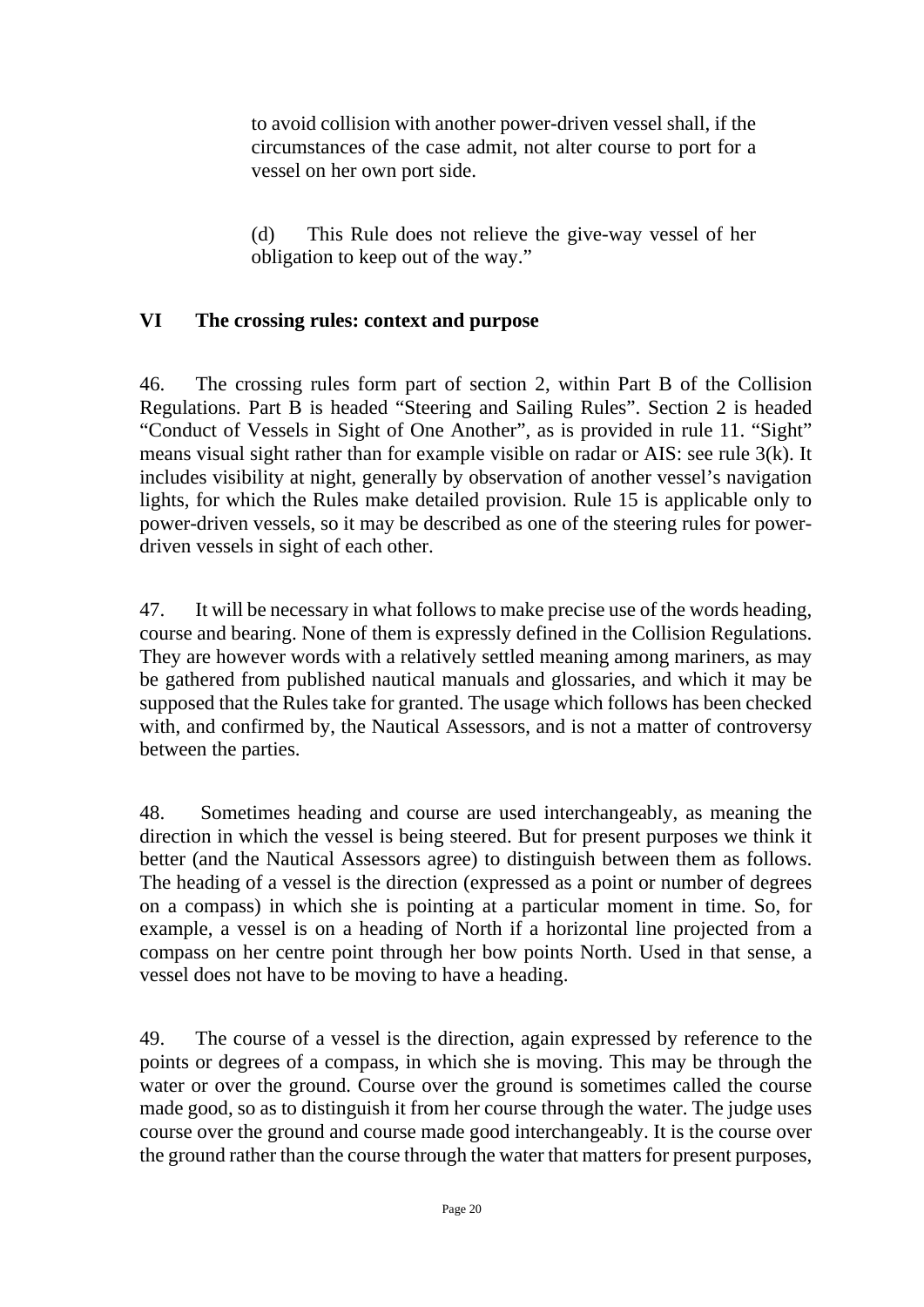to avoid collision with another power-driven vessel shall, if the circumstances of the case admit, not alter course to port for a vessel on her own port side.

(d) This Rule does not relieve the give-way vessel of her obligation to keep out of the way."

## **VI The crossing rules: context and purpose**

46. The crossing rules form part of section 2, within Part B of the Collision Regulations. Part B is headed "Steering and Sailing Rules". Section 2 is headed "Conduct of Vessels in Sight of One Another", as is provided in rule 11. "Sight" means visual sight rather than for example visible on radar or AIS: see rule 3(k). It includes visibility at night, generally by observation of another vessel's navigation lights, for which the Rules make detailed provision. Rule 15 is applicable only to power-driven vessels, so it may be described as one of the steering rules for powerdriven vessels in sight of each other.

47. It will be necessary in what follows to make precise use of the words heading, course and bearing. None of them is expressly defined in the Collision Regulations. They are however words with a relatively settled meaning among mariners, as may be gathered from published nautical manuals and glossaries, and which it may be supposed that the Rules take for granted. The usage which follows has been checked with, and confirmed by, the Nautical Assessors, and is not a matter of controversy between the parties.

48. Sometimes heading and course are used interchangeably, as meaning the direction in which the vessel is being steered. But for present purposes we think it better (and the Nautical Assessors agree) to distinguish between them as follows. The heading of a vessel is the direction (expressed as a point or number of degrees on a compass) in which she is pointing at a particular moment in time. So, for example, a vessel is on a heading of North if a horizontal line projected from a compass on her centre point through her bow points North. Used in that sense, a vessel does not have to be moving to have a heading.

49. The course of a vessel is the direction, again expressed by reference to the points or degrees of a compass, in which she is moving. This may be through the water or over the ground. Course over the ground is sometimes called the course made good, so as to distinguish it from her course through the water. The judge uses course over the ground and course made good interchangeably. It is the course over the ground rather than the course through the water that matters for present purposes,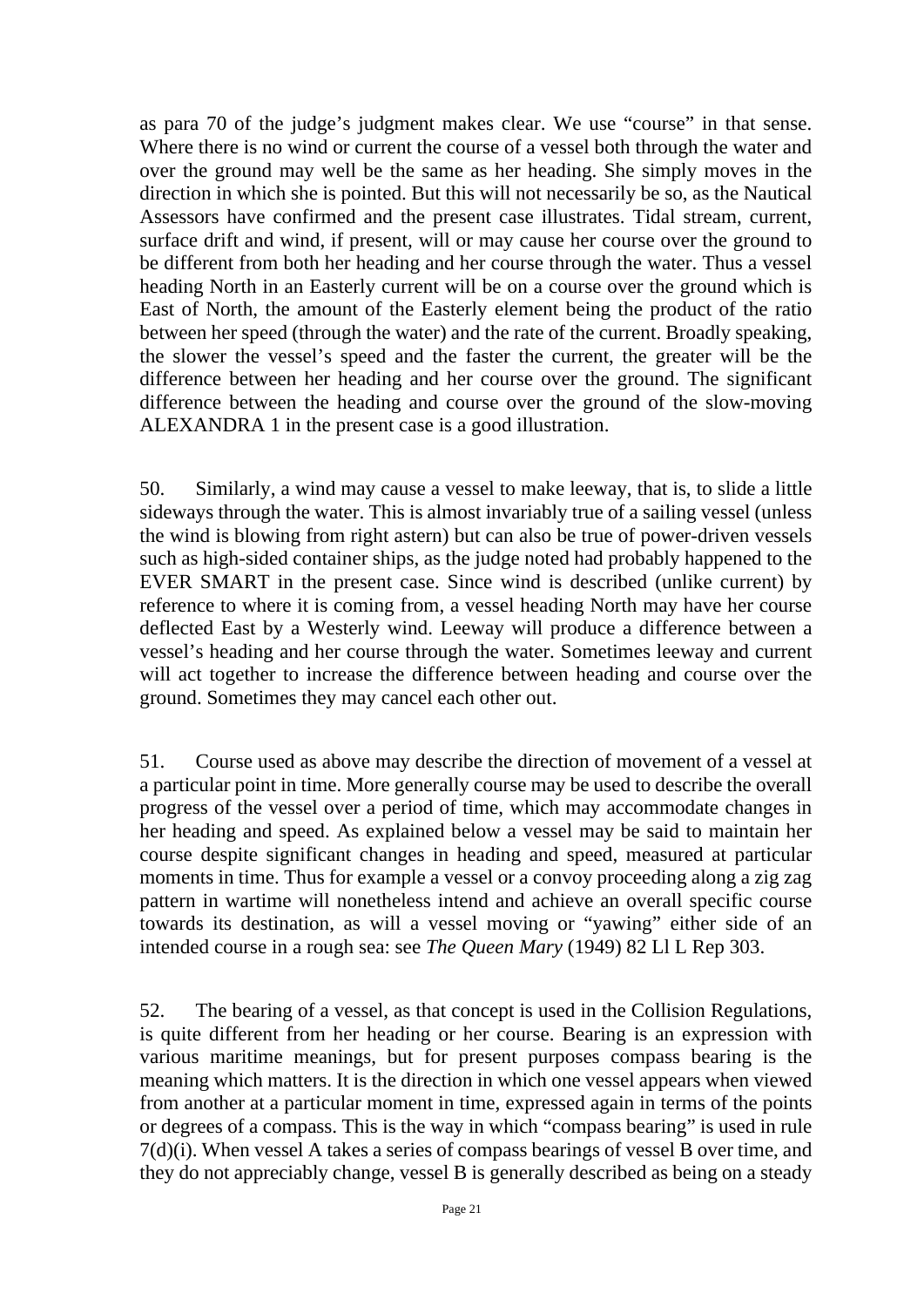as para 70 of the judge's judgment makes clear. We use "course" in that sense. Where there is no wind or current the course of a vessel both through the water and over the ground may well be the same as her heading. She simply moves in the direction in which she is pointed. But this will not necessarily be so, as the Nautical Assessors have confirmed and the present case illustrates. Tidal stream, current, surface drift and wind, if present, will or may cause her course over the ground to be different from both her heading and her course through the water. Thus a vessel heading North in an Easterly current will be on a course over the ground which is East of North, the amount of the Easterly element being the product of the ratio between her speed (through the water) and the rate of the current. Broadly speaking, the slower the vessel's speed and the faster the current, the greater will be the difference between her heading and her course over the ground. The significant difference between the heading and course over the ground of the slow-moving ALEXANDRA 1 in the present case is a good illustration.

50. Similarly, a wind may cause a vessel to make leeway, that is, to slide a little sideways through the water. This is almost invariably true of a sailing vessel (unless the wind is blowing from right astern) but can also be true of power-driven vessels such as high-sided container ships, as the judge noted had probably happened to the EVER SMART in the present case. Since wind is described (unlike current) by reference to where it is coming from, a vessel heading North may have her course deflected East by a Westerly wind. Leeway will produce a difference between a vessel's heading and her course through the water. Sometimes leeway and current will act together to increase the difference between heading and course over the ground. Sometimes they may cancel each other out.

51. Course used as above may describe the direction of movement of a vessel at a particular point in time. More generally course may be used to describe the overall progress of the vessel over a period of time, which may accommodate changes in her heading and speed. As explained below a vessel may be said to maintain her course despite significant changes in heading and speed, measured at particular moments in time. Thus for example a vessel or a convoy proceeding along a zig zag pattern in wartime will nonetheless intend and achieve an overall specific course towards its destination, as will a vessel moving or "yawing" either side of an intended course in a rough sea: see *The Queen Mary* (1949) 82 Ll L Rep 303.

52. The bearing of a vessel, as that concept is used in the Collision Regulations, is quite different from her heading or her course. Bearing is an expression with various maritime meanings, but for present purposes compass bearing is the meaning which matters. It is the direction in which one vessel appears when viewed from another at a particular moment in time, expressed again in terms of the points or degrees of a compass. This is the way in which "compass bearing" is used in rule 7(d)(i). When vessel A takes a series of compass bearings of vessel B over time, and they do not appreciably change, vessel B is generally described as being on a steady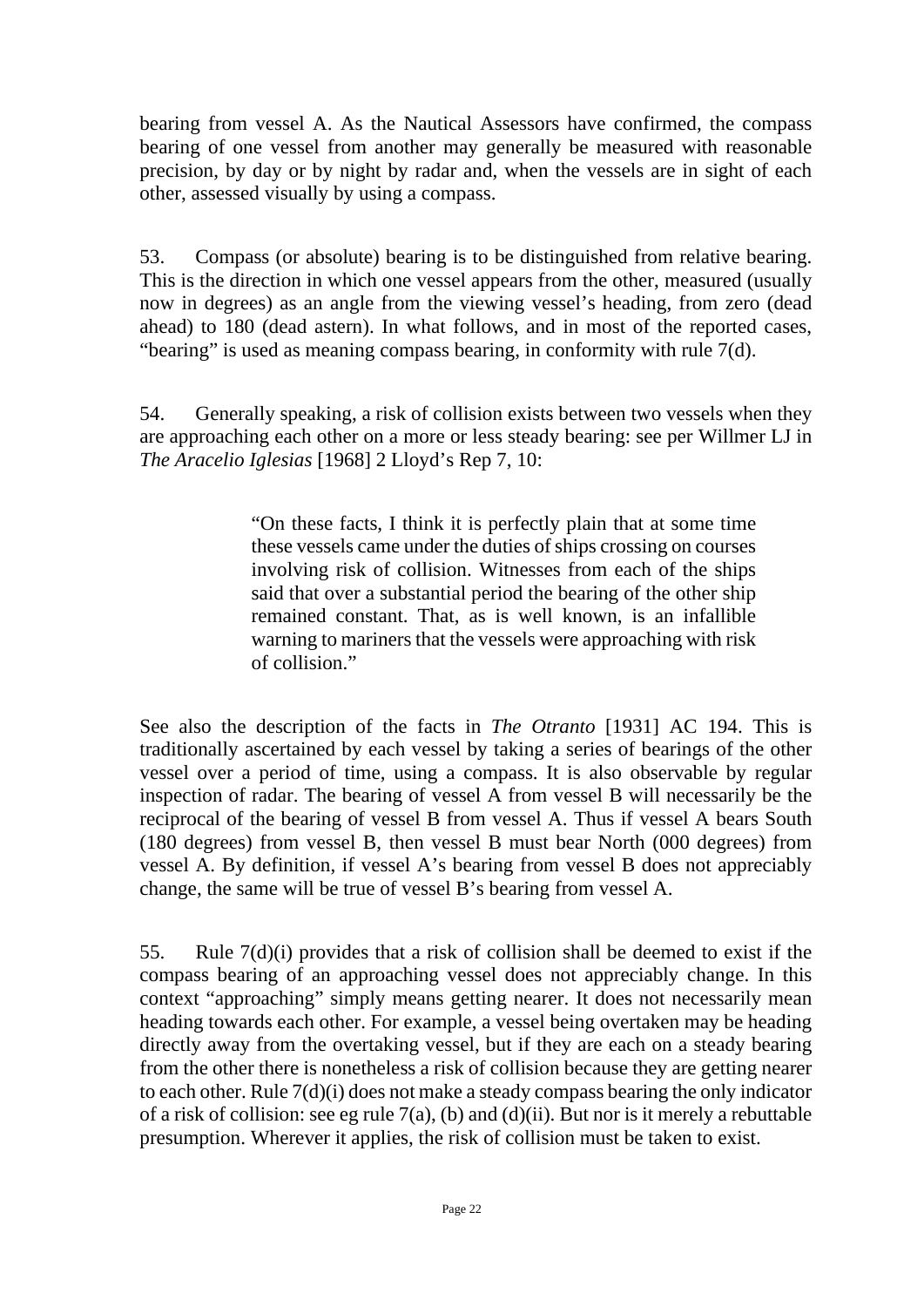bearing from vessel A. As the Nautical Assessors have confirmed, the compass bearing of one vessel from another may generally be measured with reasonable precision, by day or by night by radar and, when the vessels are in sight of each other, assessed visually by using a compass.

53. Compass (or absolute) bearing is to be distinguished from relative bearing. This is the direction in which one vessel appears from the other, measured (usually now in degrees) as an angle from the viewing vessel's heading, from zero (dead ahead) to 180 (dead astern). In what follows, and in most of the reported cases, "bearing" is used as meaning compass bearing, in conformity with rule 7(d).

54. Generally speaking, a risk of collision exists between two vessels when they are approaching each other on a more or less steady bearing: see per Willmer LJ in *The Aracelio Iglesias* [1968] 2 Lloyd's Rep 7, 10:

> "On these facts, I think it is perfectly plain that at some time these vessels came under the duties of ships crossing on courses involving risk of collision. Witnesses from each of the ships said that over a substantial period the bearing of the other ship remained constant. That, as is well known, is an infallible warning to mariners that the vessels were approaching with risk of collision."

See also the description of the facts in *The Otranto* [1931] AC 194. This is traditionally ascertained by each vessel by taking a series of bearings of the other vessel over a period of time, using a compass. It is also observable by regular inspection of radar. The bearing of vessel A from vessel B will necessarily be the reciprocal of the bearing of vessel B from vessel A. Thus if vessel A bears South (180 degrees) from vessel B, then vessel B must bear North (000 degrees) from vessel A. By definition, if vessel A's bearing from vessel B does not appreciably change, the same will be true of vessel B's bearing from vessel A.

55. Rule 7(d)(i) provides that a risk of collision shall be deemed to exist if the compass bearing of an approaching vessel does not appreciably change. In this context "approaching" simply means getting nearer. It does not necessarily mean heading towards each other. For example, a vessel being overtaken may be heading directly away from the overtaking vessel, but if they are each on a steady bearing from the other there is nonetheless a risk of collision because they are getting nearer to each other. Rule 7(d)(i) does not make a steady compass bearing the only indicator of a risk of collision: see eg rule 7(a), (b) and (d)(ii). But nor is it merely a rebuttable presumption. Wherever it applies, the risk of collision must be taken to exist.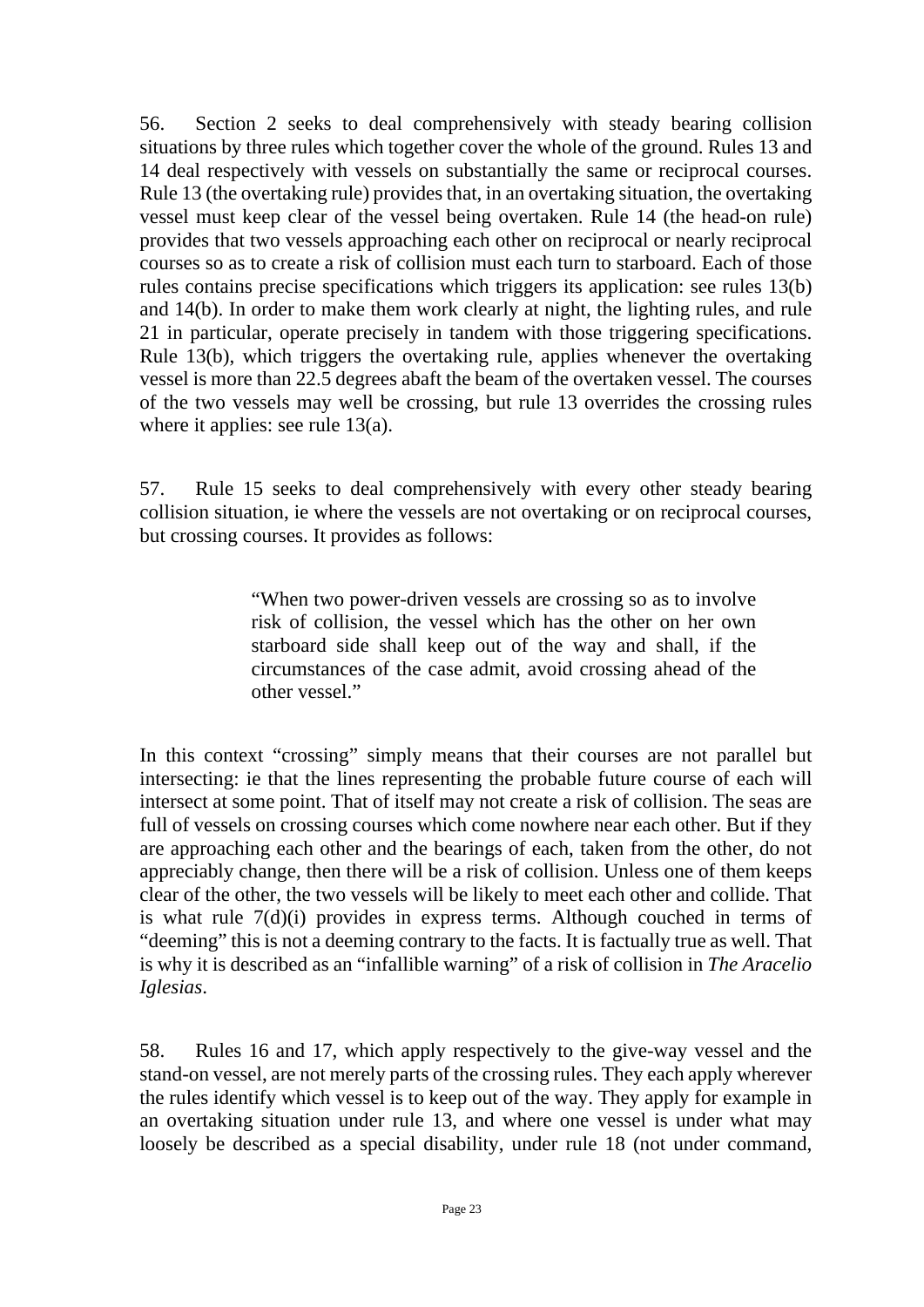56. Section 2 seeks to deal comprehensively with steady bearing collision situations by three rules which together cover the whole of the ground. Rules 13 and 14 deal respectively with vessels on substantially the same or reciprocal courses. Rule 13 (the overtaking rule) provides that, in an overtaking situation, the overtaking vessel must keep clear of the vessel being overtaken. Rule 14 (the head-on rule) provides that two vessels approaching each other on reciprocal or nearly reciprocal courses so as to create a risk of collision must each turn to starboard. Each of those rules contains precise specifications which triggers its application: see rules 13(b) and 14(b). In order to make them work clearly at night, the lighting rules, and rule 21 in particular, operate precisely in tandem with those triggering specifications. Rule 13(b), which triggers the overtaking rule, applies whenever the overtaking vessel is more than 22.5 degrees abaft the beam of the overtaken vessel. The courses of the two vessels may well be crossing, but rule 13 overrides the crossing rules where it applies: see rule  $13(a)$ .

57. Rule 15 seeks to deal comprehensively with every other steady bearing collision situation, ie where the vessels are not overtaking or on reciprocal courses, but crossing courses. It provides as follows:

> "When two power-driven vessels are crossing so as to involve risk of collision, the vessel which has the other on her own starboard side shall keep out of the way and shall, if the circumstances of the case admit, avoid crossing ahead of the other vessel."

In this context "crossing" simply means that their courses are not parallel but intersecting: ie that the lines representing the probable future course of each will intersect at some point. That of itself may not create a risk of collision. The seas are full of vessels on crossing courses which come nowhere near each other. But if they are approaching each other and the bearings of each, taken from the other, do not appreciably change, then there will be a risk of collision. Unless one of them keeps clear of the other, the two vessels will be likely to meet each other and collide. That is what rule 7(d)(i) provides in express terms. Although couched in terms of "deeming" this is not a deeming contrary to the facts. It is factually true as well. That is why it is described as an "infallible warning" of a risk of collision in *The Aracelio Iglesias*.

58. Rules 16 and 17, which apply respectively to the give-way vessel and the stand-on vessel, are not merely parts of the crossing rules. They each apply wherever the rules identify which vessel is to keep out of the way. They apply for example in an overtaking situation under rule 13, and where one vessel is under what may loosely be described as a special disability, under rule 18 (not under command,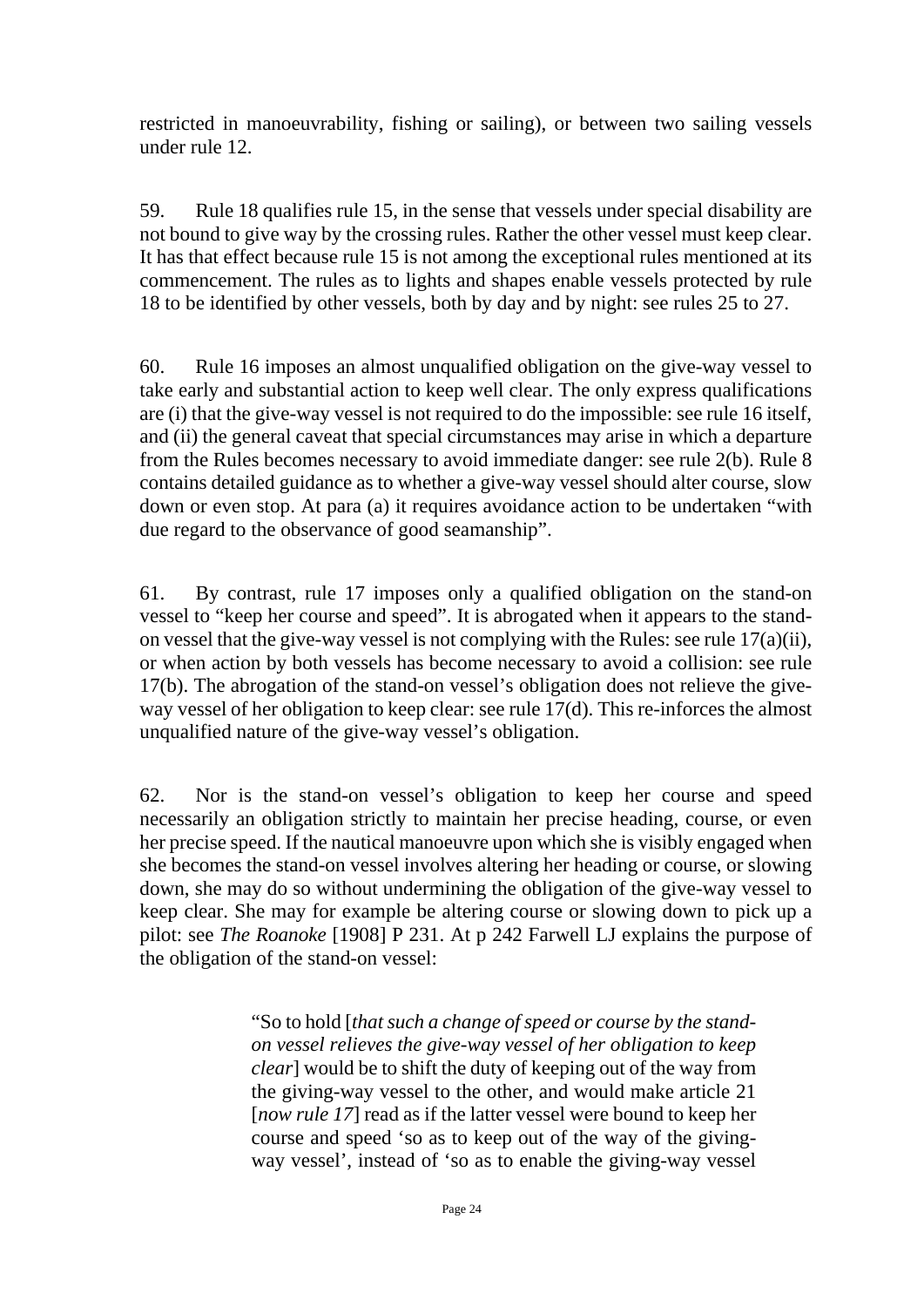restricted in manoeuvrability, fishing or sailing), or between two sailing vessels under rule 12.

59. Rule 18 qualifies rule 15, in the sense that vessels under special disability are not bound to give way by the crossing rules. Rather the other vessel must keep clear. It has that effect because rule 15 is not among the exceptional rules mentioned at its commencement. The rules as to lights and shapes enable vessels protected by rule 18 to be identified by other vessels, both by day and by night: see rules 25 to 27.

60. Rule 16 imposes an almost unqualified obligation on the give-way vessel to take early and substantial action to keep well clear. The only express qualifications are (i) that the give-way vessel is not required to do the impossible: see rule 16 itself, and (ii) the general caveat that special circumstances may arise in which a departure from the Rules becomes necessary to avoid immediate danger: see rule 2(b). Rule 8 contains detailed guidance as to whether a give-way vessel should alter course, slow down or even stop. At para (a) it requires avoidance action to be undertaken "with due regard to the observance of good seamanship".

61. By contrast, rule 17 imposes only a qualified obligation on the stand-on vessel to "keep her course and speed". It is abrogated when it appears to the standon vessel that the give-way vessel is not complying with the Rules: see rule 17(a)(ii), or when action by both vessels has become necessary to avoid a collision: see rule 17(b). The abrogation of the stand-on vessel's obligation does not relieve the giveway vessel of her obligation to keep clear: see rule 17(d). This re-inforces the almost unqualified nature of the give-way vessel's obligation.

62. Nor is the stand-on vessel's obligation to keep her course and speed necessarily an obligation strictly to maintain her precise heading, course, or even her precise speed. If the nautical manoeuvre upon which she is visibly engaged when she becomes the stand-on vessel involves altering her heading or course, or slowing down, she may do so without undermining the obligation of the give-way vessel to keep clear. She may for example be altering course or slowing down to pick up a pilot: see *The Roanoke* [1908] P 231. At p 242 Farwell LJ explains the purpose of the obligation of the stand-on vessel:

> "So to hold [*that such a change of speed or course by the standon vessel relieves the give-way vessel of her obligation to keep clear*] would be to shift the duty of keeping out of the way from the giving-way vessel to the other, and would make article 21 [*now rule 17*] read as if the latter vessel were bound to keep her course and speed 'so as to keep out of the way of the givingway vessel', instead of 'so as to enable the giving-way vessel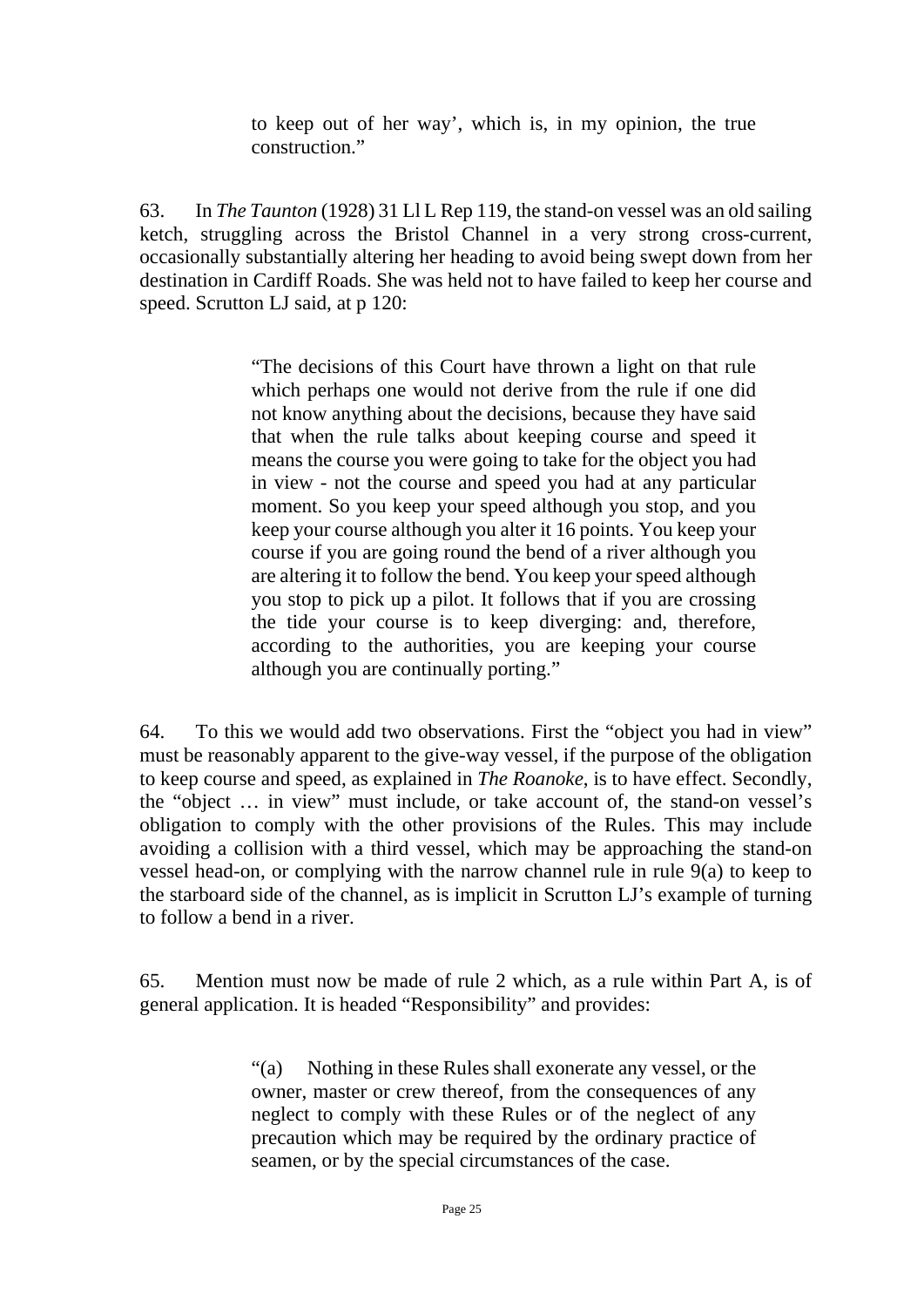to keep out of her way', which is, in my opinion, the true construction."

63. In *The Taunton* (1928) 31 Ll L Rep 119, the stand-on vessel was an old sailing ketch, struggling across the Bristol Channel in a very strong cross-current, occasionally substantially altering her heading to avoid being swept down from her destination in Cardiff Roads. She was held not to have failed to keep her course and speed. Scrutton LJ said, at p 120:

> "The decisions of this Court have thrown a light on that rule which perhaps one would not derive from the rule if one did not know anything about the decisions, because they have said that when the rule talks about keeping course and speed it means the course you were going to take for the object you had in view - not the course and speed you had at any particular moment. So you keep your speed although you stop, and you keep your course although you alter it 16 points. You keep your course if you are going round the bend of a river although you are altering it to follow the bend. You keep your speed although you stop to pick up a pilot. It follows that if you are crossing the tide your course is to keep diverging: and, therefore, according to the authorities, you are keeping your course although you are continually porting."

64. To this we would add two observations. First the "object you had in view" must be reasonably apparent to the give-way vessel, if the purpose of the obligation to keep course and speed, as explained in *The Roanoke*, is to have effect. Secondly, the "object … in view" must include, or take account of, the stand-on vessel's obligation to comply with the other provisions of the Rules. This may include avoiding a collision with a third vessel, which may be approaching the stand-on vessel head-on, or complying with the narrow channel rule in rule 9(a) to keep to the starboard side of the channel, as is implicit in Scrutton LJ's example of turning to follow a bend in a river.

65. Mention must now be made of rule 2 which, as a rule within Part A, is of general application. It is headed "Responsibility" and provides:

> "(a) Nothing in these Rules shall exonerate any vessel, or the owner, master or crew thereof, from the consequences of any neglect to comply with these Rules or of the neglect of any precaution which may be required by the ordinary practice of seamen, or by the special circumstances of the case.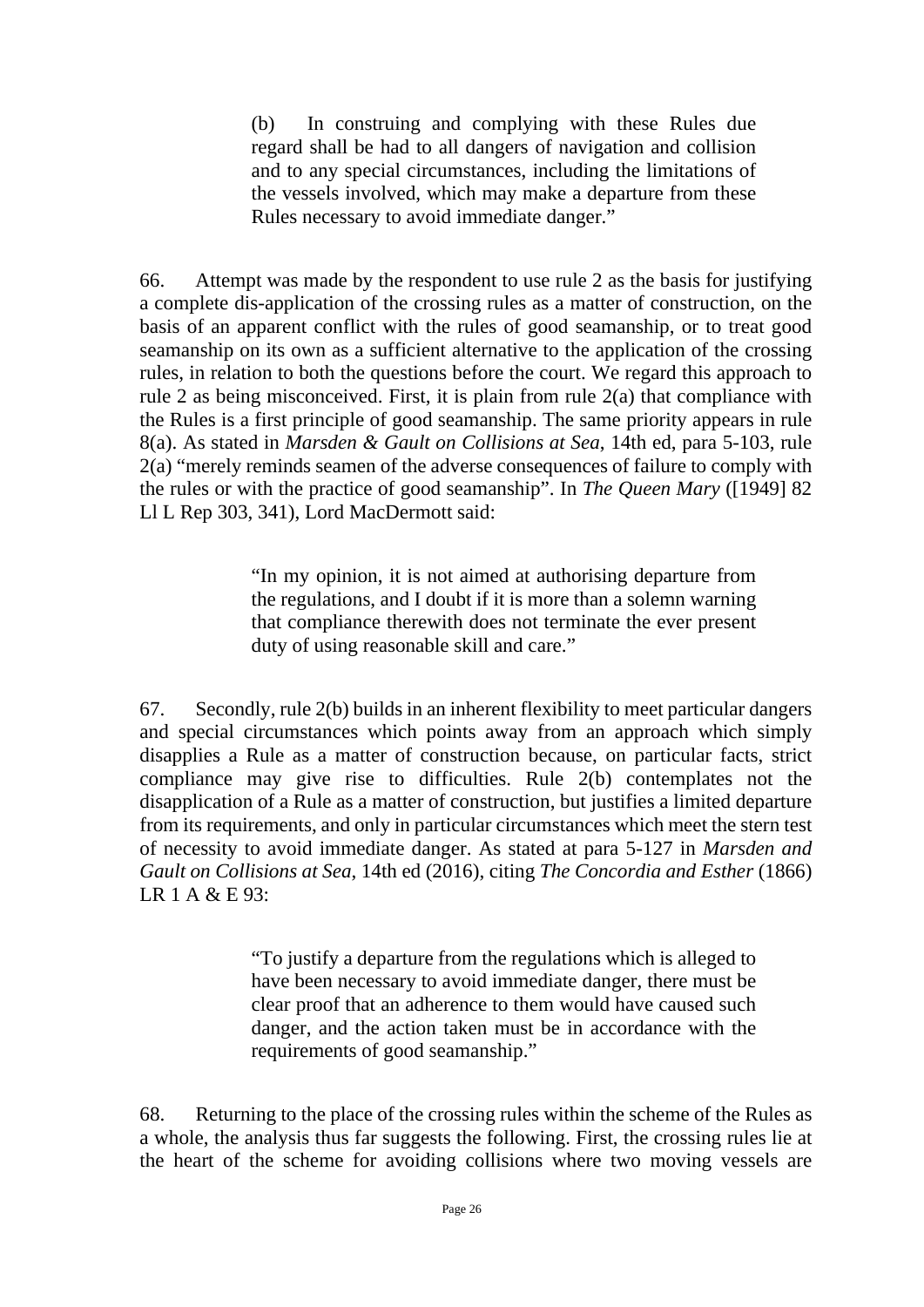(b) In construing and complying with these Rules due regard shall be had to all dangers of navigation and collision and to any special circumstances, including the limitations of the vessels involved, which may make a departure from these Rules necessary to avoid immediate danger."

66. Attempt was made by the respondent to use rule 2 as the basis for justifying a complete dis-application of the crossing rules as a matter of construction, on the basis of an apparent conflict with the rules of good seamanship, or to treat good seamanship on its own as a sufficient alternative to the application of the crossing rules, in relation to both the questions before the court. We regard this approach to rule 2 as being misconceived. First, it is plain from rule 2(a) that compliance with the Rules is a first principle of good seamanship. The same priority appears in rule 8(a). As stated in *Marsden & Gault on Collisions at Sea*, 14th ed, para 5-103, rule 2(a) "merely reminds seamen of the adverse consequences of failure to comply with the rules or with the practice of good seamanship". In *The Queen Mary* ([1949] 82 Ll L Rep 303, 341), Lord MacDermott said:

> "In my opinion, it is not aimed at authorising departure from the regulations, and I doubt if it is more than a solemn warning that compliance therewith does not terminate the ever present duty of using reasonable skill and care."

67. Secondly, rule 2(b) builds in an inherent flexibility to meet particular dangers and special circumstances which points away from an approach which simply disapplies a Rule as a matter of construction because, on particular facts, strict compliance may give rise to difficulties. Rule 2(b) contemplates not the disapplication of a Rule as a matter of construction, but justifies a limited departure from its requirements, and only in particular circumstances which meet the stern test of necessity to avoid immediate danger. As stated at para 5-127 in *Marsden and Gault on Collisions at Sea*, 14th ed (2016), citing *The Concordia and Esther* (1866) LR 1 A  $\&$  E 93 $\cdot$ 

> "To justify a departure from the regulations which is alleged to have been necessary to avoid immediate danger, there must be clear proof that an adherence to them would have caused such danger, and the action taken must be in accordance with the requirements of good seamanship."

68. Returning to the place of the crossing rules within the scheme of the Rules as a whole, the analysis thus far suggests the following. First, the crossing rules lie at the heart of the scheme for avoiding collisions where two moving vessels are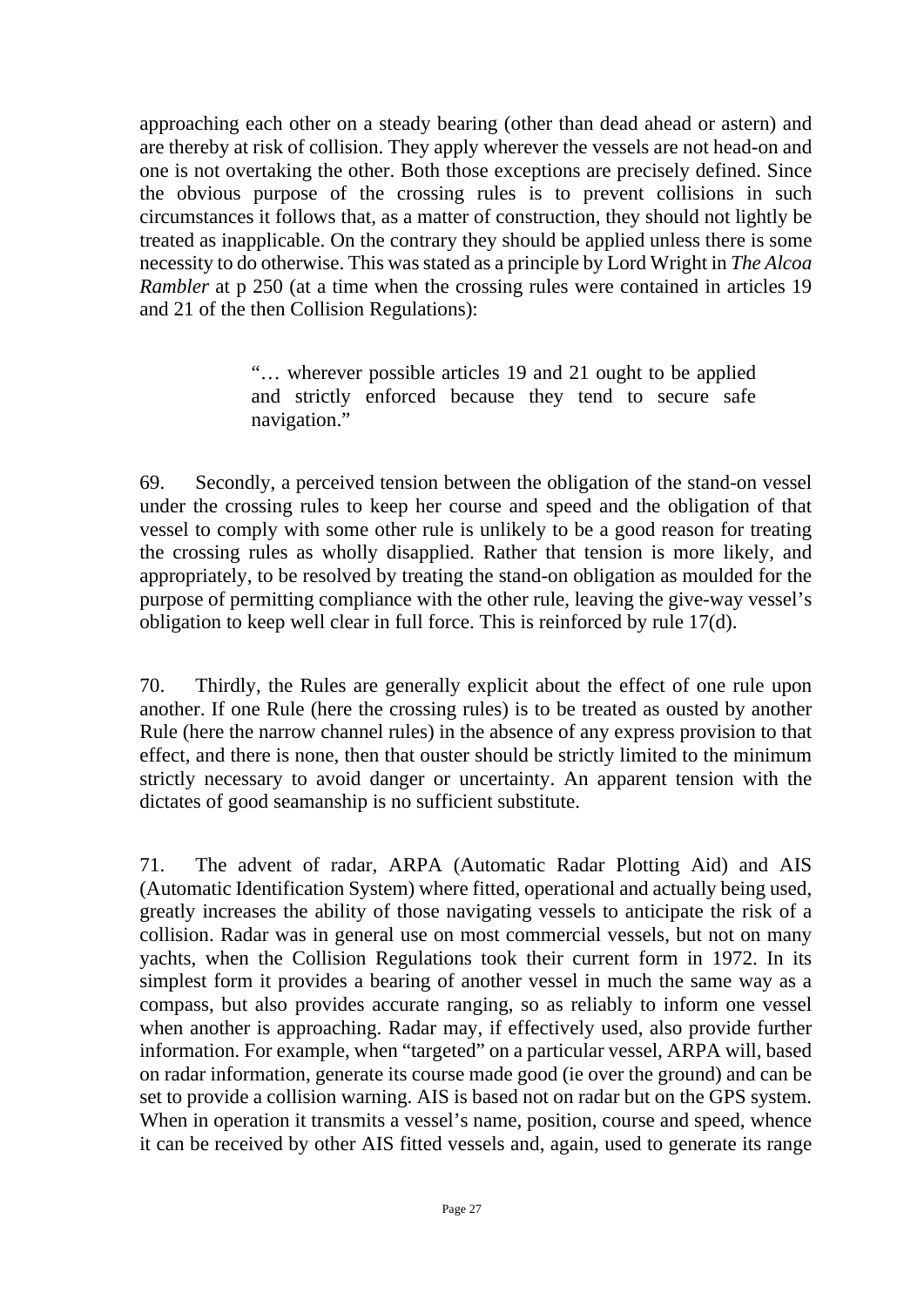approaching each other on a steady bearing (other than dead ahead or astern) and are thereby at risk of collision. They apply wherever the vessels are not head-on and one is not overtaking the other. Both those exceptions are precisely defined. Since the obvious purpose of the crossing rules is to prevent collisions in such circumstances it follows that, as a matter of construction, they should not lightly be treated as inapplicable. On the contrary they should be applied unless there is some necessity to do otherwise. This was stated as a principle by Lord Wright in *The Alcoa Rambler* at p 250 (at a time when the crossing rules were contained in articles 19 and 21 of the then Collision Regulations):

> "… wherever possible articles 19 and 21 ought to be applied and strictly enforced because they tend to secure safe navigation."

69. Secondly, a perceived tension between the obligation of the stand-on vessel under the crossing rules to keep her course and speed and the obligation of that vessel to comply with some other rule is unlikely to be a good reason for treating the crossing rules as wholly disapplied. Rather that tension is more likely, and appropriately, to be resolved by treating the stand-on obligation as moulded for the purpose of permitting compliance with the other rule, leaving the give-way vessel's obligation to keep well clear in full force. This is reinforced by rule 17(d).

70. Thirdly, the Rules are generally explicit about the effect of one rule upon another. If one Rule (here the crossing rules) is to be treated as ousted by another Rule (here the narrow channel rules) in the absence of any express provision to that effect, and there is none, then that ouster should be strictly limited to the minimum strictly necessary to avoid danger or uncertainty. An apparent tension with the dictates of good seamanship is no sufficient substitute.

71. The advent of radar, ARPA (Automatic Radar Plotting Aid) and AIS (Automatic Identification System) where fitted, operational and actually being used, greatly increases the ability of those navigating vessels to anticipate the risk of a collision. Radar was in general use on most commercial vessels, but not on many yachts, when the Collision Regulations took their current form in 1972. In its simplest form it provides a bearing of another vessel in much the same way as a compass, but also provides accurate ranging, so as reliably to inform one vessel when another is approaching. Radar may, if effectively used, also provide further information. For example, when "targeted" on a particular vessel, ARPA will, based on radar information, generate its course made good (ie over the ground) and can be set to provide a collision warning. AIS is based not on radar but on the GPS system. When in operation it transmits a vessel's name, position, course and speed, whence it can be received by other AIS fitted vessels and, again, used to generate its range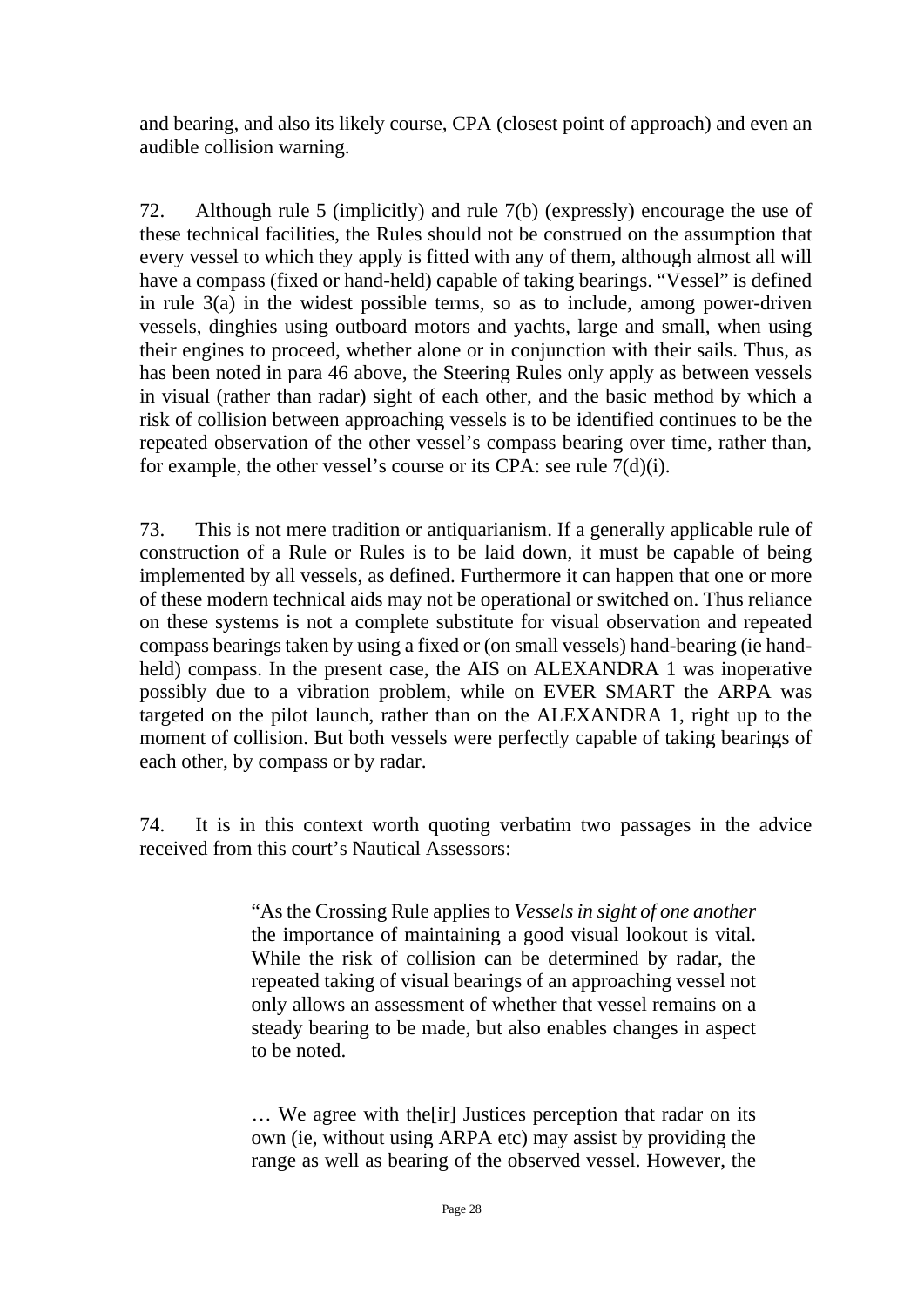and bearing, and also its likely course, CPA (closest point of approach) and even an audible collision warning.

72. Although rule 5 (implicitly) and rule 7(b) (expressly) encourage the use of these technical facilities, the Rules should not be construed on the assumption that every vessel to which they apply is fitted with any of them, although almost all will have a compass (fixed or hand-held) capable of taking bearings. "Vessel" is defined in rule  $3(a)$  in the widest possible terms, so as to include, among power-driven vessels, dinghies using outboard motors and yachts, large and small, when using their engines to proceed, whether alone or in conjunction with their sails. Thus, as has been noted in para 46 above, the Steering Rules only apply as between vessels in visual (rather than radar) sight of each other, and the basic method by which a risk of collision between approaching vessels is to be identified continues to be the repeated observation of the other vessel's compass bearing over time, rather than, for example, the other vessel's course or its CPA: see rule 7(d)(i).

73. This is not mere tradition or antiquarianism. If a generally applicable rule of construction of a Rule or Rules is to be laid down, it must be capable of being implemented by all vessels, as defined. Furthermore it can happen that one or more of these modern technical aids may not be operational or switched on. Thus reliance on these systems is not a complete substitute for visual observation and repeated compass bearings taken by using a fixed or (on small vessels) hand-bearing (ie handheld) compass. In the present case, the AIS on ALEXANDRA 1 was inoperative possibly due to a vibration problem, while on EVER SMART the ARPA was targeted on the pilot launch, rather than on the ALEXANDRA 1, right up to the moment of collision. But both vessels were perfectly capable of taking bearings of each other, by compass or by radar.

74. It is in this context worth quoting verbatim two passages in the advice received from this court's Nautical Assessors:

> "As the Crossing Rule applies to *Vessels in sight of one another* the importance of maintaining a good visual lookout is vital. While the risk of collision can be determined by radar, the repeated taking of visual bearings of an approaching vessel not only allows an assessment of whether that vessel remains on a steady bearing to be made, but also enables changes in aspect to be noted.

> … We agree with the[ir] Justices perception that radar on its own (ie, without using ARPA etc) may assist by providing the range as well as bearing of the observed vessel. However, the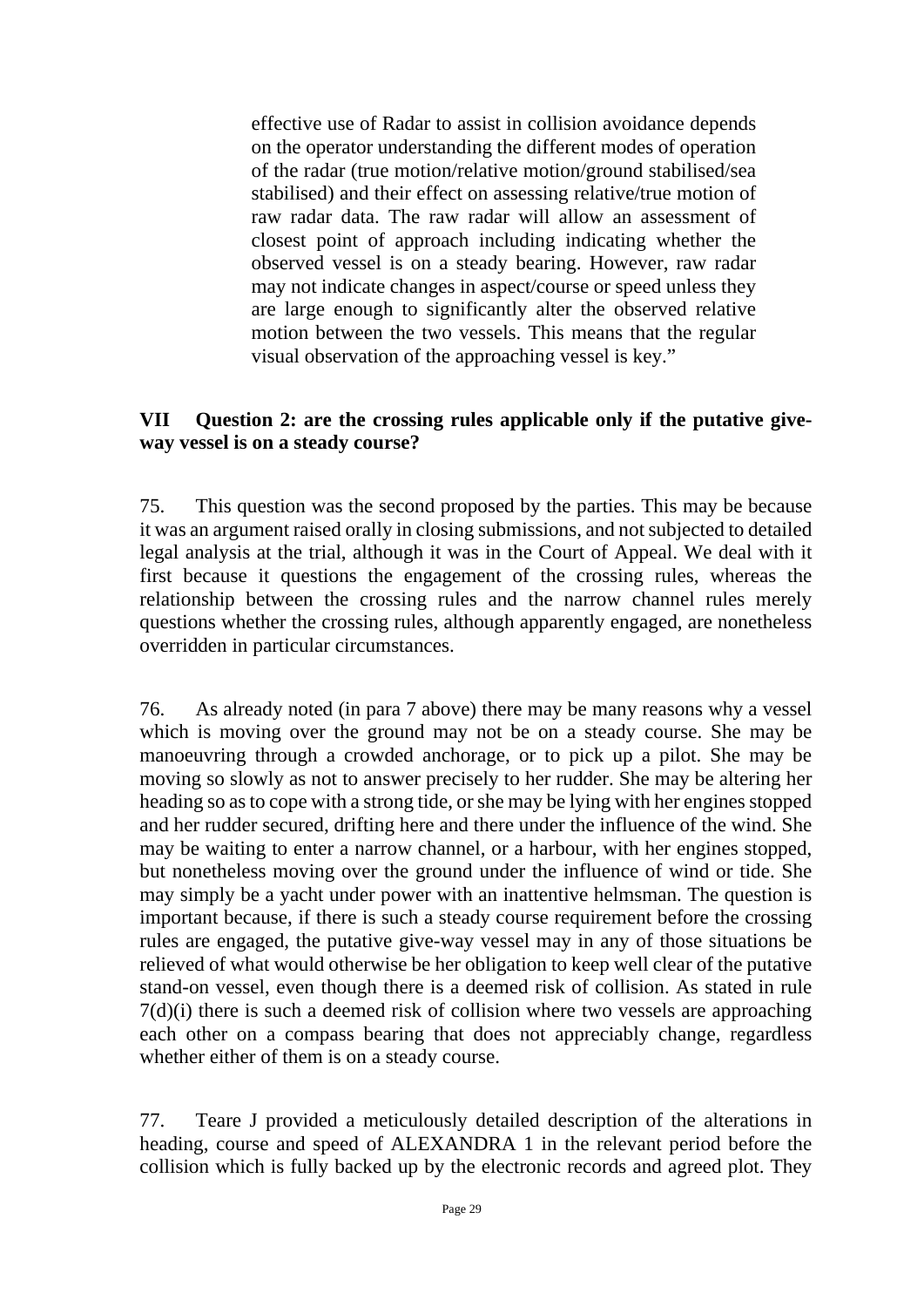effective use of Radar to assist in collision avoidance depends on the operator understanding the different modes of operation of the radar (true motion/relative motion/ground stabilised/sea stabilised) and their effect on assessing relative/true motion of raw radar data. The raw radar will allow an assessment of closest point of approach including indicating whether the observed vessel is on a steady bearing. However, raw radar may not indicate changes in aspect/course or speed unless they are large enough to significantly alter the observed relative motion between the two vessels. This means that the regular visual observation of the approaching vessel is key."

## **VII Question 2: are the crossing rules applicable only if the putative giveway vessel is on a steady course?**

75. This question was the second proposed by the parties. This may be because it was an argument raised orally in closing submissions, and not subjected to detailed legal analysis at the trial, although it was in the Court of Appeal. We deal with it first because it questions the engagement of the crossing rules, whereas the relationship between the crossing rules and the narrow channel rules merely questions whether the crossing rules, although apparently engaged, are nonetheless overridden in particular circumstances.

76. As already noted (in para 7 above) there may be many reasons why a vessel which is moving over the ground may not be on a steady course. She may be manoeuvring through a crowded anchorage, or to pick up a pilot. She may be moving so slowly as not to answer precisely to her rudder. She may be altering her heading so as to cope with a strong tide, or she may be lying with her engines stopped and her rudder secured, drifting here and there under the influence of the wind. She may be waiting to enter a narrow channel, or a harbour, with her engines stopped, but nonetheless moving over the ground under the influence of wind or tide. She may simply be a yacht under power with an inattentive helmsman. The question is important because, if there is such a steady course requirement before the crossing rules are engaged, the putative give-way vessel may in any of those situations be relieved of what would otherwise be her obligation to keep well clear of the putative stand-on vessel, even though there is a deemed risk of collision. As stated in rule 7(d)(i) there is such a deemed risk of collision where two vessels are approaching each other on a compass bearing that does not appreciably change, regardless whether either of them is on a steady course.

77. Teare J provided a meticulously detailed description of the alterations in heading, course and speed of ALEXANDRA 1 in the relevant period before the collision which is fully backed up by the electronic records and agreed plot. They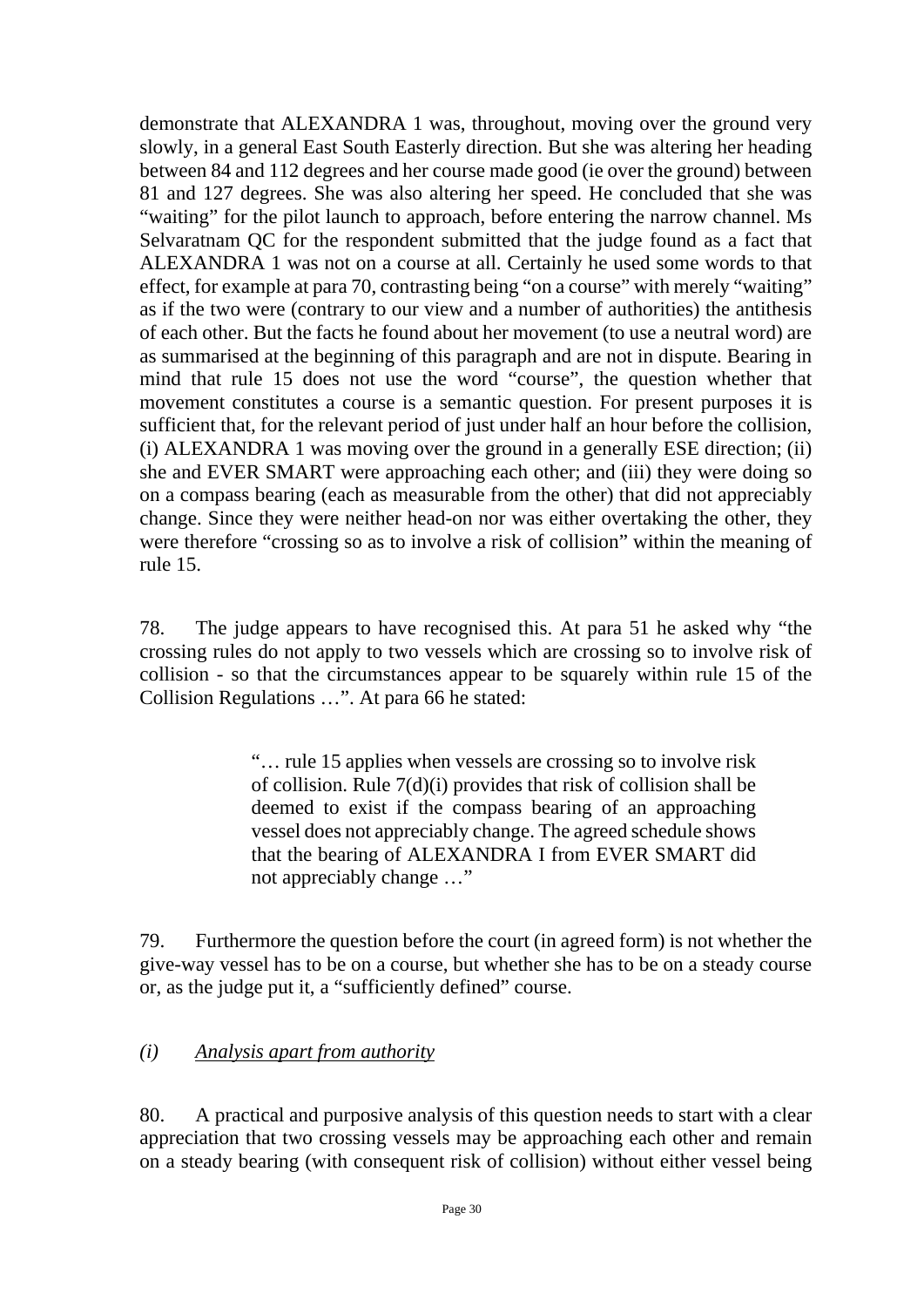demonstrate that ALEXANDRA 1 was, throughout, moving over the ground very slowly, in a general East South Easterly direction. But she was altering her heading between 84 and 112 degrees and her course made good (ie over the ground) between 81 and 127 degrees. She was also altering her speed. He concluded that she was "waiting" for the pilot launch to approach, before entering the narrow channel. Ms Selvaratnam QC for the respondent submitted that the judge found as a fact that ALEXANDRA 1 was not on a course at all. Certainly he used some words to that effect, for example at para 70, contrasting being "on a course" with merely "waiting" as if the two were (contrary to our view and a number of authorities) the antithesis of each other. But the facts he found about her movement (to use a neutral word) are as summarised at the beginning of this paragraph and are not in dispute. Bearing in mind that rule 15 does not use the word "course", the question whether that movement constitutes a course is a semantic question. For present purposes it is sufficient that, for the relevant period of just under half an hour before the collision, (i) ALEXANDRA 1 was moving over the ground in a generally ESE direction; (ii) she and EVER SMART were approaching each other; and (iii) they were doing so on a compass bearing (each as measurable from the other) that did not appreciably change. Since they were neither head-on nor was either overtaking the other, they were therefore "crossing so as to involve a risk of collision" within the meaning of rule 15.

78. The judge appears to have recognised this. At para 51 he asked why "the crossing rules do not apply to two vessels which are crossing so to involve risk of collision - so that the circumstances appear to be squarely within rule 15 of the Collision Regulations …". At para 66 he stated:

> "… rule 15 applies when vessels are crossing so to involve risk of collision. Rule 7(d)(i) provides that risk of collision shall be deemed to exist if the compass bearing of an approaching vessel does not appreciably change. The agreed schedule shows that the bearing of ALEXANDRA I from EVER SMART did not appreciably change …"

79. Furthermore the question before the court (in agreed form) is not whether the give-way vessel has to be on a course, but whether she has to be on a steady course or, as the judge put it, a "sufficiently defined" course.

## *(i) Analysis apart from authority*

80. A practical and purposive analysis of this question needs to start with a clear appreciation that two crossing vessels may be approaching each other and remain on a steady bearing (with consequent risk of collision) without either vessel being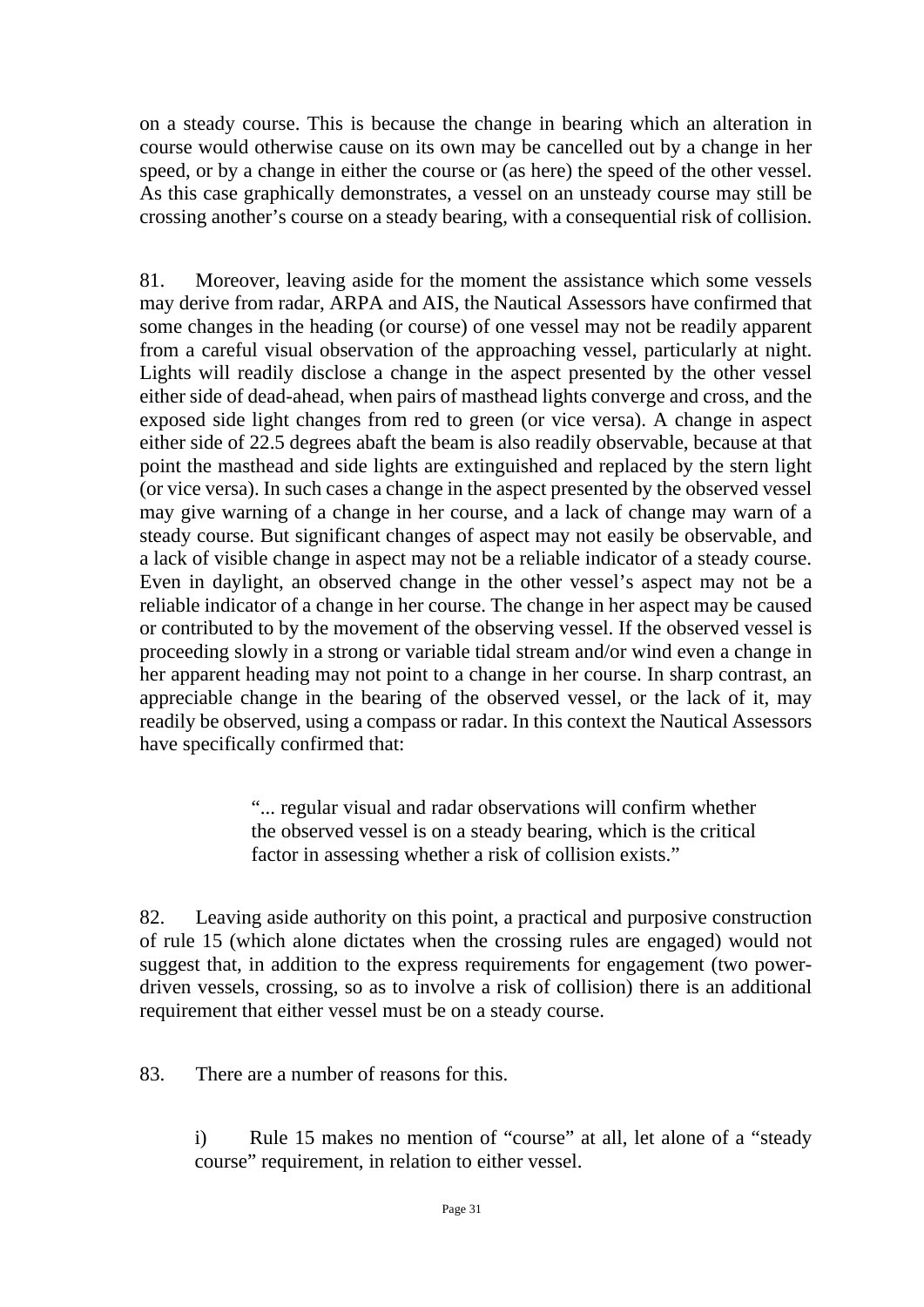on a steady course. This is because the change in bearing which an alteration in course would otherwise cause on its own may be cancelled out by a change in her speed, or by a change in either the course or (as here) the speed of the other vessel. As this case graphically demonstrates, a vessel on an unsteady course may still be crossing another's course on a steady bearing, with a consequential risk of collision.

81. Moreover, leaving aside for the moment the assistance which some vessels may derive from radar, ARPA and AIS, the Nautical Assessors have confirmed that some changes in the heading (or course) of one vessel may not be readily apparent from a careful visual observation of the approaching vessel, particularly at night. Lights will readily disclose a change in the aspect presented by the other vessel either side of dead-ahead, when pairs of masthead lights converge and cross, and the exposed side light changes from red to green (or vice versa). A change in aspect either side of 22.5 degrees abaft the beam is also readily observable, because at that point the masthead and side lights are extinguished and replaced by the stern light (or vice versa). In such cases a change in the aspect presented by the observed vessel may give warning of a change in her course, and a lack of change may warn of a steady course. But significant changes of aspect may not easily be observable, and a lack of visible change in aspect may not be a reliable indicator of a steady course. Even in daylight, an observed change in the other vessel's aspect may not be a reliable indicator of a change in her course. The change in her aspect may be caused or contributed to by the movement of the observing vessel. If the observed vessel is proceeding slowly in a strong or variable tidal stream and/or wind even a change in her apparent heading may not point to a change in her course. In sharp contrast, an appreciable change in the bearing of the observed vessel, or the lack of it, may readily be observed, using a compass or radar. In this context the Nautical Assessors have specifically confirmed that:

> "... regular visual and radar observations will confirm whether the observed vessel is on a steady bearing, which is the critical factor in assessing whether a risk of collision exists."

82. Leaving aside authority on this point, a practical and purposive construction of rule 15 (which alone dictates when the crossing rules are engaged) would not suggest that, in addition to the express requirements for engagement (two powerdriven vessels, crossing, so as to involve a risk of collision) there is an additional requirement that either vessel must be on a steady course.

83. There are a number of reasons for this.

i) Rule 15 makes no mention of "course" at all, let alone of a "steady course" requirement, in relation to either vessel.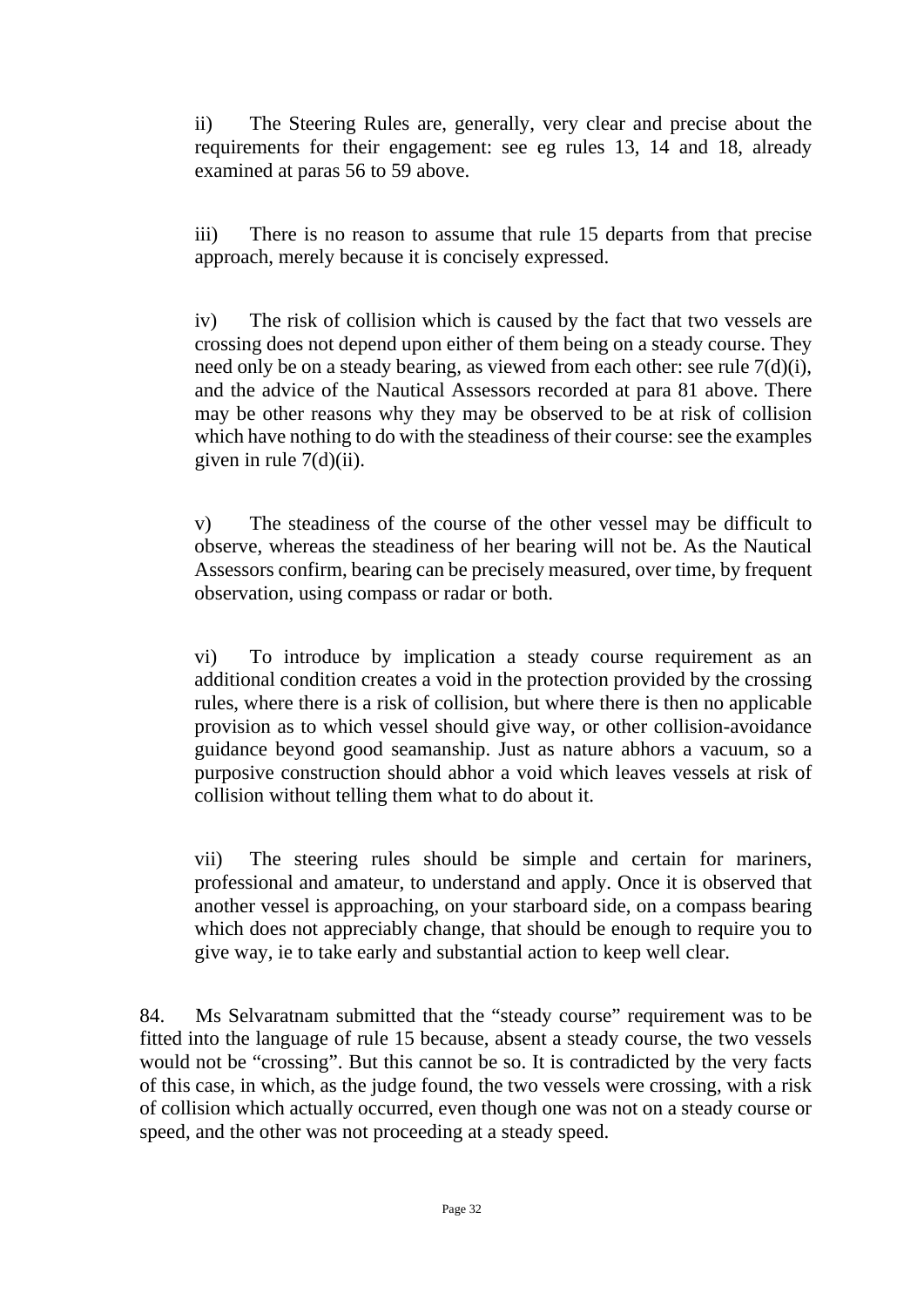ii) The Steering Rules are, generally, very clear and precise about the requirements for their engagement: see eg rules 13, 14 and 18, already examined at paras 56 to 59 above.

iii) There is no reason to assume that rule 15 departs from that precise approach, merely because it is concisely expressed.

iv) The risk of collision which is caused by the fact that two vessels are crossing does not depend upon either of them being on a steady course. They need only be on a steady bearing, as viewed from each other: see rule 7(d)(i), and the advice of the Nautical Assessors recorded at para 81 above. There may be other reasons why they may be observed to be at risk of collision which have nothing to do with the steadiness of their course: see the examples given in rule  $7(d)(ii)$ .

v) The steadiness of the course of the other vessel may be difficult to observe, whereas the steadiness of her bearing will not be. As the Nautical Assessors confirm, bearing can be precisely measured, over time, by frequent observation, using compass or radar or both.

vi) To introduce by implication a steady course requirement as an additional condition creates a void in the protection provided by the crossing rules, where there is a risk of collision, but where there is then no applicable provision as to which vessel should give way, or other collision-avoidance guidance beyond good seamanship. Just as nature abhors a vacuum, so a purposive construction should abhor a void which leaves vessels at risk of collision without telling them what to do about it.

vii) The steering rules should be simple and certain for mariners, professional and amateur, to understand and apply. Once it is observed that another vessel is approaching, on your starboard side, on a compass bearing which does not appreciably change, that should be enough to require you to give way, ie to take early and substantial action to keep well clear.

84. Ms Selvaratnam submitted that the "steady course" requirement was to be fitted into the language of rule 15 because, absent a steady course, the two vessels would not be "crossing". But this cannot be so. It is contradicted by the very facts of this case, in which, as the judge found, the two vessels were crossing, with a risk of collision which actually occurred, even though one was not on a steady course or speed, and the other was not proceeding at a steady speed.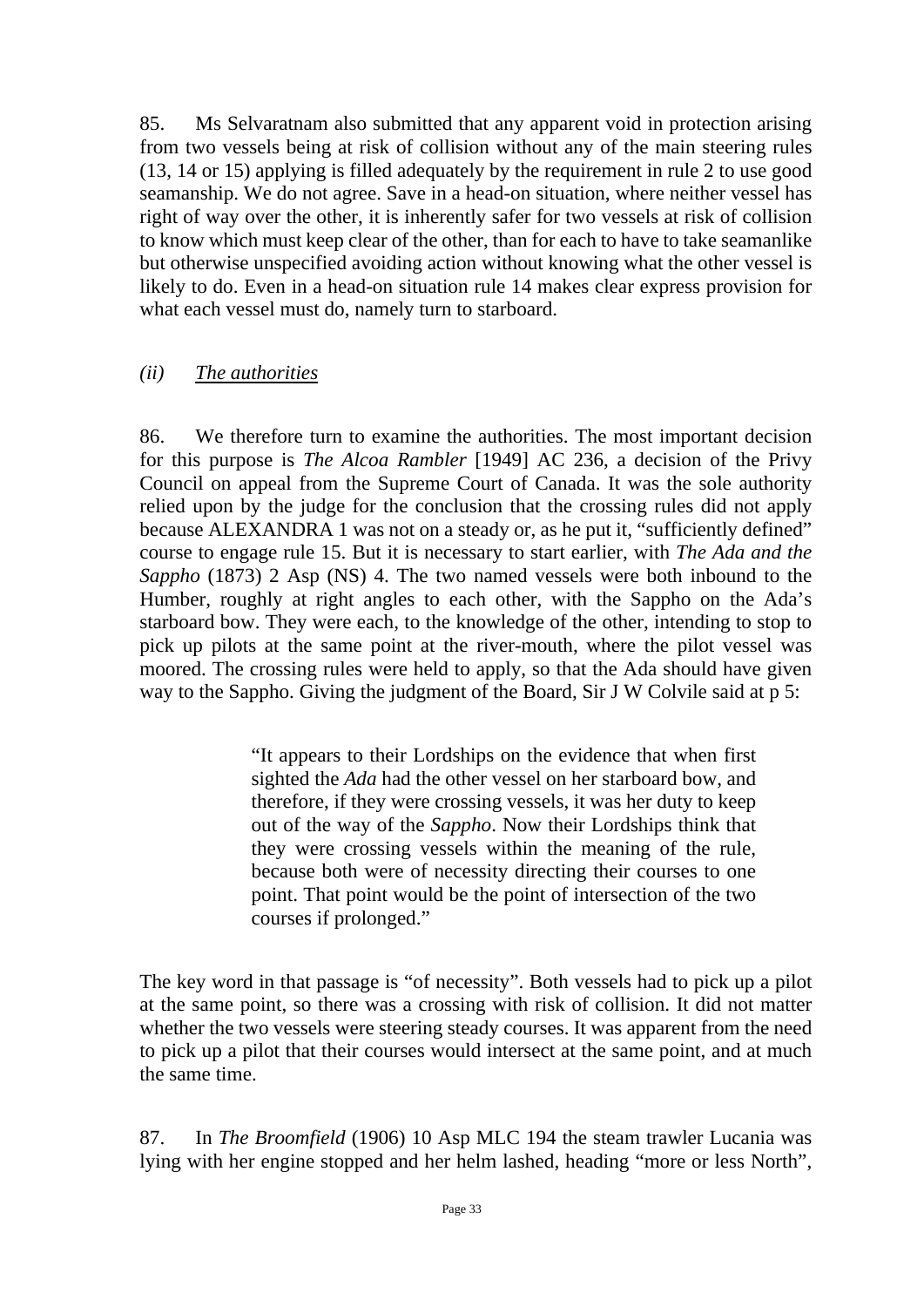85. Ms Selvaratnam also submitted that any apparent void in protection arising from two vessels being at risk of collision without any of the main steering rules (13, 14 or 15) applying is filled adequately by the requirement in rule 2 to use good seamanship. We do not agree. Save in a head-on situation, where neither vessel has right of way over the other, it is inherently safer for two vessels at risk of collision to know which must keep clear of the other, than for each to have to take seamanlike but otherwise unspecified avoiding action without knowing what the other vessel is likely to do. Even in a head-on situation rule 14 makes clear express provision for what each vessel must do, namely turn to starboard.

## *(ii) The authorities*

86. We therefore turn to examine the authorities. The most important decision for this purpose is *The Alcoa Rambler* [1949] AC 236, a decision of the Privy Council on appeal from the Supreme Court of Canada. It was the sole authority relied upon by the judge for the conclusion that the crossing rules did not apply because ALEXANDRA 1 was not on a steady or, as he put it, "sufficiently defined" course to engage rule 15. But it is necessary to start earlier, with *The Ada and the Sappho* (1873) 2 Asp (NS) 4. The two named vessels were both inbound to the Humber, roughly at right angles to each other, with the Sappho on the Ada's starboard bow. They were each, to the knowledge of the other, intending to stop to pick up pilots at the same point at the river-mouth, where the pilot vessel was moored. The crossing rules were held to apply, so that the Ada should have given way to the Sappho. Giving the judgment of the Board, Sir J W Colvile said at p 5:

> "It appears to their Lordships on the evidence that when first sighted the *Ada* had the other vessel on her starboard bow, and therefore, if they were crossing vessels, it was her duty to keep out of the way of the *Sappho*. Now their Lordships think that they were crossing vessels within the meaning of the rule, because both were of necessity directing their courses to one point. That point would be the point of intersection of the two courses if prolonged."

The key word in that passage is "of necessity". Both vessels had to pick up a pilot at the same point, so there was a crossing with risk of collision. It did not matter whether the two vessels were steering steady courses. It was apparent from the need to pick up a pilot that their courses would intersect at the same point, and at much the same time.

87. In *The Broomfield* (1906) 10 Asp MLC 194 the steam trawler Lucania was lying with her engine stopped and her helm lashed, heading "more or less North",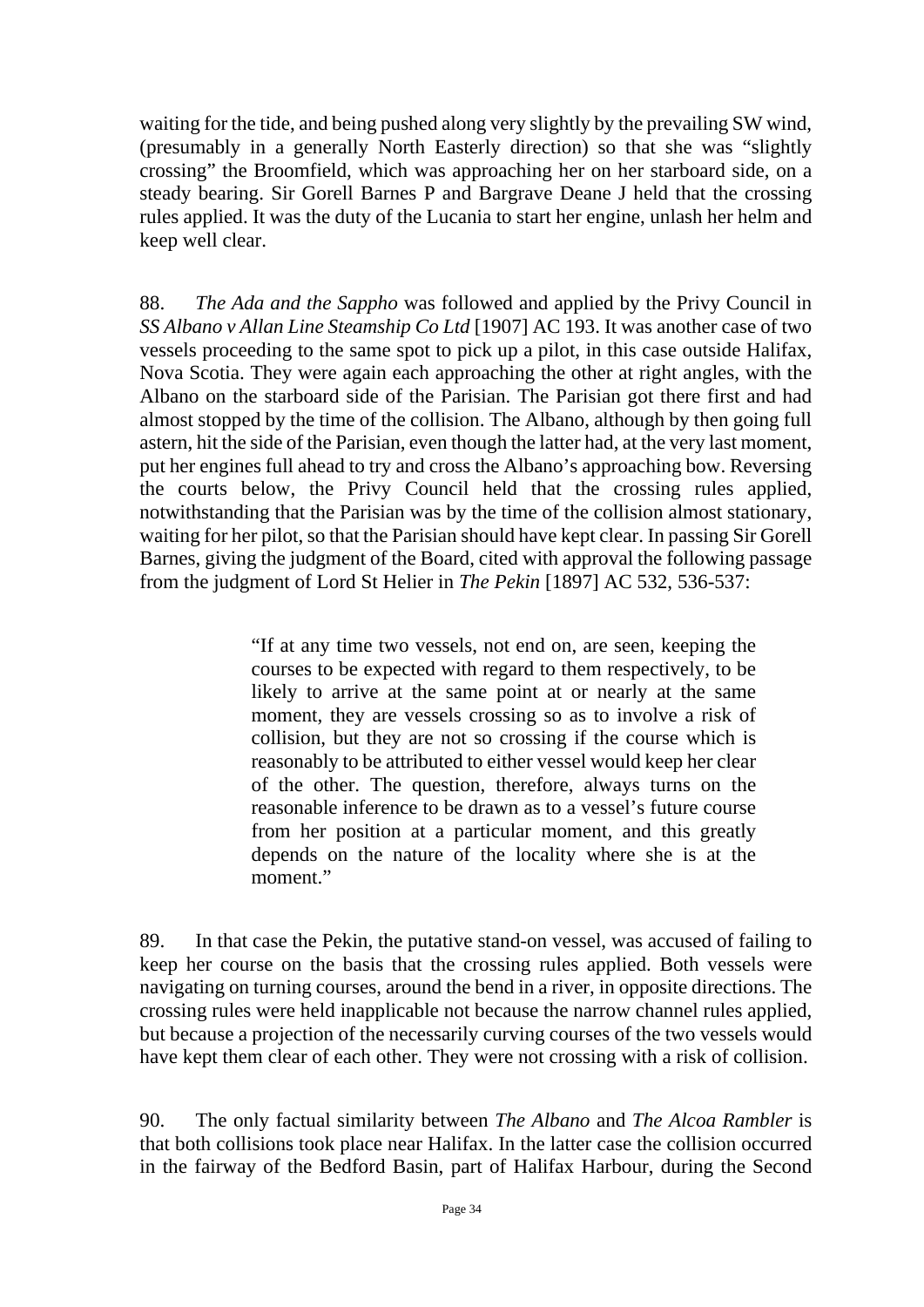waiting for the tide, and being pushed along very slightly by the prevailing SW wind, (presumably in a generally North Easterly direction) so that she was "slightly crossing" the Broomfield, which was approaching her on her starboard side, on a steady bearing. Sir Gorell Barnes P and Bargrave Deane J held that the crossing rules applied. It was the duty of the Lucania to start her engine, unlash her helm and keep well clear.

88. *The Ada and the Sappho* was followed and applied by the Privy Council in *SS Albano v Allan Line Steamship Co Ltd* [1907] AC 193. It was another case of two vessels proceeding to the same spot to pick up a pilot, in this case outside Halifax, Nova Scotia. They were again each approaching the other at right angles, with the Albano on the starboard side of the Parisian. The Parisian got there first and had almost stopped by the time of the collision. The Albano, although by then going full astern, hit the side of the Parisian, even though the latter had, at the very last moment, put her engines full ahead to try and cross the Albano's approaching bow. Reversing the courts below, the Privy Council held that the crossing rules applied, notwithstanding that the Parisian was by the time of the collision almost stationary, waiting for her pilot, so that the Parisian should have kept clear. In passing Sir Gorell Barnes, giving the judgment of the Board, cited with approval the following passage from the judgment of Lord St Helier in *The Pekin* [1897] AC 532, 536-537:

> "If at any time two vessels, not end on, are seen, keeping the courses to be expected with regard to them respectively, to be likely to arrive at the same point at or nearly at the same moment, they are vessels crossing so as to involve a risk of collision, but they are not so crossing if the course which is reasonably to be attributed to either vessel would keep her clear of the other. The question, therefore, always turns on the reasonable inference to be drawn as to a vessel's future course from her position at a particular moment, and this greatly depends on the nature of the locality where she is at the moment."

89. In that case the Pekin, the putative stand-on vessel, was accused of failing to keep her course on the basis that the crossing rules applied. Both vessels were navigating on turning courses, around the bend in a river, in opposite directions. The crossing rules were held inapplicable not because the narrow channel rules applied, but because a projection of the necessarily curving courses of the two vessels would have kept them clear of each other. They were not crossing with a risk of collision.

90. The only factual similarity between *The Albano* and *The Alcoa Rambler* is that both collisions took place near Halifax. In the latter case the collision occurred in the fairway of the Bedford Basin, part of Halifax Harbour, during the Second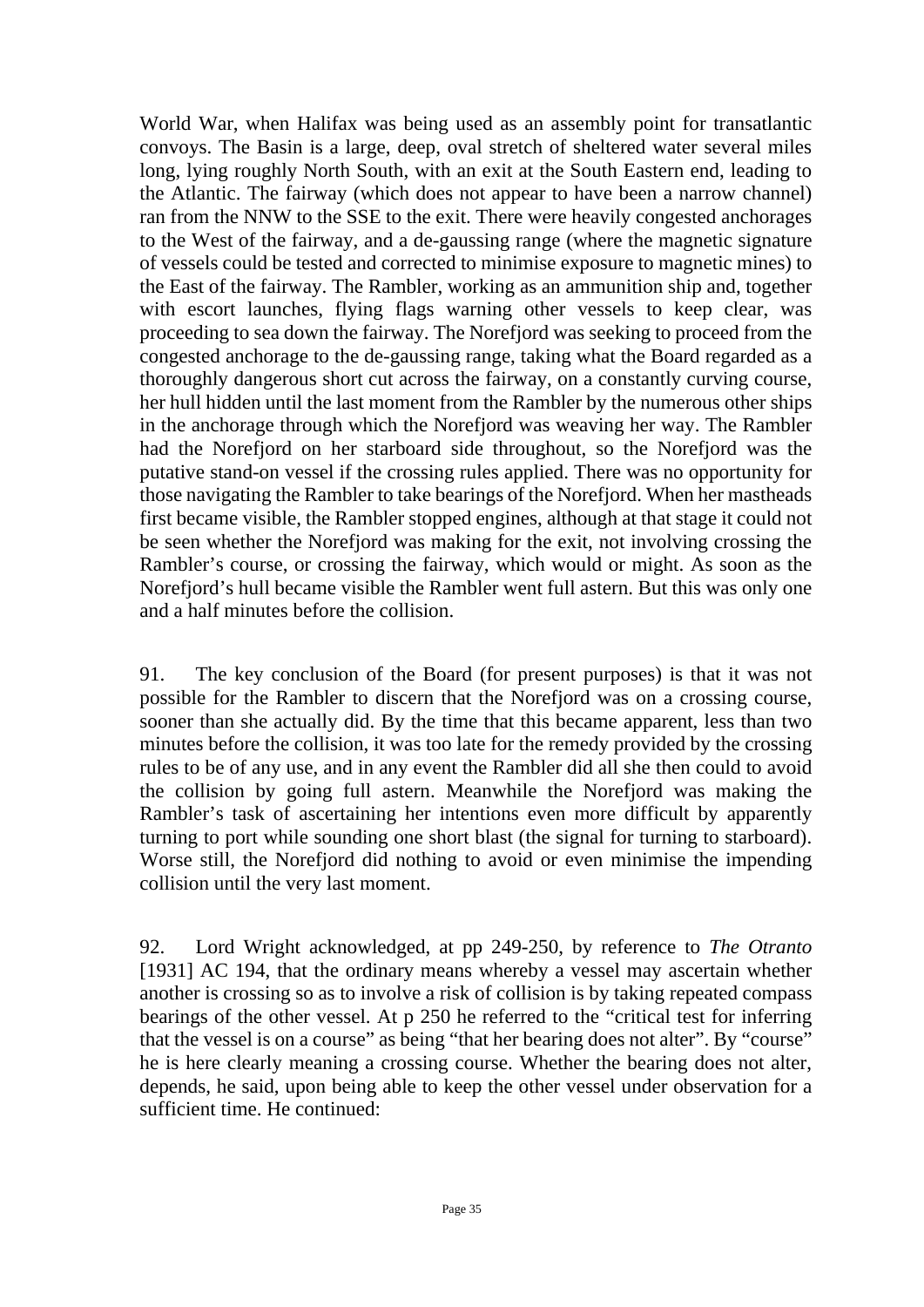World War, when Halifax was being used as an assembly point for transatlantic convoys. The Basin is a large, deep, oval stretch of sheltered water several miles long, lying roughly North South, with an exit at the South Eastern end, leading to the Atlantic. The fairway (which does not appear to have been a narrow channel) ran from the NNW to the SSE to the exit. There were heavily congested anchorages to the West of the fairway, and a de-gaussing range (where the magnetic signature of vessels could be tested and corrected to minimise exposure to magnetic mines) to the East of the fairway. The Rambler, working as an ammunition ship and, together with escort launches, flying flags warning other vessels to keep clear, was proceeding to sea down the fairway. The Norefjord was seeking to proceed from the congested anchorage to the de-gaussing range, taking what the Board regarded as a thoroughly dangerous short cut across the fairway, on a constantly curving course, her hull hidden until the last moment from the Rambler by the numerous other ships in the anchorage through which the Norefjord was weaving her way. The Rambler had the Norefjord on her starboard side throughout, so the Norefjord was the putative stand-on vessel if the crossing rules applied. There was no opportunity for those navigating the Rambler to take bearings of the Norefjord. When her mastheads first became visible, the Rambler stopped engines, although at that stage it could not be seen whether the Norefjord was making for the exit, not involving crossing the Rambler's course, or crossing the fairway, which would or might. As soon as the Norefjord's hull became visible the Rambler went full astern. But this was only one and a half minutes before the collision.

91. The key conclusion of the Board (for present purposes) is that it was not possible for the Rambler to discern that the Norefjord was on a crossing course, sooner than she actually did. By the time that this became apparent, less than two minutes before the collision, it was too late for the remedy provided by the crossing rules to be of any use, and in any event the Rambler did all she then could to avoid the collision by going full astern. Meanwhile the Norefjord was making the Rambler's task of ascertaining her intentions even more difficult by apparently turning to port while sounding one short blast (the signal for turning to starboard). Worse still, the Norefjord did nothing to avoid or even minimise the impending collision until the very last moment.

92. Lord Wright acknowledged, at pp 249-250, by reference to *The Otranto* [1931] AC 194, that the ordinary means whereby a vessel may ascertain whether another is crossing so as to involve a risk of collision is by taking repeated compass bearings of the other vessel. At p 250 he referred to the "critical test for inferring that the vessel is on a course" as being "that her bearing does not alter". By "course" he is here clearly meaning a crossing course. Whether the bearing does not alter, depends, he said, upon being able to keep the other vessel under observation for a sufficient time. He continued: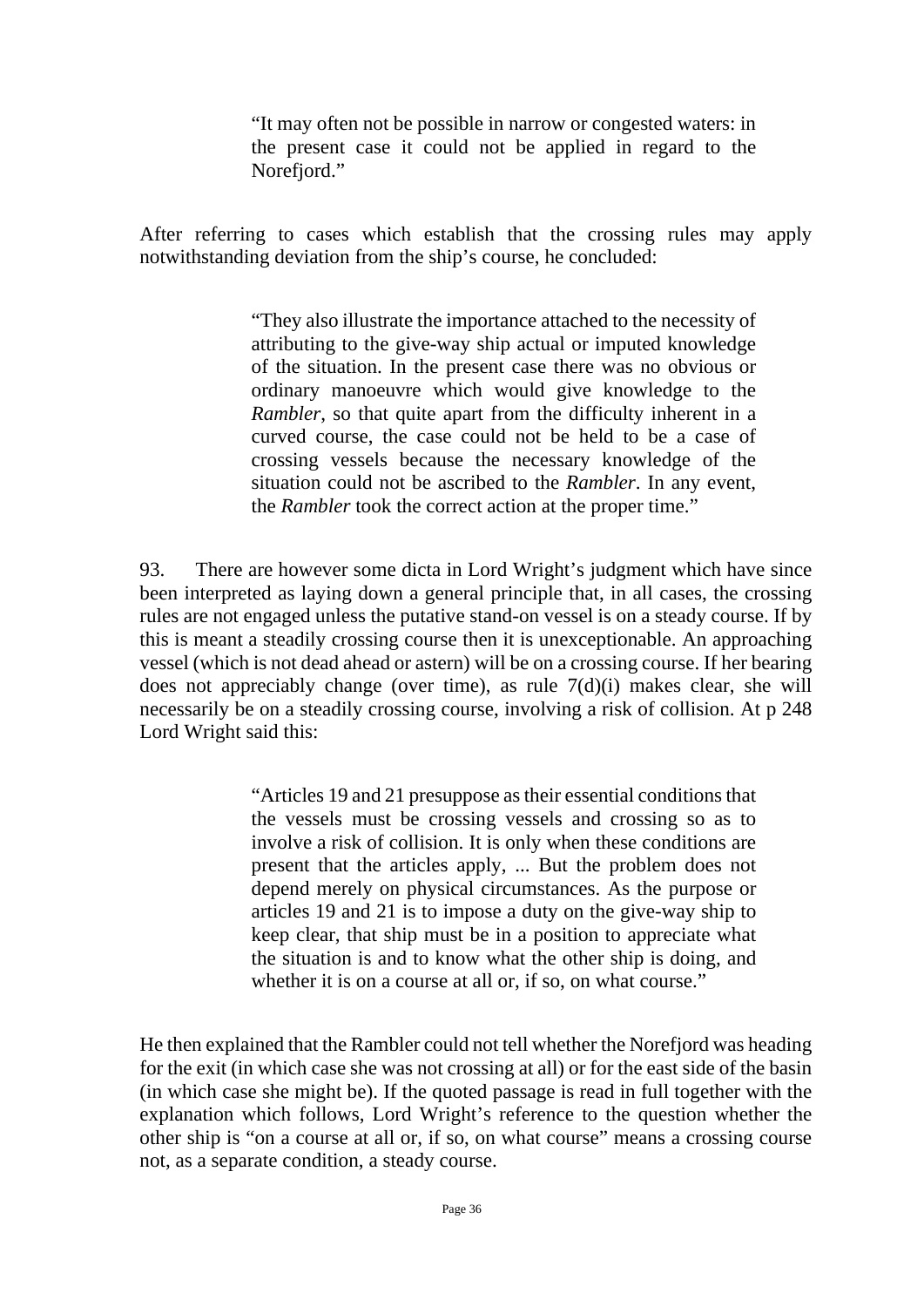"It may often not be possible in narrow or congested waters: in the present case it could not be applied in regard to the Norefjord."

After referring to cases which establish that the crossing rules may apply notwithstanding deviation from the ship's course, he concluded:

> "They also illustrate the importance attached to the necessity of attributing to the give-way ship actual or imputed knowledge of the situation. In the present case there was no obvious or ordinary manoeuvre which would give knowledge to the *Rambler*, so that quite apart from the difficulty inherent in a curved course, the case could not be held to be a case of crossing vessels because the necessary knowledge of the situation could not be ascribed to the *Rambler*. In any event, the *Rambler* took the correct action at the proper time."

93. There are however some dicta in Lord Wright's judgment which have since been interpreted as laying down a general principle that, in all cases, the crossing rules are not engaged unless the putative stand-on vessel is on a steady course. If by this is meant a steadily crossing course then it is unexceptionable. An approaching vessel (which is not dead ahead or astern) will be on a crossing course. If her bearing does not appreciably change (over time), as rule 7(d)(i) makes clear, she will necessarily be on a steadily crossing course, involving a risk of collision. At p 248 Lord Wright said this:

> "Articles 19 and 21 presuppose as their essential conditions that the vessels must be crossing vessels and crossing so as to involve a risk of collision. It is only when these conditions are present that the articles apply, ... But the problem does not depend merely on physical circumstances. As the purpose or articles 19 and 21 is to impose a duty on the give-way ship to keep clear, that ship must be in a position to appreciate what the situation is and to know what the other ship is doing, and whether it is on a course at all or, if so, on what course."

He then explained that the Rambler could not tell whether the Norefjord was heading for the exit (in which case she was not crossing at all) or for the east side of the basin (in which case she might be). If the quoted passage is read in full together with the explanation which follows, Lord Wright's reference to the question whether the other ship is "on a course at all or, if so, on what course" means a crossing course not, as a separate condition, a steady course.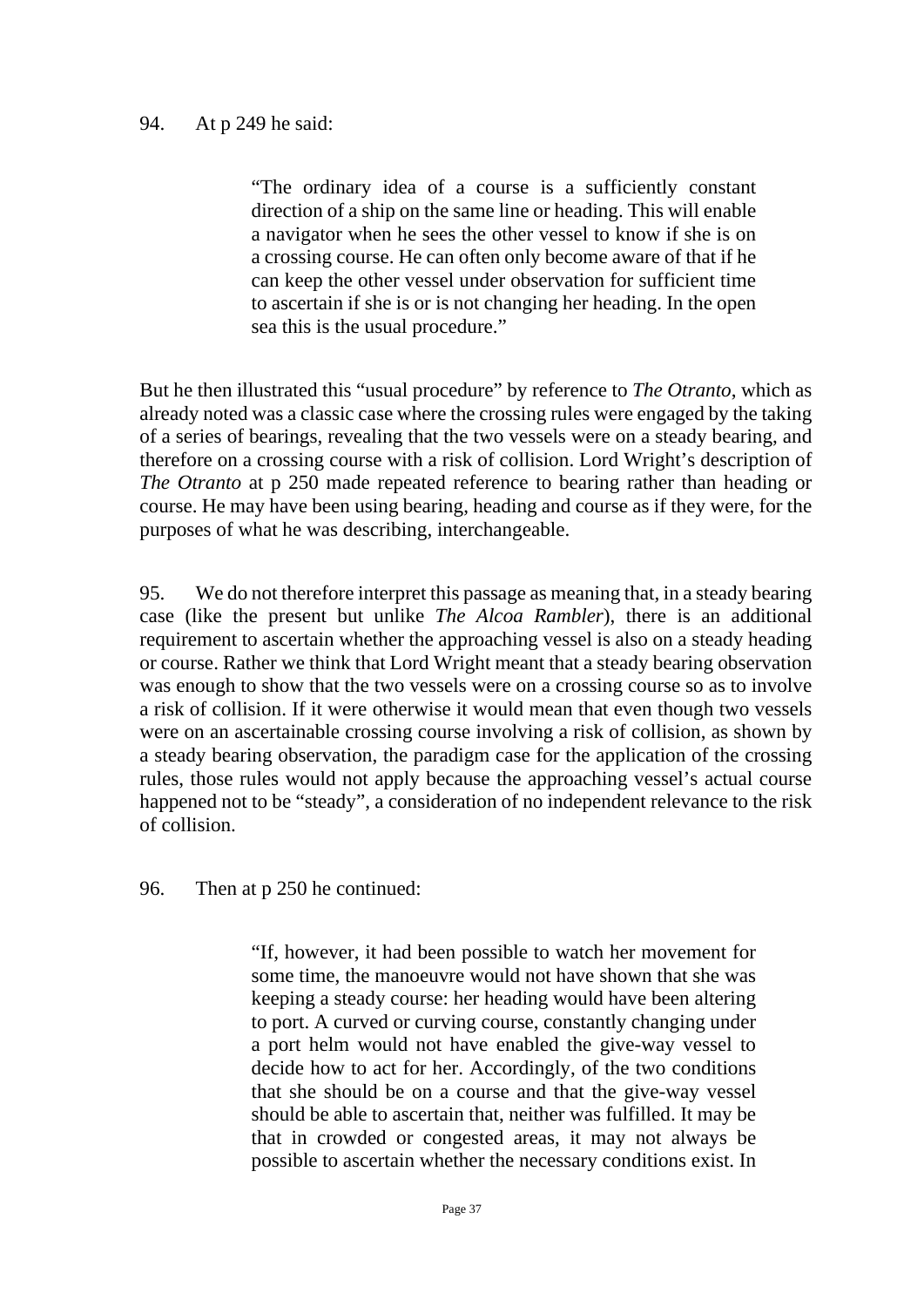### 94. At p 249 he said:

"The ordinary idea of a course is a sufficiently constant direction of a ship on the same line or heading. This will enable a navigator when he sees the other vessel to know if she is on a crossing course. He can often only become aware of that if he can keep the other vessel under observation for sufficient time to ascertain if she is or is not changing her heading. In the open sea this is the usual procedure."

But he then illustrated this "usual procedure" by reference to *The Otranto*, which as already noted was a classic case where the crossing rules were engaged by the taking of a series of bearings, revealing that the two vessels were on a steady bearing, and therefore on a crossing course with a risk of collision. Lord Wright's description of *The Otranto* at p 250 made repeated reference to bearing rather than heading or course. He may have been using bearing, heading and course as if they were, for the purposes of what he was describing, interchangeable.

95. We do not therefore interpret this passage as meaning that, in a steady bearing case (like the present but unlike *The Alcoa Rambler*), there is an additional requirement to ascertain whether the approaching vessel is also on a steady heading or course. Rather we think that Lord Wright meant that a steady bearing observation was enough to show that the two vessels were on a crossing course so as to involve a risk of collision. If it were otherwise it would mean that even though two vessels were on an ascertainable crossing course involving a risk of collision, as shown by a steady bearing observation, the paradigm case for the application of the crossing rules, those rules would not apply because the approaching vessel's actual course happened not to be "steady", a consideration of no independent relevance to the risk of collision.

96. Then at p 250 he continued:

"If, however, it had been possible to watch her movement for some time, the manoeuvre would not have shown that she was keeping a steady course: her heading would have been altering to port. A curved or curving course, constantly changing under a port helm would not have enabled the give-way vessel to decide how to act for her. Accordingly, of the two conditions that she should be on a course and that the give-way vessel should be able to ascertain that, neither was fulfilled. It may be that in crowded or congested areas, it may not always be possible to ascertain whether the necessary conditions exist. In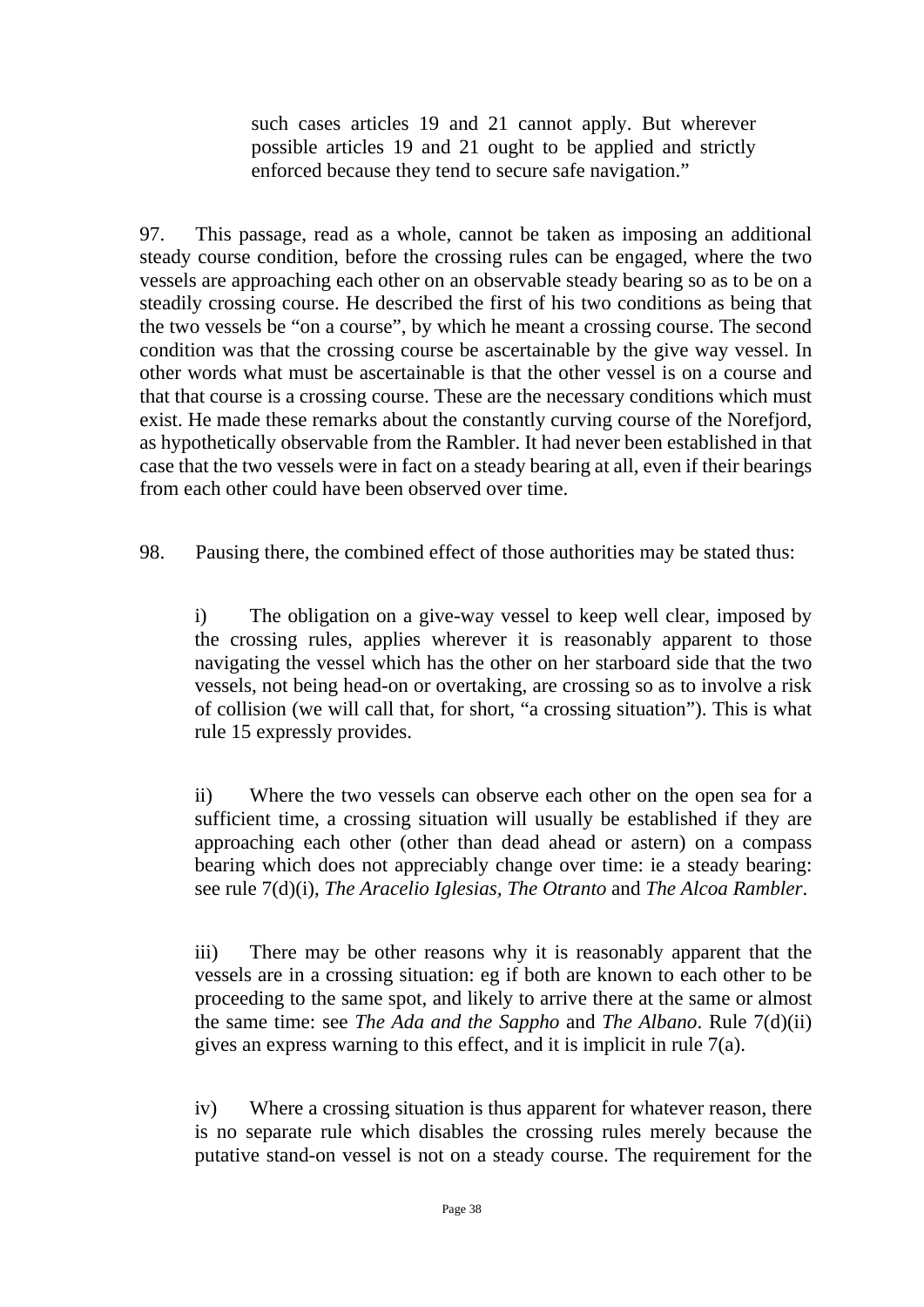such cases articles 19 and 21 cannot apply. But wherever possible articles 19 and 21 ought to be applied and strictly enforced because they tend to secure safe navigation."

97. This passage, read as a whole, cannot be taken as imposing an additional steady course condition, before the crossing rules can be engaged, where the two vessels are approaching each other on an observable steady bearing so as to be on a steadily crossing course. He described the first of his two conditions as being that the two vessels be "on a course", by which he meant a crossing course. The second condition was that the crossing course be ascertainable by the give way vessel. In other words what must be ascertainable is that the other vessel is on a course and that that course is a crossing course. These are the necessary conditions which must exist. He made these remarks about the constantly curving course of the Norefjord, as hypothetically observable from the Rambler. It had never been established in that case that the two vessels were in fact on a steady bearing at all, even if their bearings from each other could have been observed over time.

98. Pausing there, the combined effect of those authorities may be stated thus:

i) The obligation on a give-way vessel to keep well clear, imposed by the crossing rules, applies wherever it is reasonably apparent to those navigating the vessel which has the other on her starboard side that the two vessels, not being head-on or overtaking, are crossing so as to involve a risk of collision (we will call that, for short, "a crossing situation"). This is what rule 15 expressly provides.

ii) Where the two vessels can observe each other on the open sea for a sufficient time, a crossing situation will usually be established if they are approaching each other (other than dead ahead or astern) on a compass bearing which does not appreciably change over time: ie a steady bearing: see rule 7(d)(i), *The Aracelio Iglesias, The Otranto* and *The Alcoa Rambler*.

iii) There may be other reasons why it is reasonably apparent that the vessels are in a crossing situation: eg if both are known to each other to be proceeding to the same spot, and likely to arrive there at the same or almost the same time: see *The Ada and the Sappho* and *The Albano*. Rule 7(d)(ii) gives an express warning to this effect, and it is implicit in rule 7(a).

iv) Where a crossing situation is thus apparent for whatever reason, there is no separate rule which disables the crossing rules merely because the putative stand-on vessel is not on a steady course. The requirement for the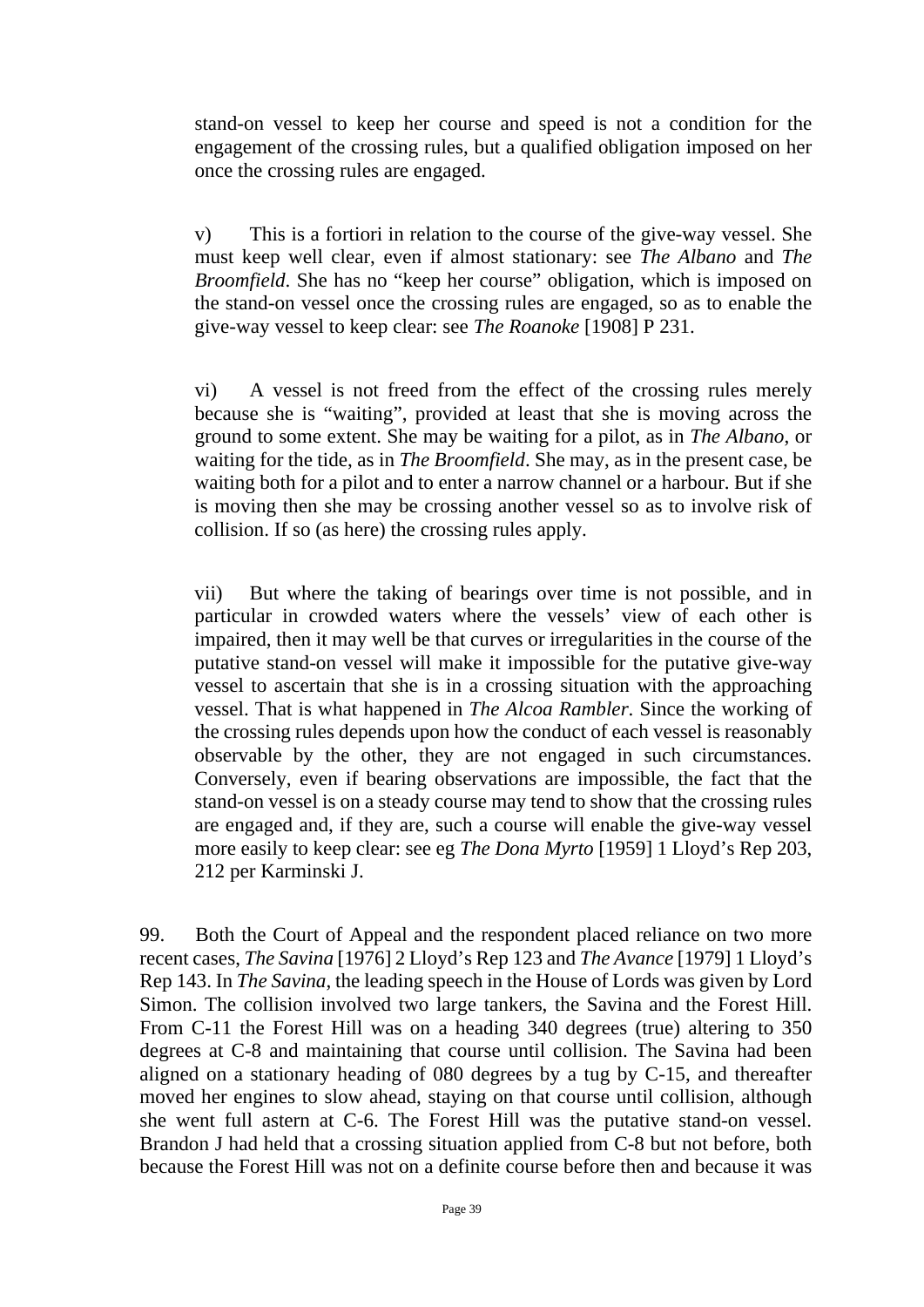stand-on vessel to keep her course and speed is not a condition for the engagement of the crossing rules, but a qualified obligation imposed on her once the crossing rules are engaged.

v) This is a fortiori in relation to the course of the give-way vessel. She must keep well clear, even if almost stationary: see *The Albano* and *The Broomfield*. She has no "keep her course" obligation, which is imposed on the stand-on vessel once the crossing rules are engaged, so as to enable the give-way vessel to keep clear: see *The Roanoke* [1908] P 231.

vi) A vessel is not freed from the effect of the crossing rules merely because she is "waiting", provided at least that she is moving across the ground to some extent. She may be waiting for a pilot, as in *The Albano*, or waiting for the tide, as in *The Broomfield*. She may, as in the present case, be waiting both for a pilot and to enter a narrow channel or a harbour. But if she is moving then she may be crossing another vessel so as to involve risk of collision. If so (as here) the crossing rules apply.

vii) But where the taking of bearings over time is not possible, and in particular in crowded waters where the vessels' view of each other is impaired, then it may well be that curves or irregularities in the course of the putative stand-on vessel will make it impossible for the putative give-way vessel to ascertain that she is in a crossing situation with the approaching vessel. That is what happened in *The Alcoa Rambler*. Since the working of the crossing rules depends upon how the conduct of each vessel is reasonably observable by the other, they are not engaged in such circumstances. Conversely, even if bearing observations are impossible, the fact that the stand-on vessel is on a steady course may tend to show that the crossing rules are engaged and, if they are, such a course will enable the give-way vessel more easily to keep clear: see eg *The Dona Myrto* [1959] 1 Lloyd's Rep 203, 212 per Karminski J.

99. Both the Court of Appeal and the respondent placed reliance on two more recent cases, *The Savina* [1976] 2 Lloyd's Rep 123 and *The Avance* [1979] 1 Lloyd's Rep 143. In *The Savina*, the leading speech in the House of Lords was given by Lord Simon. The collision involved two large tankers, the Savina and the Forest Hill. From C-11 the Forest Hill was on a heading 340 degrees (true) altering to 350 degrees at C-8 and maintaining that course until collision. The Savina had been aligned on a stationary heading of 080 degrees by a tug by C-15, and thereafter moved her engines to slow ahead, staying on that course until collision, although she went full astern at C-6. The Forest Hill was the putative stand-on vessel. Brandon J had held that a crossing situation applied from C-8 but not before, both because the Forest Hill was not on a definite course before then and because it was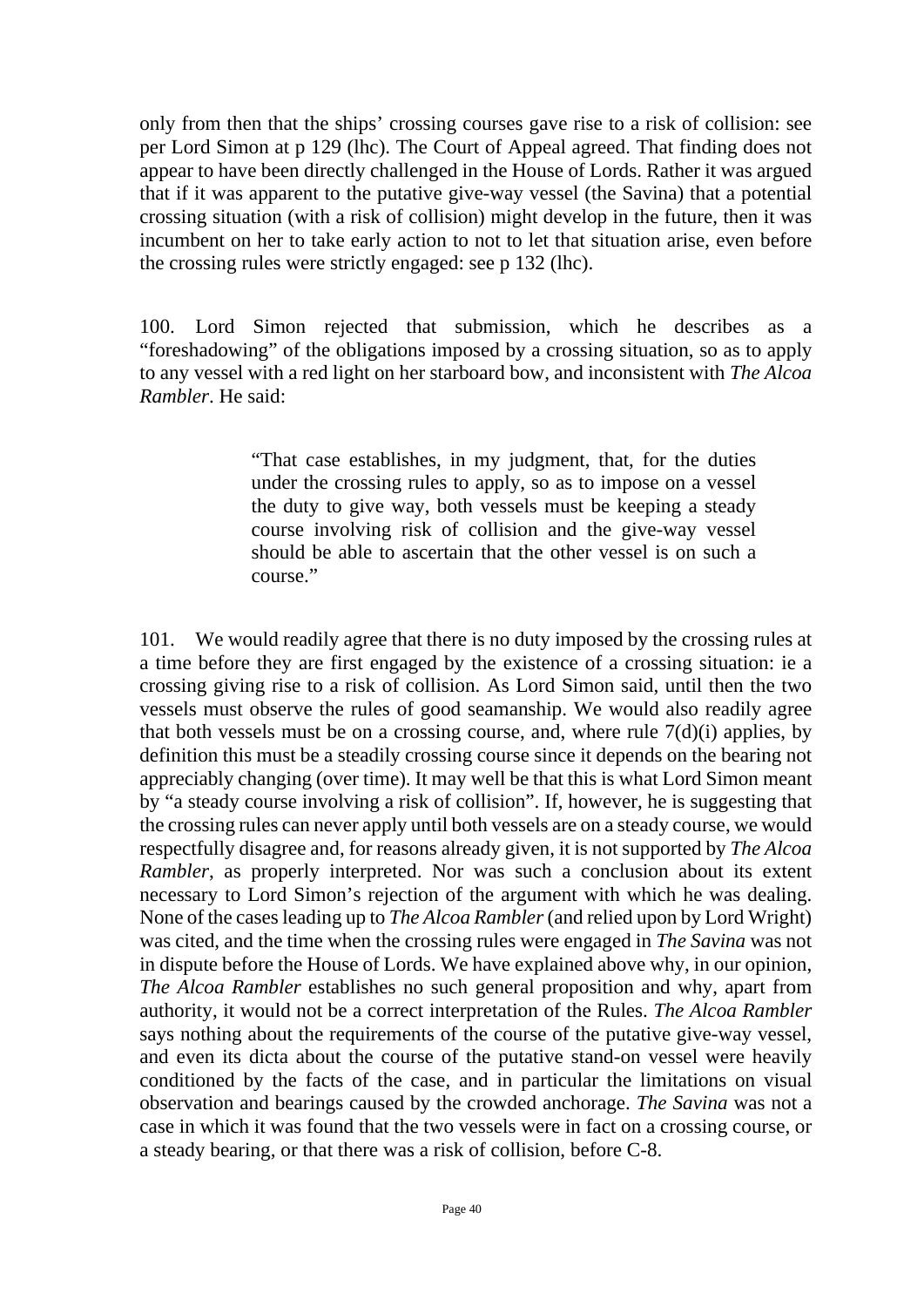only from then that the ships' crossing courses gave rise to a risk of collision: see per Lord Simon at p 129 (lhc). The Court of Appeal agreed. That finding does not appear to have been directly challenged in the House of Lords. Rather it was argued that if it was apparent to the putative give-way vessel (the Savina) that a potential crossing situation (with a risk of collision) might develop in the future, then it was incumbent on her to take early action to not to let that situation arise, even before the crossing rules were strictly engaged: see p 132 (lhc).

100. Lord Simon rejected that submission, which he describes as a "foreshadowing" of the obligations imposed by a crossing situation, so as to apply to any vessel with a red light on her starboard bow, and inconsistent with *The Alcoa Rambler*. He said:

> "That case establishes, in my judgment, that, for the duties under the crossing rules to apply, so as to impose on a vessel the duty to give way, both vessels must be keeping a steady course involving risk of collision and the give-way vessel should be able to ascertain that the other vessel is on such a course."

101. We would readily agree that there is no duty imposed by the crossing rules at a time before they are first engaged by the existence of a crossing situation: ie a crossing giving rise to a risk of collision. As Lord Simon said, until then the two vessels must observe the rules of good seamanship. We would also readily agree that both vessels must be on a crossing course, and, where rule  $7(d)(i)$  applies, by definition this must be a steadily crossing course since it depends on the bearing not appreciably changing (over time). It may well be that this is what Lord Simon meant by "a steady course involving a risk of collision". If, however, he is suggesting that the crossing rules can never apply until both vessels are on a steady course, we would respectfully disagree and, for reasons already given, it is not supported by *The Alcoa Rambler*, as properly interpreted. Nor was such a conclusion about its extent necessary to Lord Simon's rejection of the argument with which he was dealing. None of the cases leading up to *The Alcoa Rambler*(and relied upon by Lord Wright) was cited, and the time when the crossing rules were engaged in *The Savina* was not in dispute before the House of Lords. We have explained above why, in our opinion, *The Alcoa Rambler* establishes no such general proposition and why, apart from authority, it would not be a correct interpretation of the Rules. *The Alcoa Rambler* says nothing about the requirements of the course of the putative give-way vessel, and even its dicta about the course of the putative stand-on vessel were heavily conditioned by the facts of the case, and in particular the limitations on visual observation and bearings caused by the crowded anchorage. *The Savina* was not a case in which it was found that the two vessels were in fact on a crossing course, or a steady bearing, or that there was a risk of collision, before C-8.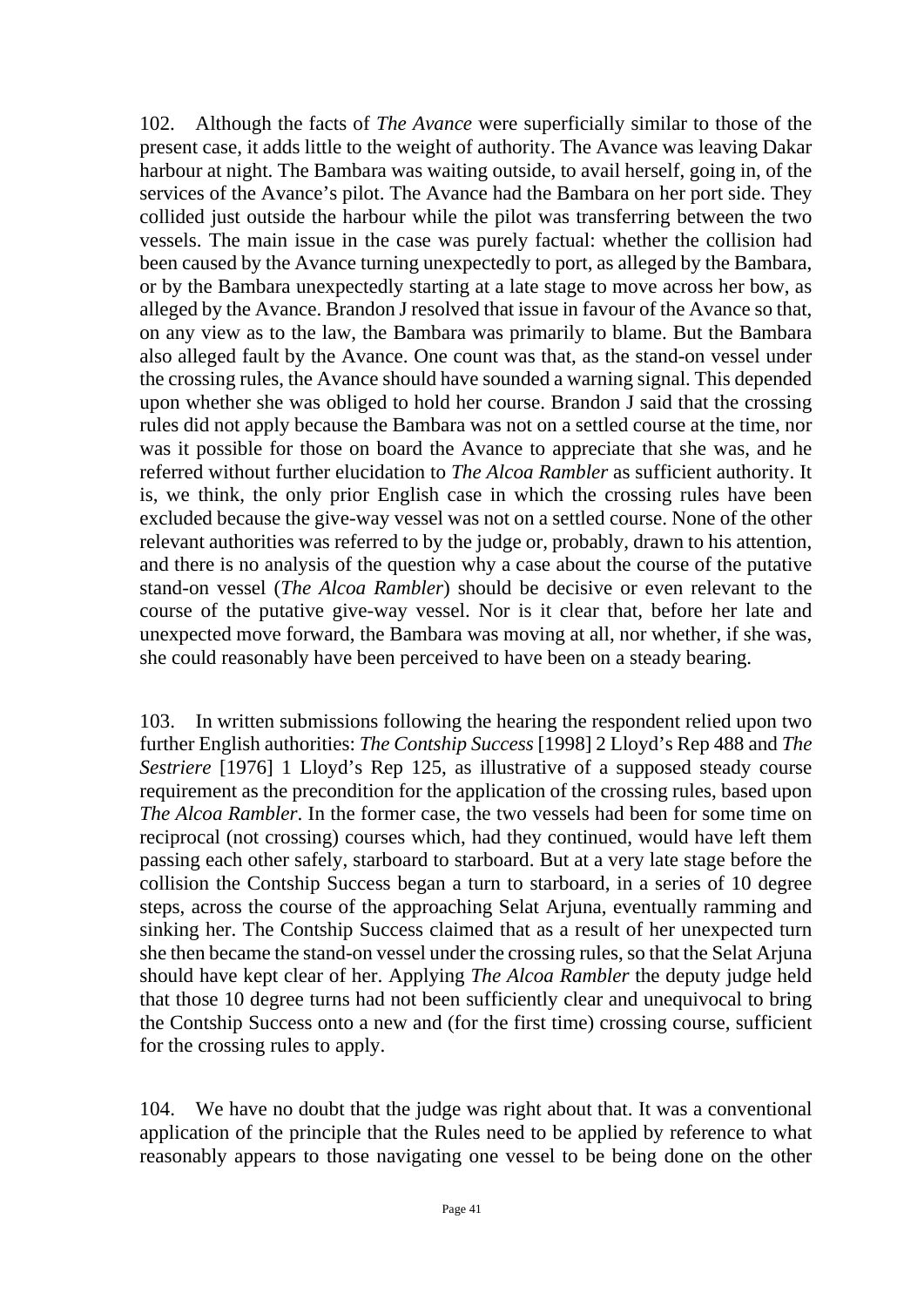102. Although the facts of *The Avance* were superficially similar to those of the present case, it adds little to the weight of authority. The Avance was leaving Dakar harbour at night. The Bambara was waiting outside, to avail herself, going in, of the services of the Avance's pilot. The Avance had the Bambara on her port side. They collided just outside the harbour while the pilot was transferring between the two vessels. The main issue in the case was purely factual: whether the collision had been caused by the Avance turning unexpectedly to port, as alleged by the Bambara, or by the Bambara unexpectedly starting at a late stage to move across her bow, as alleged by the Avance. Brandon J resolved that issue in favour of the Avance so that, on any view as to the law, the Bambara was primarily to blame. But the Bambara also alleged fault by the Avance. One count was that, as the stand-on vessel under the crossing rules, the Avance should have sounded a warning signal. This depended upon whether she was obliged to hold her course. Brandon J said that the crossing rules did not apply because the Bambara was not on a settled course at the time, nor was it possible for those on board the Avance to appreciate that she was, and he referred without further elucidation to *The Alcoa Rambler* as sufficient authority. It is, we think, the only prior English case in which the crossing rules have been excluded because the give-way vessel was not on a settled course. None of the other relevant authorities was referred to by the judge or, probably, drawn to his attention, and there is no analysis of the question why a case about the course of the putative stand-on vessel (*The Alcoa Rambler*) should be decisive or even relevant to the course of the putative give-way vessel. Nor is it clear that, before her late and unexpected move forward, the Bambara was moving at all, nor whether, if she was, she could reasonably have been perceived to have been on a steady bearing.

103. In written submissions following the hearing the respondent relied upon two further English authorities: *The Contship Success* [1998] 2 Lloyd's Rep 488 and *The Sestriere* [1976] 1 Lloyd's Rep 125, as illustrative of a supposed steady course requirement as the precondition for the application of the crossing rules, based upon *The Alcoa Rambler*. In the former case, the two vessels had been for some time on reciprocal (not crossing) courses which, had they continued, would have left them passing each other safely, starboard to starboard. But at a very late stage before the collision the Contship Success began a turn to starboard, in a series of 10 degree steps, across the course of the approaching Selat Arjuna, eventually ramming and sinking her. The Contship Success claimed that as a result of her unexpected turn she then became the stand-on vessel under the crossing rules, so that the Selat Arjuna should have kept clear of her. Applying *The Alcoa Rambler* the deputy judge held that those 10 degree turns had not been sufficiently clear and unequivocal to bring the Contship Success onto a new and (for the first time) crossing course, sufficient for the crossing rules to apply.

104. We have no doubt that the judge was right about that. It was a conventional application of the principle that the Rules need to be applied by reference to what reasonably appears to those navigating one vessel to be being done on the other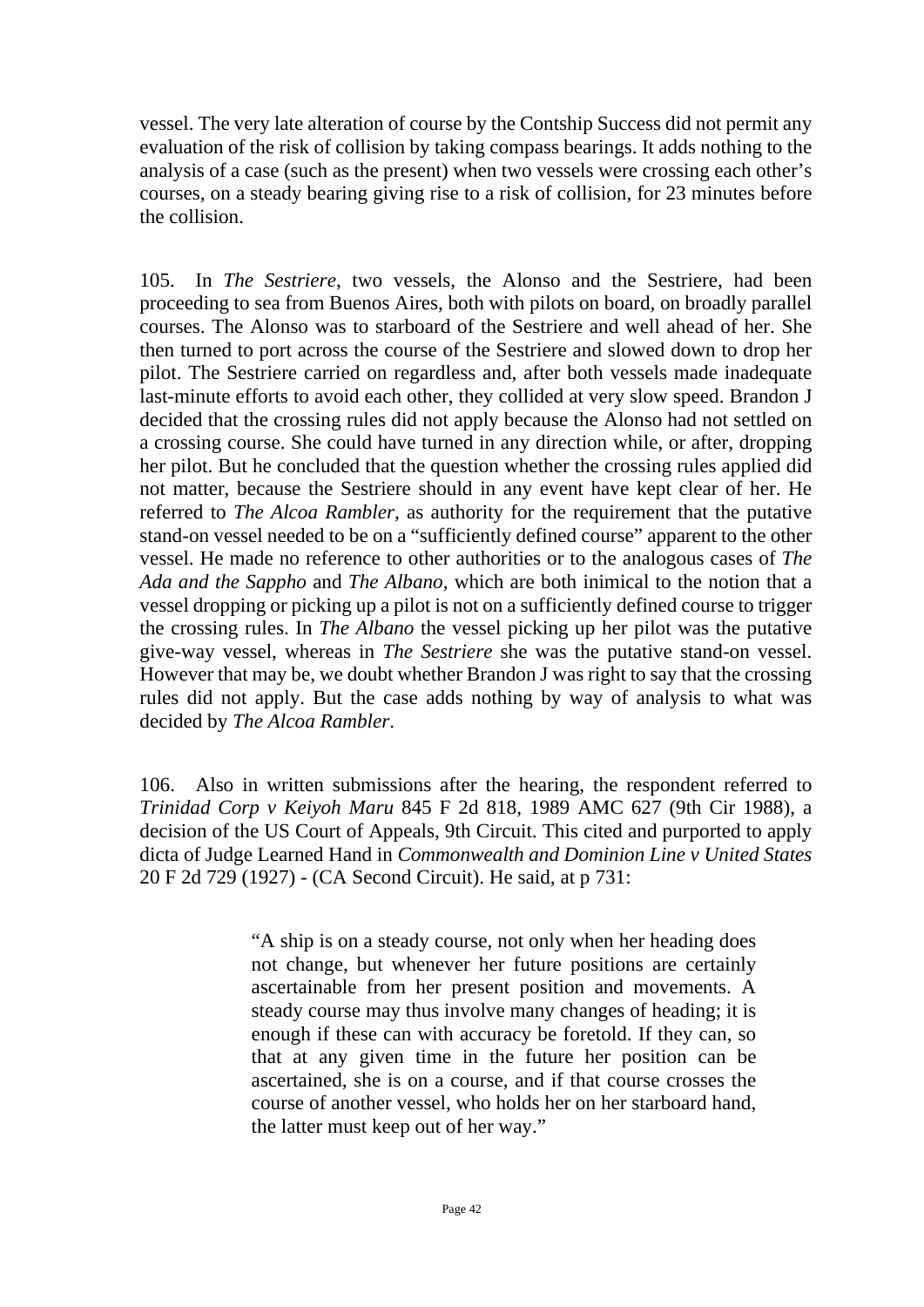vessel. The very late alteration of course by the Contship Success did not permit any evaluation of the risk of collision by taking compass bearings. It adds nothing to the analysis of a case (such as the present) when two vessels were crossing each other's courses, on a steady bearing giving rise to a risk of collision, for 23 minutes before the collision.

105. In *The Sestriere*, two vessels, the Alonso and the Sestriere, had been proceeding to sea from Buenos Aires, both with pilots on board, on broadly parallel courses. The Alonso was to starboard of the Sestriere and well ahead of her. She then turned to port across the course of the Sestriere and slowed down to drop her pilot. The Sestriere carried on regardless and, after both vessels made inadequate last-minute efforts to avoid each other, they collided at very slow speed. Brandon J decided that the crossing rules did not apply because the Alonso had not settled on a crossing course. She could have turned in any direction while, or after, dropping her pilot. But he concluded that the question whether the crossing rules applied did not matter, because the Sestriere should in any event have kept clear of her. He referred to *The Alcoa Rambler*, as authority for the requirement that the putative stand-on vessel needed to be on a "sufficiently defined course" apparent to the other vessel. He made no reference to other authorities or to the analogous cases of *The Ada and the Sappho* and *The Albano*, which are both inimical to the notion that a vessel dropping or picking up a pilot is not on a sufficiently defined course to trigger the crossing rules. In *The Albano* the vessel picking up her pilot was the putative give-way vessel, whereas in *The Sestriere* she was the putative stand-on vessel. However that may be, we doubt whether Brandon J was right to say that the crossing rules did not apply. But the case adds nothing by way of analysis to what was decided by *The Alcoa Rambler*.

106. Also in written submissions after the hearing, the respondent referred to *Trinidad Corp v Keiyoh Maru* 845 F 2d 818, 1989 AMC 627 (9th Cir 1988), a decision of the US Court of Appeals, 9th Circuit. This cited and purported to apply dicta of Judge Learned Hand in *Commonwealth and Dominion Line v United States* 20 F 2d 729 (1927) - (CA Second Circuit). He said, at p 731:

> "A ship is on a steady course, not only when her heading does not change, but whenever her future positions are certainly ascertainable from her present position and movements. A steady course may thus involve many changes of heading; it is enough if these can with accuracy be foretold. If they can, so that at any given time in the future her position can be ascertained, she is on a course, and if that course crosses the course of another vessel, who holds her on her starboard hand, the latter must keep out of her way."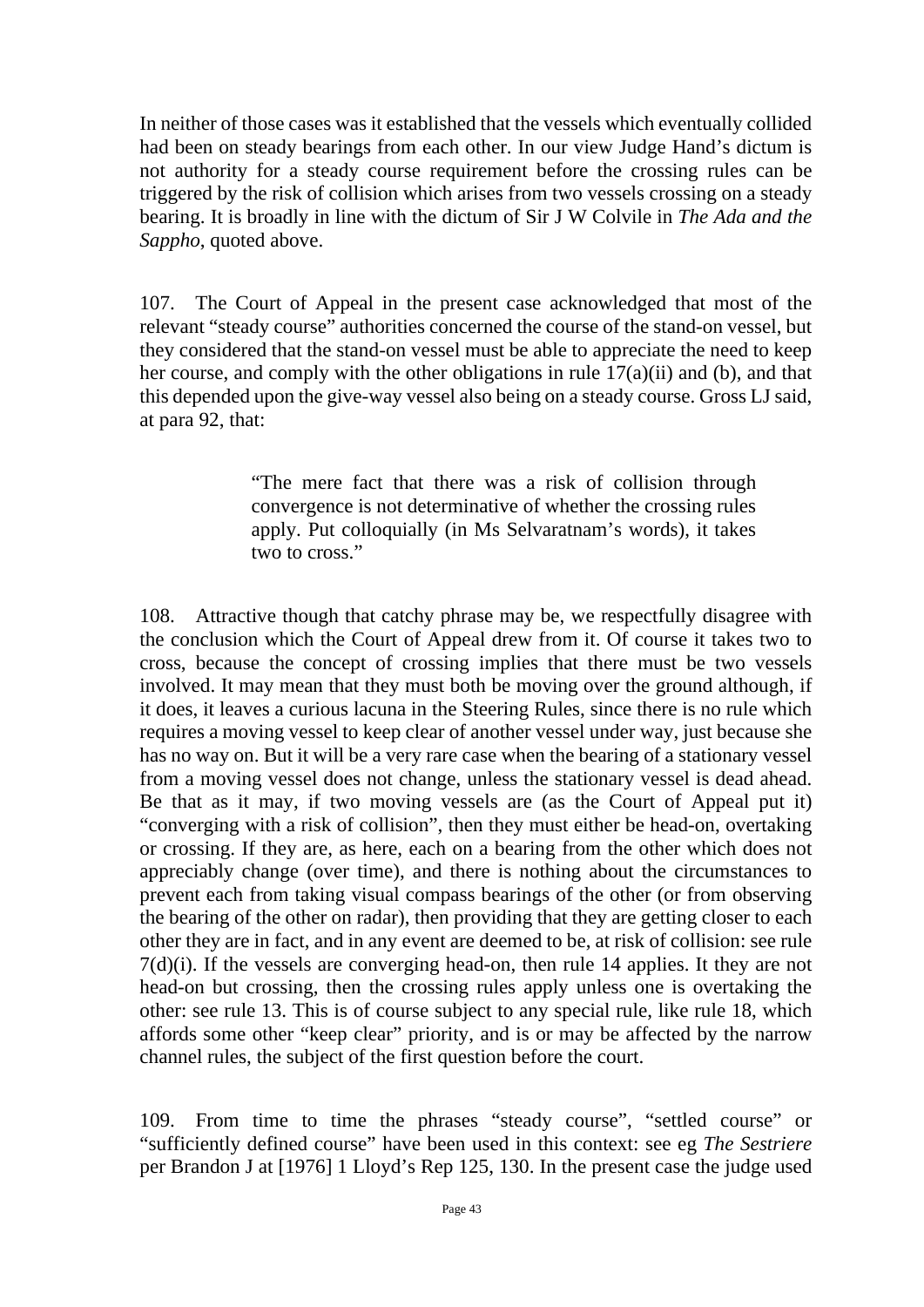In neither of those cases was it established that the vessels which eventually collided had been on steady bearings from each other. In our view Judge Hand's dictum is not authority for a steady course requirement before the crossing rules can be triggered by the risk of collision which arises from two vessels crossing on a steady bearing. It is broadly in line with the dictum of Sir J W Colvile in *The Ada and the Sappho*, quoted above.

107. The Court of Appeal in the present case acknowledged that most of the relevant "steady course" authorities concerned the course of the stand-on vessel, but they considered that the stand-on vessel must be able to appreciate the need to keep her course, and comply with the other obligations in rule 17(a)(ii) and (b), and that this depended upon the give-way vessel also being on a steady course. Gross LJ said, at para 92, that:

> "The mere fact that there was a risk of collision through convergence is not determinative of whether the crossing rules apply. Put colloquially (in Ms Selvaratnam's words), it takes two to cross."

108. Attractive though that catchy phrase may be, we respectfully disagree with the conclusion which the Court of Appeal drew from it. Of course it takes two to cross, because the concept of crossing implies that there must be two vessels involved. It may mean that they must both be moving over the ground although, if it does, it leaves a curious lacuna in the Steering Rules, since there is no rule which requires a moving vessel to keep clear of another vessel under way, just because she has no way on. But it will be a very rare case when the bearing of a stationary vessel from a moving vessel does not change, unless the stationary vessel is dead ahead. Be that as it may, if two moving vessels are (as the Court of Appeal put it) "converging with a risk of collision", then they must either be head-on, overtaking or crossing. If they are, as here, each on a bearing from the other which does not appreciably change (over time), and there is nothing about the circumstances to prevent each from taking visual compass bearings of the other (or from observing the bearing of the other on radar), then providing that they are getting closer to each other they are in fact, and in any event are deemed to be, at risk of collision: see rule 7(d)(i). If the vessels are converging head-on, then rule 14 applies. It they are not head-on but crossing, then the crossing rules apply unless one is overtaking the other: see rule 13. This is of course subject to any special rule, like rule 18, which affords some other "keep clear" priority, and is or may be affected by the narrow channel rules, the subject of the first question before the court.

109. From time to time the phrases "steady course", "settled course" or "sufficiently defined course" have been used in this context: see eg *The Sestriere* per Brandon J at [1976] 1 Lloyd's Rep 125, 130. In the present case the judge used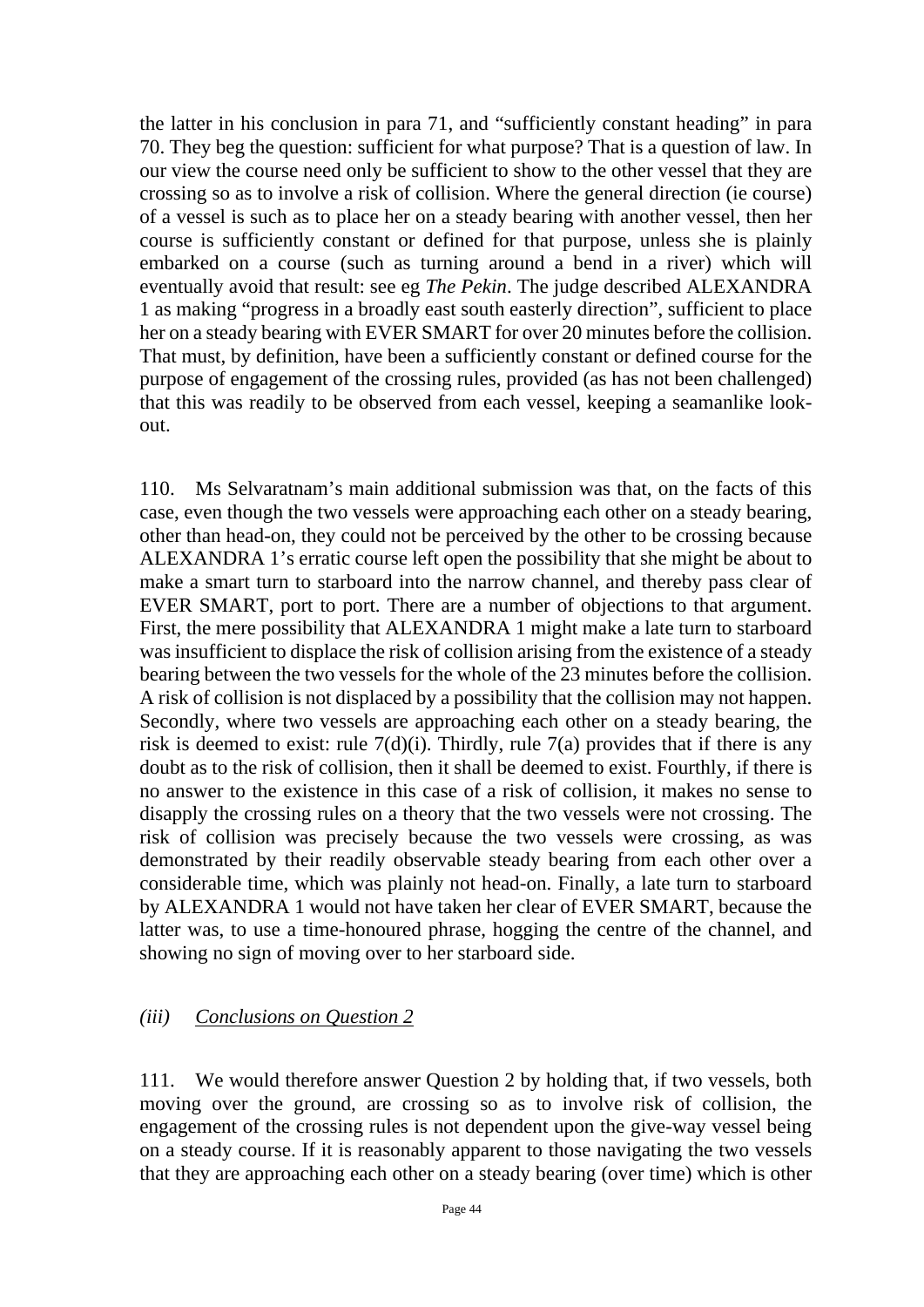the latter in his conclusion in para 71, and "sufficiently constant heading" in para 70. They beg the question: sufficient for what purpose? That is a question of law. In our view the course need only be sufficient to show to the other vessel that they are crossing so as to involve a risk of collision. Where the general direction (ie course) of a vessel is such as to place her on a steady bearing with another vessel, then her course is sufficiently constant or defined for that purpose, unless she is plainly embarked on a course (such as turning around a bend in a river) which will eventually avoid that result: see eg *The Pekin*. The judge described ALEXANDRA 1 as making "progress in a broadly east south easterly direction", sufficient to place her on a steady bearing with EVER SMART for over 20 minutes before the collision. That must, by definition, have been a sufficiently constant or defined course for the purpose of engagement of the crossing rules, provided (as has not been challenged) that this was readily to be observed from each vessel, keeping a seamanlike lookout.

110. Ms Selvaratnam's main additional submission was that, on the facts of this case, even though the two vessels were approaching each other on a steady bearing, other than head-on, they could not be perceived by the other to be crossing because ALEXANDRA 1's erratic course left open the possibility that she might be about to make a smart turn to starboard into the narrow channel, and thereby pass clear of EVER SMART, port to port. There are a number of objections to that argument. First, the mere possibility that ALEXANDRA 1 might make a late turn to starboard was insufficient to displace the risk of collision arising from the existence of a steady bearing between the two vessels for the whole of the 23 minutes before the collision. A risk of collision is not displaced by a possibility that the collision may not happen. Secondly, where two vessels are approaching each other on a steady bearing, the risk is deemed to exist: rule  $7(d)(i)$ . Thirdly, rule  $7(a)$  provides that if there is any doubt as to the risk of collision, then it shall be deemed to exist. Fourthly, if there is no answer to the existence in this case of a risk of collision, it makes no sense to disapply the crossing rules on a theory that the two vessels were not crossing. The risk of collision was precisely because the two vessels were crossing, as was demonstrated by their readily observable steady bearing from each other over a considerable time, which was plainly not head-on. Finally, a late turn to starboard by ALEXANDRA 1 would not have taken her clear of EVER SMART, because the latter was, to use a time-honoured phrase, hogging the centre of the channel, and showing no sign of moving over to her starboard side.

## *(iii) Conclusions on Question 2*

111. We would therefore answer Question 2 by holding that, if two vessels, both moving over the ground, are crossing so as to involve risk of collision, the engagement of the crossing rules is not dependent upon the give-way vessel being on a steady course. If it is reasonably apparent to those navigating the two vessels that they are approaching each other on a steady bearing (over time) which is other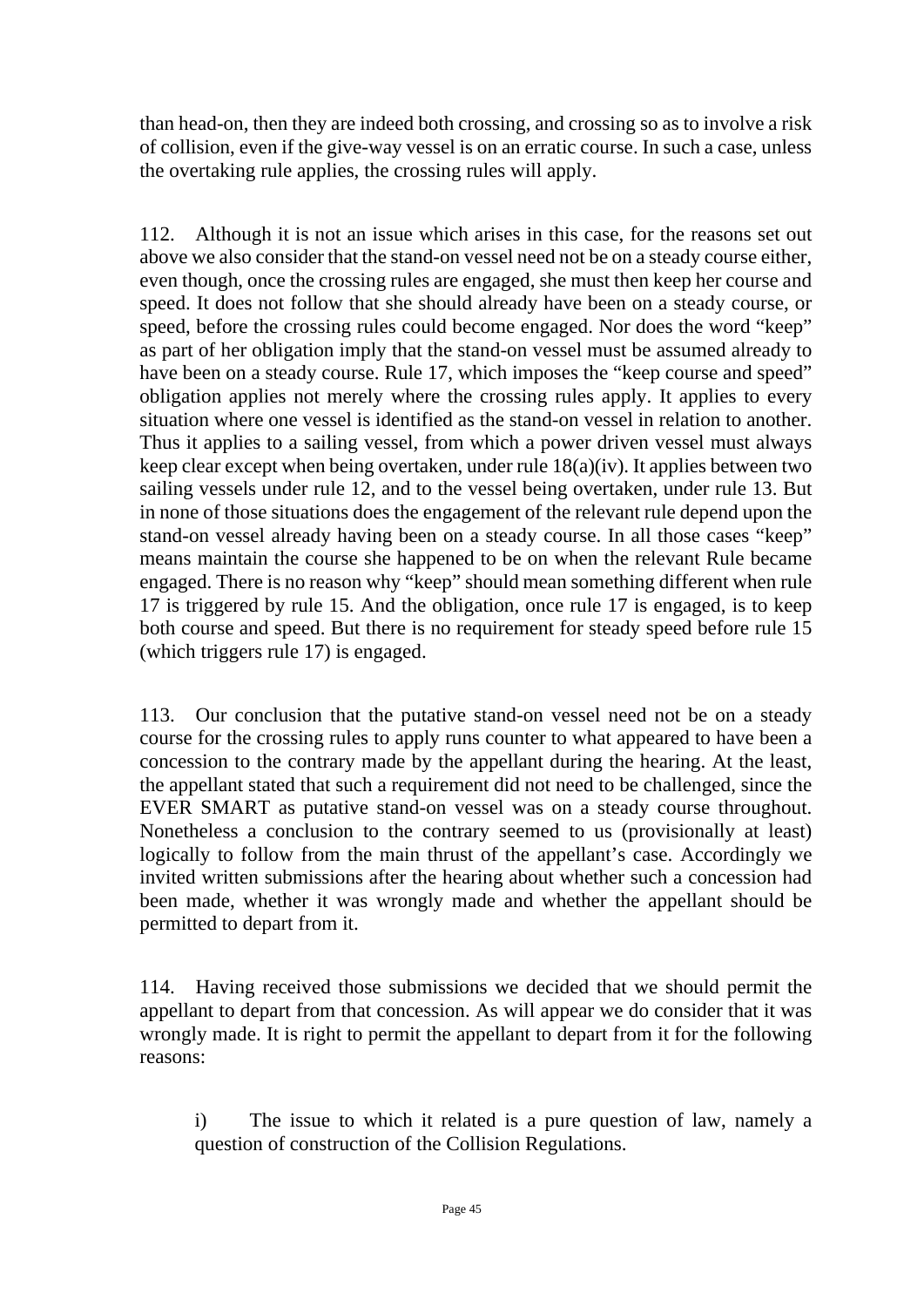than head-on, then they are indeed both crossing, and crossing so as to involve a risk of collision, even if the give-way vessel is on an erratic course. In such a case, unless the overtaking rule applies, the crossing rules will apply.

112. Although it is not an issue which arises in this case, for the reasons set out above we also consider that the stand-on vessel need not be on a steady course either, even though, once the crossing rules are engaged, she must then keep her course and speed. It does not follow that she should already have been on a steady course, or speed, before the crossing rules could become engaged. Nor does the word "keep" as part of her obligation imply that the stand-on vessel must be assumed already to have been on a steady course. Rule 17, which imposes the "keep course and speed" obligation applies not merely where the crossing rules apply. It applies to every situation where one vessel is identified as the stand-on vessel in relation to another. Thus it applies to a sailing vessel, from which a power driven vessel must always keep clear except when being overtaken, under rule 18(a)(iv). It applies between two sailing vessels under rule 12, and to the vessel being overtaken, under rule 13. But in none of those situations does the engagement of the relevant rule depend upon the stand-on vessel already having been on a steady course. In all those cases "keep" means maintain the course she happened to be on when the relevant Rule became engaged. There is no reason why "keep" should mean something different when rule 17 is triggered by rule 15. And the obligation, once rule 17 is engaged, is to keep both course and speed. But there is no requirement for steady speed before rule 15 (which triggers rule 17) is engaged.

113. Our conclusion that the putative stand-on vessel need not be on a steady course for the crossing rules to apply runs counter to what appeared to have been a concession to the contrary made by the appellant during the hearing. At the least, the appellant stated that such a requirement did not need to be challenged, since the EVER SMART as putative stand-on vessel was on a steady course throughout. Nonetheless a conclusion to the contrary seemed to us (provisionally at least) logically to follow from the main thrust of the appellant's case. Accordingly we invited written submissions after the hearing about whether such a concession had been made, whether it was wrongly made and whether the appellant should be permitted to depart from it.

114. Having received those submissions we decided that we should permit the appellant to depart from that concession. As will appear we do consider that it was wrongly made. It is right to permit the appellant to depart from it for the following reasons:

i) The issue to which it related is a pure question of law, namely a question of construction of the Collision Regulations.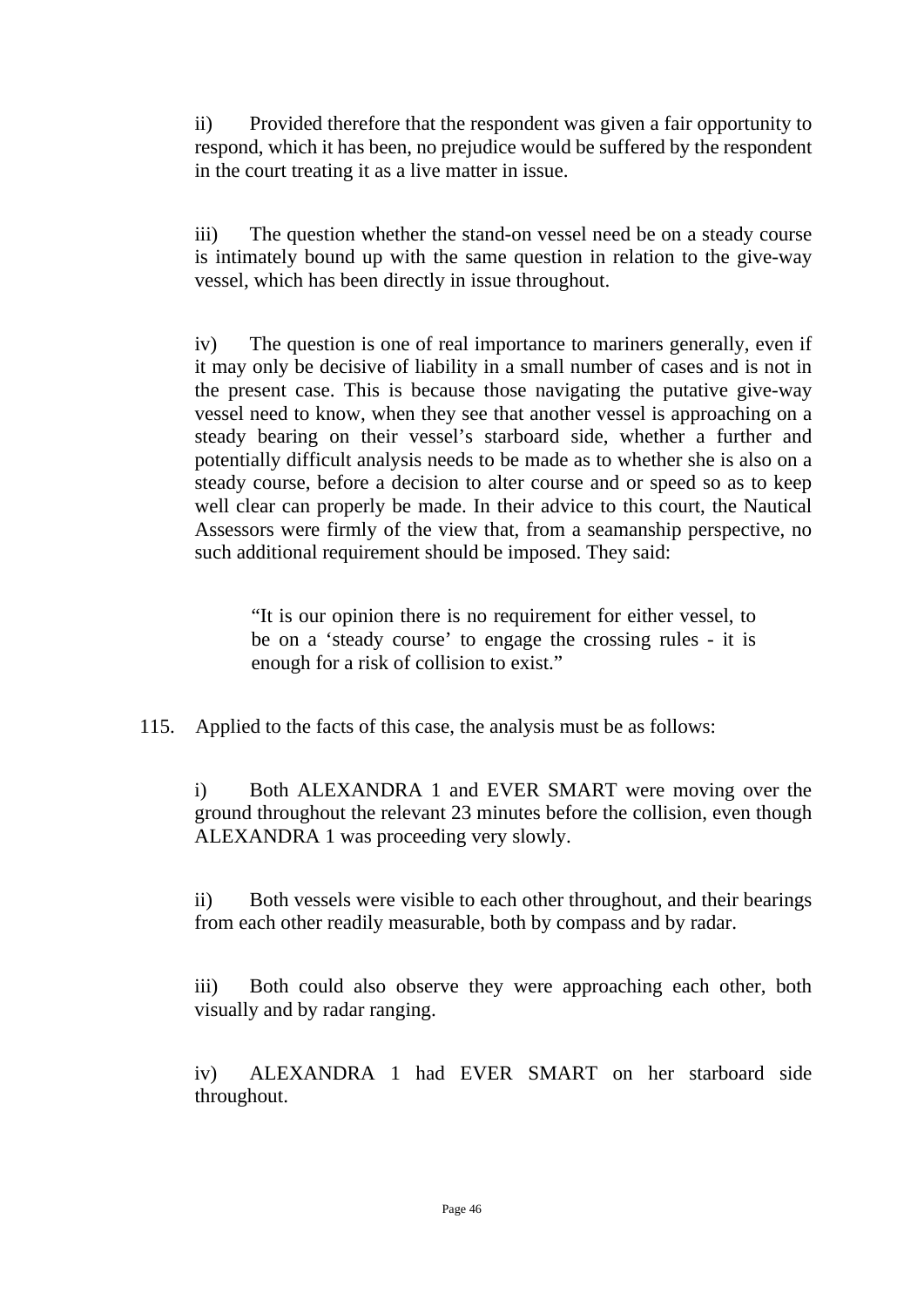ii) Provided therefore that the respondent was given a fair opportunity to respond, which it has been, no prejudice would be suffered by the respondent in the court treating it as a live matter in issue.

iii) The question whether the stand-on vessel need be on a steady course is intimately bound up with the same question in relation to the give-way vessel, which has been directly in issue throughout.

iv) The question is one of real importance to mariners generally, even if it may only be decisive of liability in a small number of cases and is not in the present case. This is because those navigating the putative give-way vessel need to know, when they see that another vessel is approaching on a steady bearing on their vessel's starboard side, whether a further and potentially difficult analysis needs to be made as to whether she is also on a steady course, before a decision to alter course and or speed so as to keep well clear can properly be made. In their advice to this court, the Nautical Assessors were firmly of the view that, from a seamanship perspective, no such additional requirement should be imposed. They said:

"It is our opinion there is no requirement for either vessel, to be on a 'steady course' to engage the crossing rules - it is enough for a risk of collision to exist."

115. Applied to the facts of this case, the analysis must be as follows:

i) Both ALEXANDRA 1 and EVER SMART were moving over the ground throughout the relevant 23 minutes before the collision, even though ALEXANDRA 1 was proceeding very slowly.

ii) Both vessels were visible to each other throughout, and their bearings from each other readily measurable, both by compass and by radar.

iii) Both could also observe they were approaching each other, both visually and by radar ranging.

iv) ALEXANDRA 1 had EVER SMART on her starboard side throughout.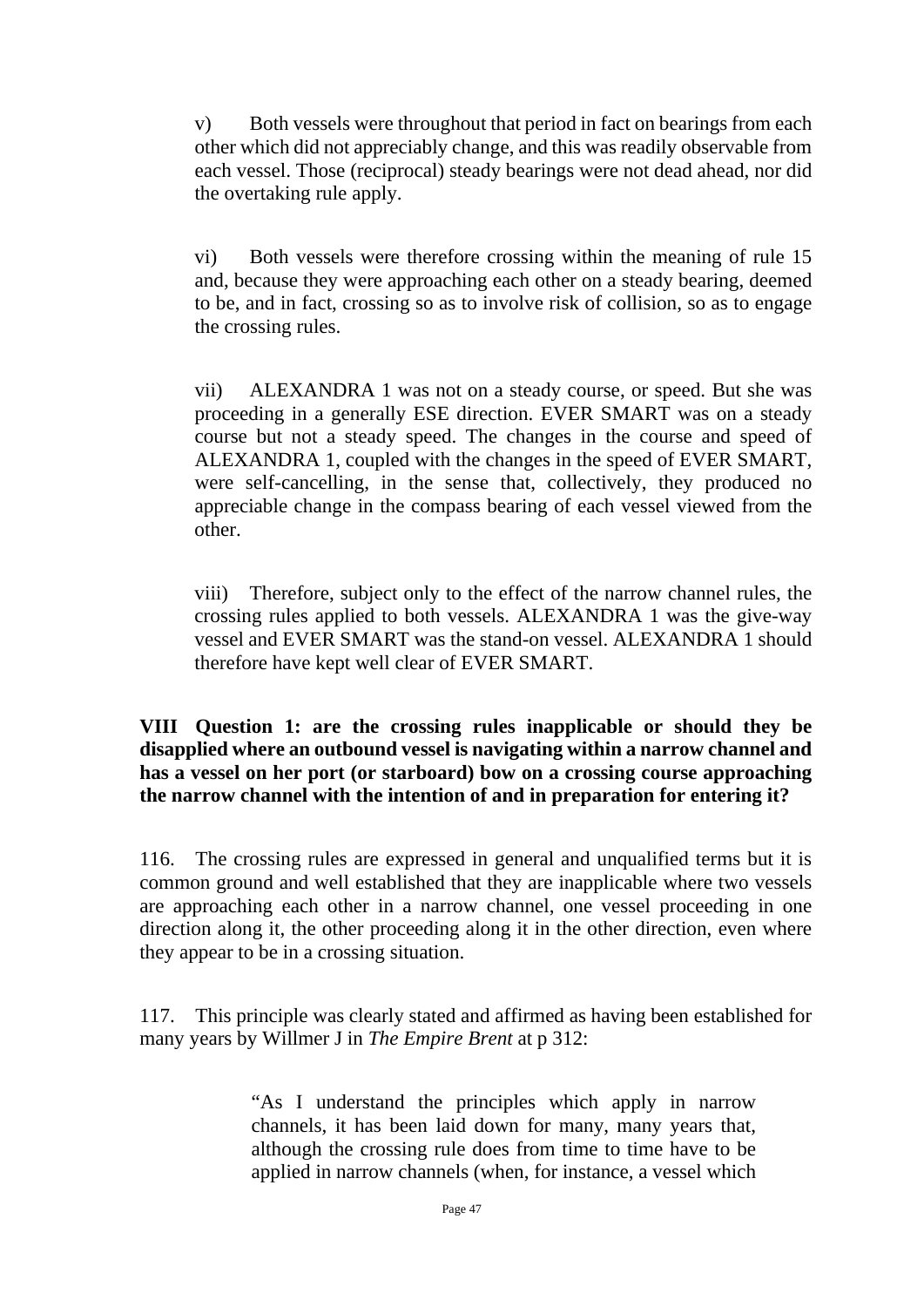v) Both vessels were throughout that period in fact on bearings from each other which did not appreciably change, and this was readily observable from each vessel. Those (reciprocal) steady bearings were not dead ahead, nor did the overtaking rule apply.

vi) Both vessels were therefore crossing within the meaning of rule 15 and, because they were approaching each other on a steady bearing, deemed to be, and in fact, crossing so as to involve risk of collision, so as to engage the crossing rules.

vii) ALEXANDRA 1 was not on a steady course, or speed. But she was proceeding in a generally ESE direction. EVER SMART was on a steady course but not a steady speed. The changes in the course and speed of ALEXANDRA 1, coupled with the changes in the speed of EVER SMART, were self-cancelling, in the sense that, collectively, they produced no appreciable change in the compass bearing of each vessel viewed from the other.

viii) Therefore, subject only to the effect of the narrow channel rules, the crossing rules applied to both vessels. ALEXANDRA 1 was the give-way vessel and EVER SMART was the stand-on vessel. ALEXANDRA 1 should therefore have kept well clear of EVER SMART.

**VIII Question 1: are the crossing rules inapplicable or should they be disapplied where an outbound vessel is navigating within a narrow channel and has a vessel on her port (or starboard) bow on a crossing course approaching the narrow channel with the intention of and in preparation for entering it?**

116. The crossing rules are expressed in general and unqualified terms but it is common ground and well established that they are inapplicable where two vessels are approaching each other in a narrow channel, one vessel proceeding in one direction along it, the other proceeding along it in the other direction, even where they appear to be in a crossing situation.

117. This principle was clearly stated and affirmed as having been established for many years by Willmer J in *The Empire Brent* at p 312:

> "As I understand the principles which apply in narrow channels, it has been laid down for many, many years that, although the crossing rule does from time to time have to be applied in narrow channels (when, for instance, a vessel which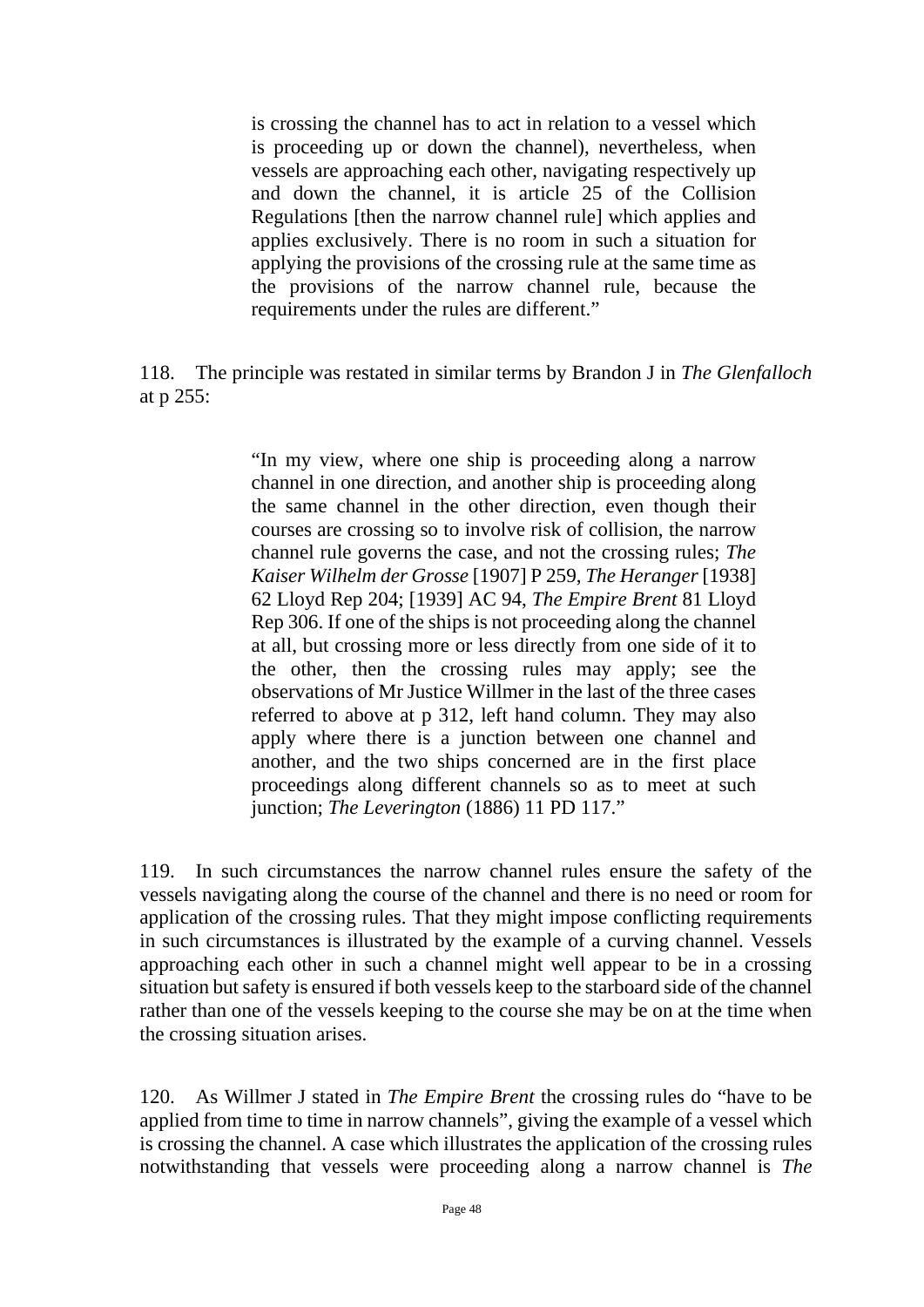is crossing the channel has to act in relation to a vessel which is proceeding up or down the channel), nevertheless, when vessels are approaching each other, navigating respectively up and down the channel, it is article 25 of the Collision Regulations [then the narrow channel rule] which applies and applies exclusively. There is no room in such a situation for applying the provisions of the crossing rule at the same time as the provisions of the narrow channel rule, because the requirements under the rules are different."

118. The principle was restated in similar terms by Brandon J in *The Glenfalloch* at p 255:

> "In my view, where one ship is proceeding along a narrow channel in one direction, and another ship is proceeding along the same channel in the other direction, even though their courses are crossing so to involve risk of collision, the narrow channel rule governs the case, and not the crossing rules; *The Kaiser Wilhelm der Grosse* [1907] P 259, *The Heranger* [1938] 62 Lloyd Rep 204; [1939] AC 94, *The Empire Brent* 81 Lloyd Rep 306. If one of the ships is not proceeding along the channel at all, but crossing more or less directly from one side of it to the other, then the crossing rules may apply; see the observations of Mr Justice Willmer in the last of the three cases referred to above at p 312, left hand column. They may also apply where there is a junction between one channel and another, and the two ships concerned are in the first place proceedings along different channels so as to meet at such junction; *The Leverington* (1886) 11 PD 117."

119. In such circumstances the narrow channel rules ensure the safety of the vessels navigating along the course of the channel and there is no need or room for application of the crossing rules. That they might impose conflicting requirements in such circumstances is illustrated by the example of a curving channel. Vessels approaching each other in such a channel might well appear to be in a crossing situation but safety is ensured if both vessels keep to the starboard side of the channel rather than one of the vessels keeping to the course she may be on at the time when the crossing situation arises.

120. As Willmer J stated in *The Empire Brent* the crossing rules do "have to be applied from time to time in narrow channels", giving the example of a vessel which is crossing the channel. A case which illustrates the application of the crossing rules notwithstanding that vessels were proceeding along a narrow channel is *The*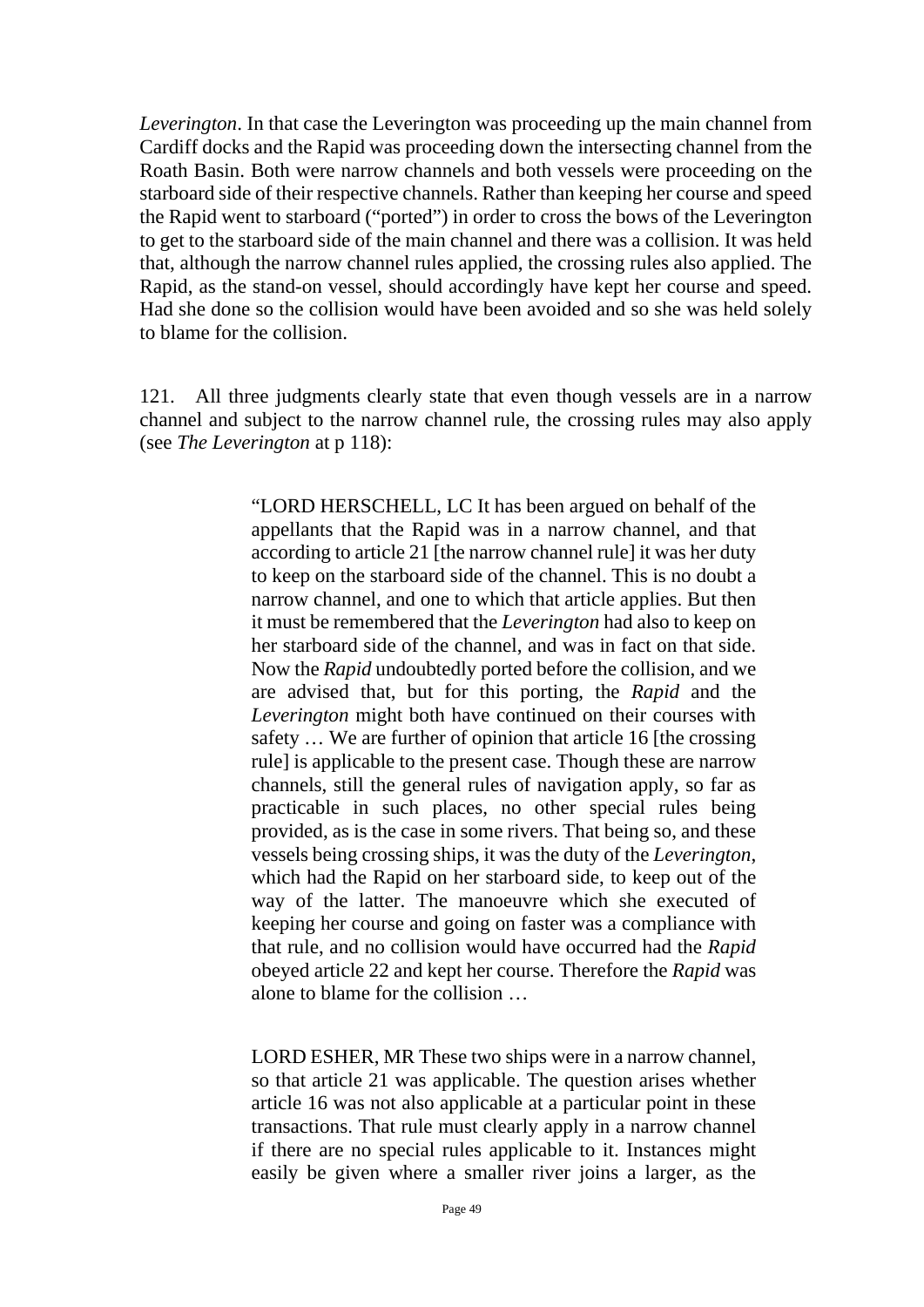*Leverington*. In that case the Leverington was proceeding up the main channel from Cardiff docks and the Rapid was proceeding down the intersecting channel from the Roath Basin. Both were narrow channels and both vessels were proceeding on the starboard side of their respective channels. Rather than keeping her course and speed the Rapid went to starboard ("ported") in order to cross the bows of the Leverington to get to the starboard side of the main channel and there was a collision. It was held that, although the narrow channel rules applied, the crossing rules also applied. The Rapid, as the stand-on vessel, should accordingly have kept her course and speed. Had she done so the collision would have been avoided and so she was held solely to blame for the collision.

121. All three judgments clearly state that even though vessels are in a narrow channel and subject to the narrow channel rule, the crossing rules may also apply (see *The Leverington* at p 118):

> "LORD HERSCHELL, LC It has been argued on behalf of the appellants that the Rapid was in a narrow channel, and that according to article 21 [the narrow channel rule] it was her duty to keep on the starboard side of the channel. This is no doubt a narrow channel, and one to which that article applies. But then it must be remembered that the *Leverington* had also to keep on her starboard side of the channel, and was in fact on that side. Now the *Rapid* undoubtedly ported before the collision, and we are advised that, but for this porting, the *Rapid* and the *Leverington* might both have continued on their courses with safety … We are further of opinion that article 16 [the crossing rule] is applicable to the present case. Though these are narrow channels, still the general rules of navigation apply, so far as practicable in such places, no other special rules being provided, as is the case in some rivers. That being so, and these vessels being crossing ships, it was the duty of the *Leverington*, which had the Rapid on her starboard side, to keep out of the way of the latter. The manoeuvre which she executed of keeping her course and going on faster was a compliance with that rule, and no collision would have occurred had the *Rapid* obeyed article 22 and kept her course. Therefore the *Rapid* was alone to blame for the collision …

> LORD ESHER, MR These two ships were in a narrow channel, so that article 21 was applicable. The question arises whether article 16 was not also applicable at a particular point in these transactions. That rule must clearly apply in a narrow channel if there are no special rules applicable to it. Instances might easily be given where a smaller river joins a larger, as the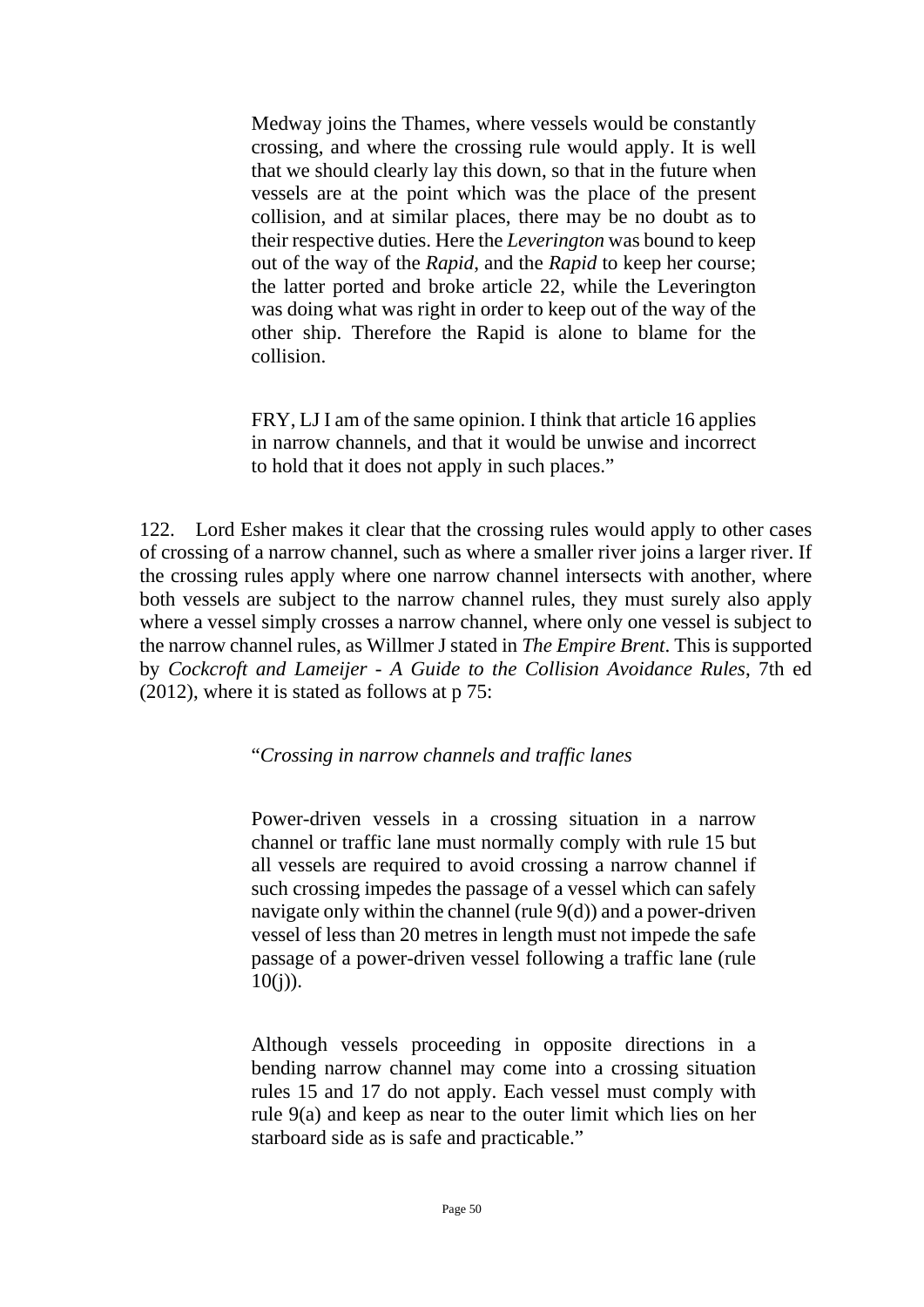Medway joins the Thames, where vessels would be constantly crossing, and where the crossing rule would apply. It is well that we should clearly lay this down, so that in the future when vessels are at the point which was the place of the present collision, and at similar places, there may be no doubt as to their respective duties. Here the *Leverington* was bound to keep out of the way of the *Rapid*, and the *Rapid* to keep her course; the latter ported and broke article 22, while the Leverington was doing what was right in order to keep out of the way of the other ship. Therefore the Rapid is alone to blame for the collision.

FRY, LJ I am of the same opinion. I think that article 16 applies in narrow channels, and that it would be unwise and incorrect to hold that it does not apply in such places."

122. Lord Esher makes it clear that the crossing rules would apply to other cases of crossing of a narrow channel, such as where a smaller river joins a larger river. If the crossing rules apply where one narrow channel intersects with another, where both vessels are subject to the narrow channel rules, they must surely also apply where a vessel simply crosses a narrow channel, where only one vessel is subject to the narrow channel rules, as Willmer J stated in *The Empire Brent*. This is supported by *Cockcroft and Lameijer - A Guide to the Collision Avoidance Rules*, 7th ed (2012), where it is stated as follows at p 75:

"*Crossing in narrow channels and traffic lanes*

Power-driven vessels in a crossing situation in a narrow channel or traffic lane must normally comply with rule 15 but all vessels are required to avoid crossing a narrow channel if such crossing impedes the passage of a vessel which can safely navigate only within the channel (rule 9(d)) and a power-driven vessel of less than 20 metres in length must not impede the safe passage of a power-driven vessel following a traffic lane (rule  $10(j)$ ).

Although vessels proceeding in opposite directions in a bending narrow channel may come into a crossing situation rules 15 and 17 do not apply. Each vessel must comply with rule 9(a) and keep as near to the outer limit which lies on her starboard side as is safe and practicable."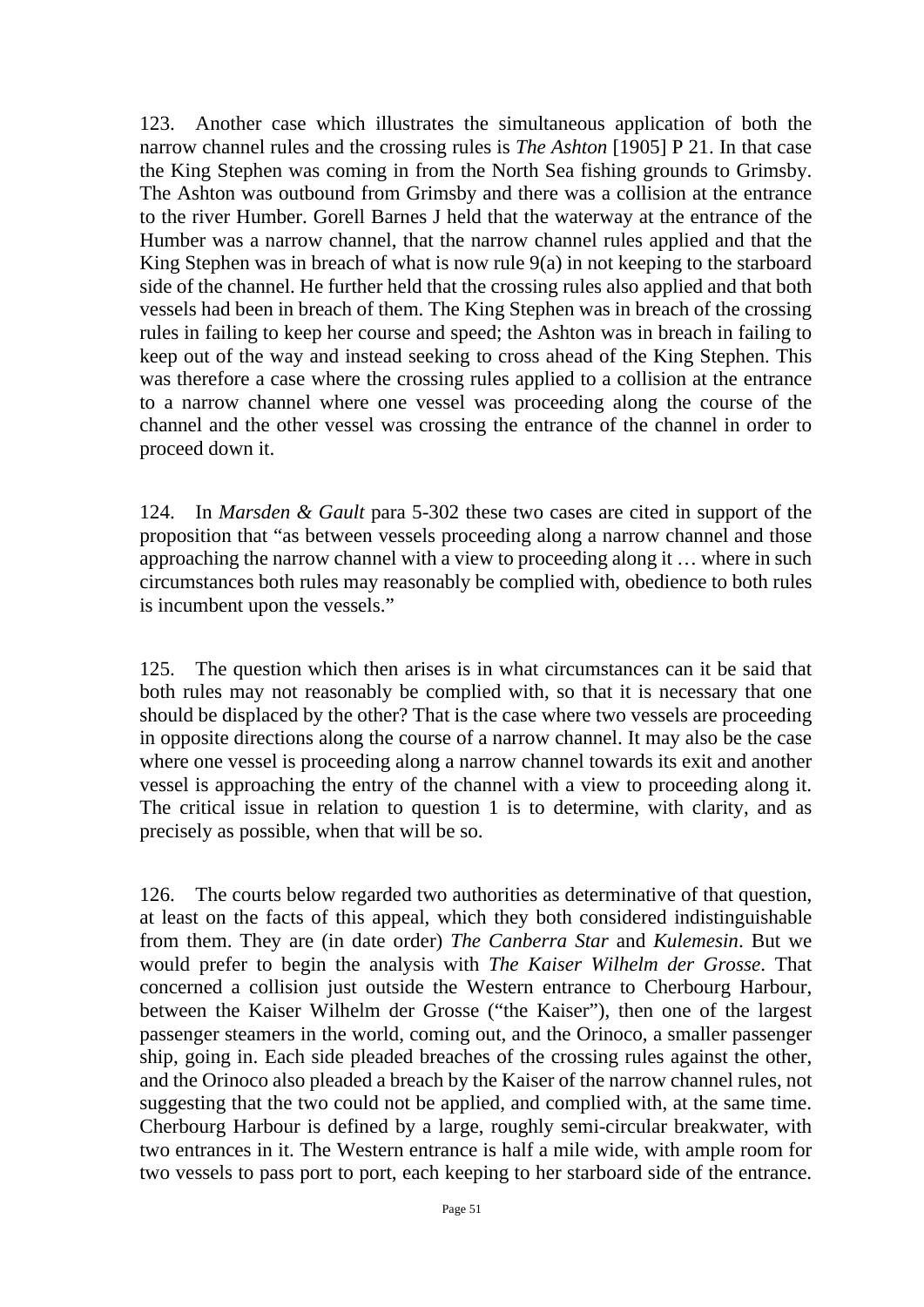123. Another case which illustrates the simultaneous application of both the narrow channel rules and the crossing rules is *The Ashton* [1905] P 21. In that case the King Stephen was coming in from the North Sea fishing grounds to Grimsby. The Ashton was outbound from Grimsby and there was a collision at the entrance to the river Humber. Gorell Barnes J held that the waterway at the entrance of the Humber was a narrow channel, that the narrow channel rules applied and that the King Stephen was in breach of what is now rule 9(a) in not keeping to the starboard side of the channel. He further held that the crossing rules also applied and that both vessels had been in breach of them. The King Stephen was in breach of the crossing rules in failing to keep her course and speed; the Ashton was in breach in failing to keep out of the way and instead seeking to cross ahead of the King Stephen. This was therefore a case where the crossing rules applied to a collision at the entrance to a narrow channel where one vessel was proceeding along the course of the channel and the other vessel was crossing the entrance of the channel in order to proceed down it.

124. In *Marsden & Gault* para 5-302 these two cases are cited in support of the proposition that "as between vessels proceeding along a narrow channel and those approaching the narrow channel with a view to proceeding along it … where in such circumstances both rules may reasonably be complied with, obedience to both rules is incumbent upon the vessels."

125. The question which then arises is in what circumstances can it be said that both rules may not reasonably be complied with, so that it is necessary that one should be displaced by the other? That is the case where two vessels are proceeding in opposite directions along the course of a narrow channel. It may also be the case where one vessel is proceeding along a narrow channel towards its exit and another vessel is approaching the entry of the channel with a view to proceeding along it. The critical issue in relation to question 1 is to determine, with clarity, and as precisely as possible, when that will be so.

126. The courts below regarded two authorities as determinative of that question, at least on the facts of this appeal, which they both considered indistinguishable from them. They are (in date order) *The Canberra Star* and *Kulemesin*. But we would prefer to begin the analysis with *The Kaiser Wilhelm der Grosse*. That concerned a collision just outside the Western entrance to Cherbourg Harbour, between the Kaiser Wilhelm der Grosse ("the Kaiser"), then one of the largest passenger steamers in the world, coming out, and the Orinoco, a smaller passenger ship, going in. Each side pleaded breaches of the crossing rules against the other, and the Orinoco also pleaded a breach by the Kaiser of the narrow channel rules, not suggesting that the two could not be applied, and complied with, at the same time. Cherbourg Harbour is defined by a large, roughly semi-circular breakwater, with two entrances in it. The Western entrance is half a mile wide, with ample room for two vessels to pass port to port, each keeping to her starboard side of the entrance.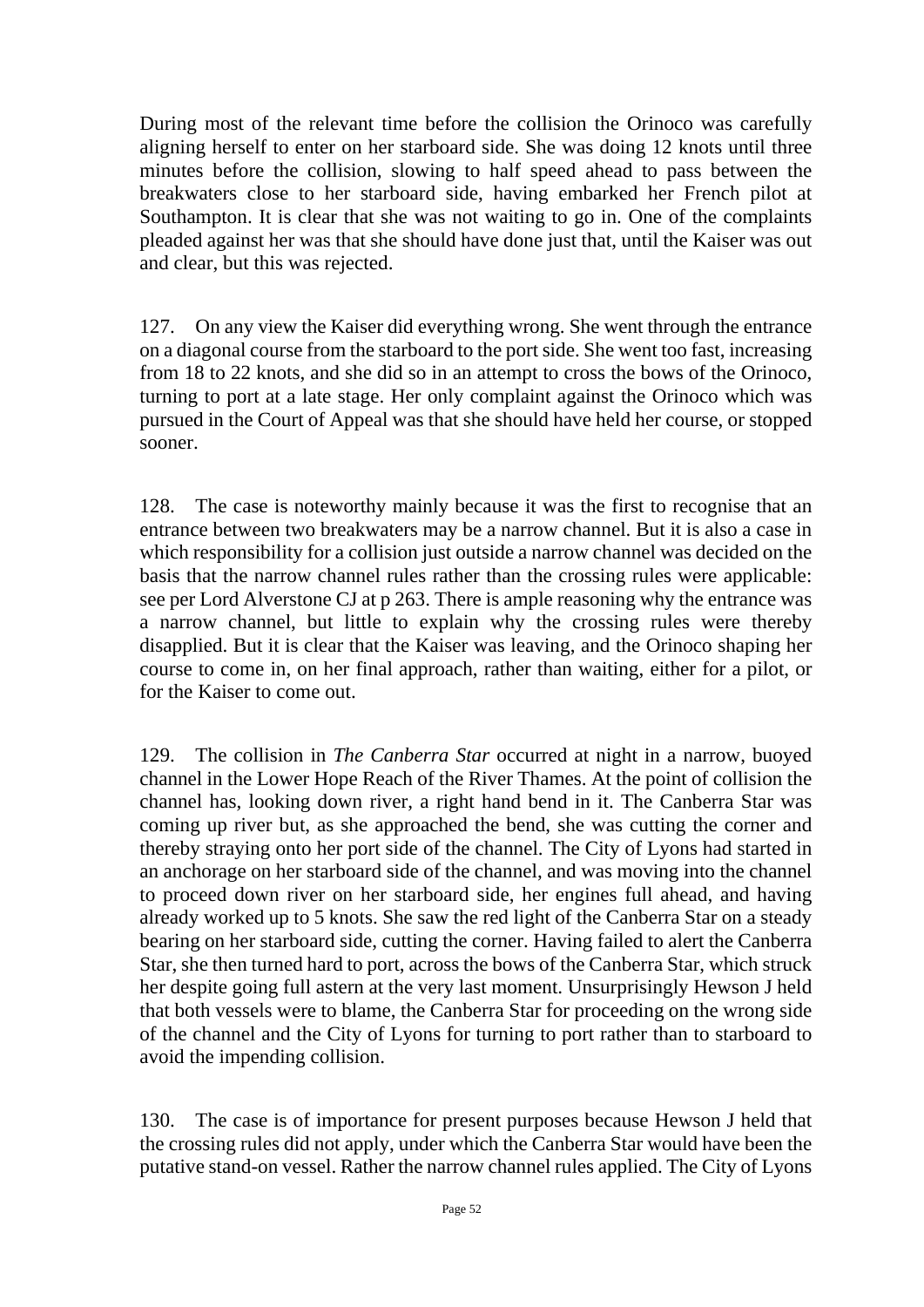During most of the relevant time before the collision the Orinoco was carefully aligning herself to enter on her starboard side. She was doing 12 knots until three minutes before the collision, slowing to half speed ahead to pass between the breakwaters close to her starboard side, having embarked her French pilot at Southampton. It is clear that she was not waiting to go in. One of the complaints pleaded against her was that she should have done just that, until the Kaiser was out and clear, but this was rejected.

127. On any view the Kaiser did everything wrong. She went through the entrance on a diagonal course from the starboard to the port side. She went too fast, increasing from 18 to 22 knots, and she did so in an attempt to cross the bows of the Orinoco, turning to port at a late stage. Her only complaint against the Orinoco which was pursued in the Court of Appeal was that she should have held her course, or stopped sooner.

128. The case is noteworthy mainly because it was the first to recognise that an entrance between two breakwaters may be a narrow channel. But it is also a case in which responsibility for a collision just outside a narrow channel was decided on the basis that the narrow channel rules rather than the crossing rules were applicable: see per Lord Alverstone CJ at p 263. There is ample reasoning why the entrance was a narrow channel, but little to explain why the crossing rules were thereby disapplied. But it is clear that the Kaiser was leaving, and the Orinoco shaping her course to come in, on her final approach, rather than waiting, either for a pilot, or for the Kaiser to come out.

129. The collision in *The Canberra Star* occurred at night in a narrow, buoyed channel in the Lower Hope Reach of the River Thames. At the point of collision the channel has, looking down river, a right hand bend in it. The Canberra Star was coming up river but, as she approached the bend, she was cutting the corner and thereby straying onto her port side of the channel. The City of Lyons had started in an anchorage on her starboard side of the channel, and was moving into the channel to proceed down river on her starboard side, her engines full ahead, and having already worked up to 5 knots. She saw the red light of the Canberra Star on a steady bearing on her starboard side, cutting the corner. Having failed to alert the Canberra Star, she then turned hard to port, across the bows of the Canberra Star, which struck her despite going full astern at the very last moment. Unsurprisingly Hewson J held that both vessels were to blame, the Canberra Star for proceeding on the wrong side of the channel and the City of Lyons for turning to port rather than to starboard to avoid the impending collision.

130. The case is of importance for present purposes because Hewson J held that the crossing rules did not apply, under which the Canberra Star would have been the putative stand-on vessel. Rather the narrow channel rules applied. The City of Lyons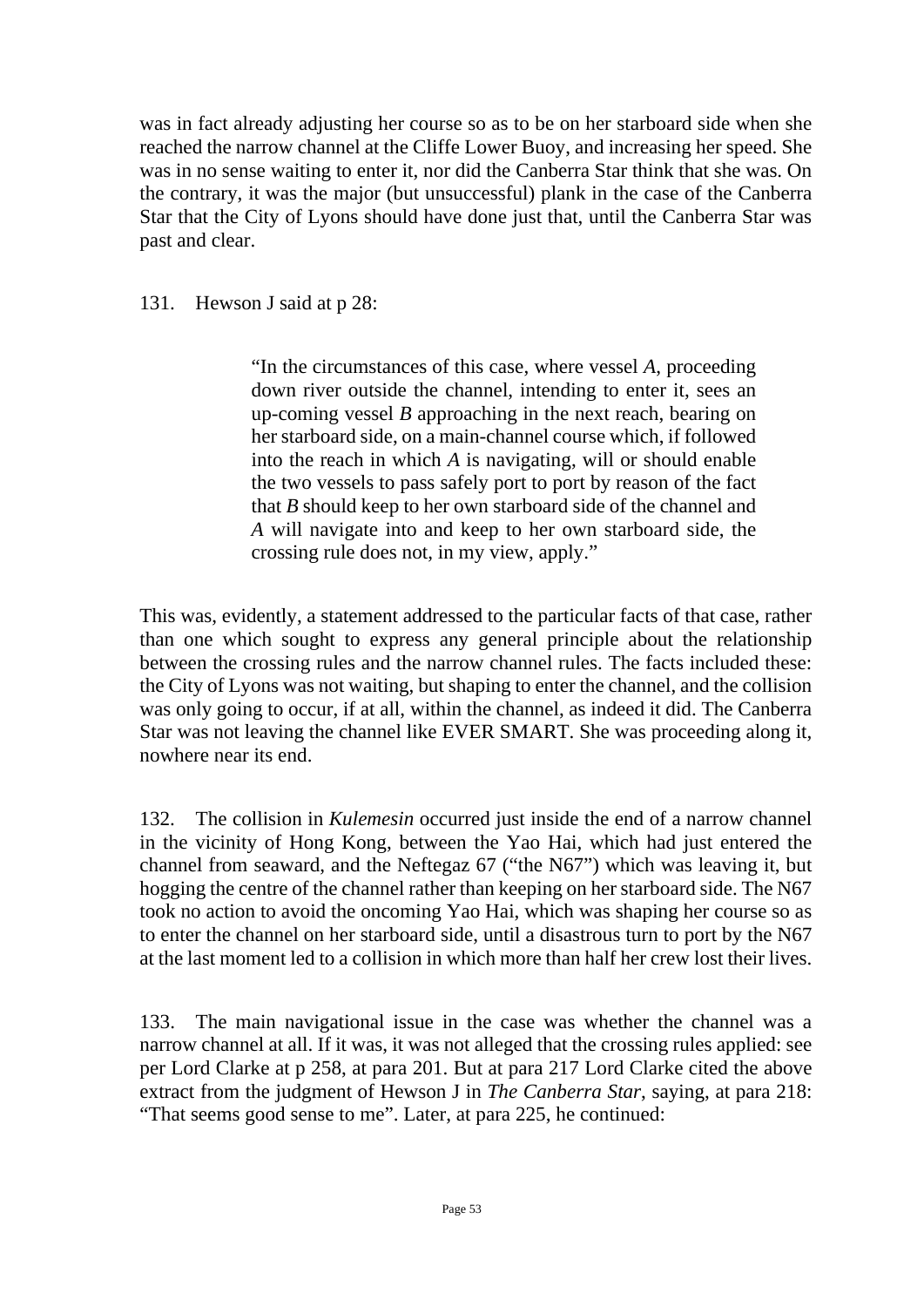was in fact already adjusting her course so as to be on her starboard side when she reached the narrow channel at the Cliffe Lower Buoy, and increasing her speed. She was in no sense waiting to enter it, nor did the Canberra Star think that she was. On the contrary, it was the major (but unsuccessful) plank in the case of the Canberra Star that the City of Lyons should have done just that, until the Canberra Star was past and clear.

## 131. Hewson J said at p 28:

"In the circumstances of this case, where vessel *A*, proceeding down river outside the channel, intending to enter it, sees an up-coming vessel *B* approaching in the next reach, bearing on her starboard side, on a main-channel course which, if followed into the reach in which *A* is navigating, will or should enable the two vessels to pass safely port to port by reason of the fact that *B* should keep to her own starboard side of the channel and *A* will navigate into and keep to her own starboard side, the crossing rule does not, in my view, apply."

This was, evidently, a statement addressed to the particular facts of that case, rather than one which sought to express any general principle about the relationship between the crossing rules and the narrow channel rules. The facts included these: the City of Lyons was not waiting, but shaping to enter the channel, and the collision was only going to occur, if at all, within the channel, as indeed it did. The Canberra Star was not leaving the channel like EVER SMART. She was proceeding along it, nowhere near its end.

132. The collision in *Kulemesin* occurred just inside the end of a narrow channel in the vicinity of Hong Kong, between the Yao Hai, which had just entered the channel from seaward, and the Neftegaz 67 ("the N67") which was leaving it, but hogging the centre of the channel rather than keeping on her starboard side. The N67 took no action to avoid the oncoming Yao Hai, which was shaping her course so as to enter the channel on her starboard side, until a disastrous turn to port by the N67 at the last moment led to a collision in which more than half her crew lost their lives.

133. The main navigational issue in the case was whether the channel was a narrow channel at all. If it was, it was not alleged that the crossing rules applied: see per Lord Clarke at p 258, at para 201. But at para 217 Lord Clarke cited the above extract from the judgment of Hewson J in *The Canberra Star*, saying, at para 218: "That seems good sense to me". Later, at para 225, he continued: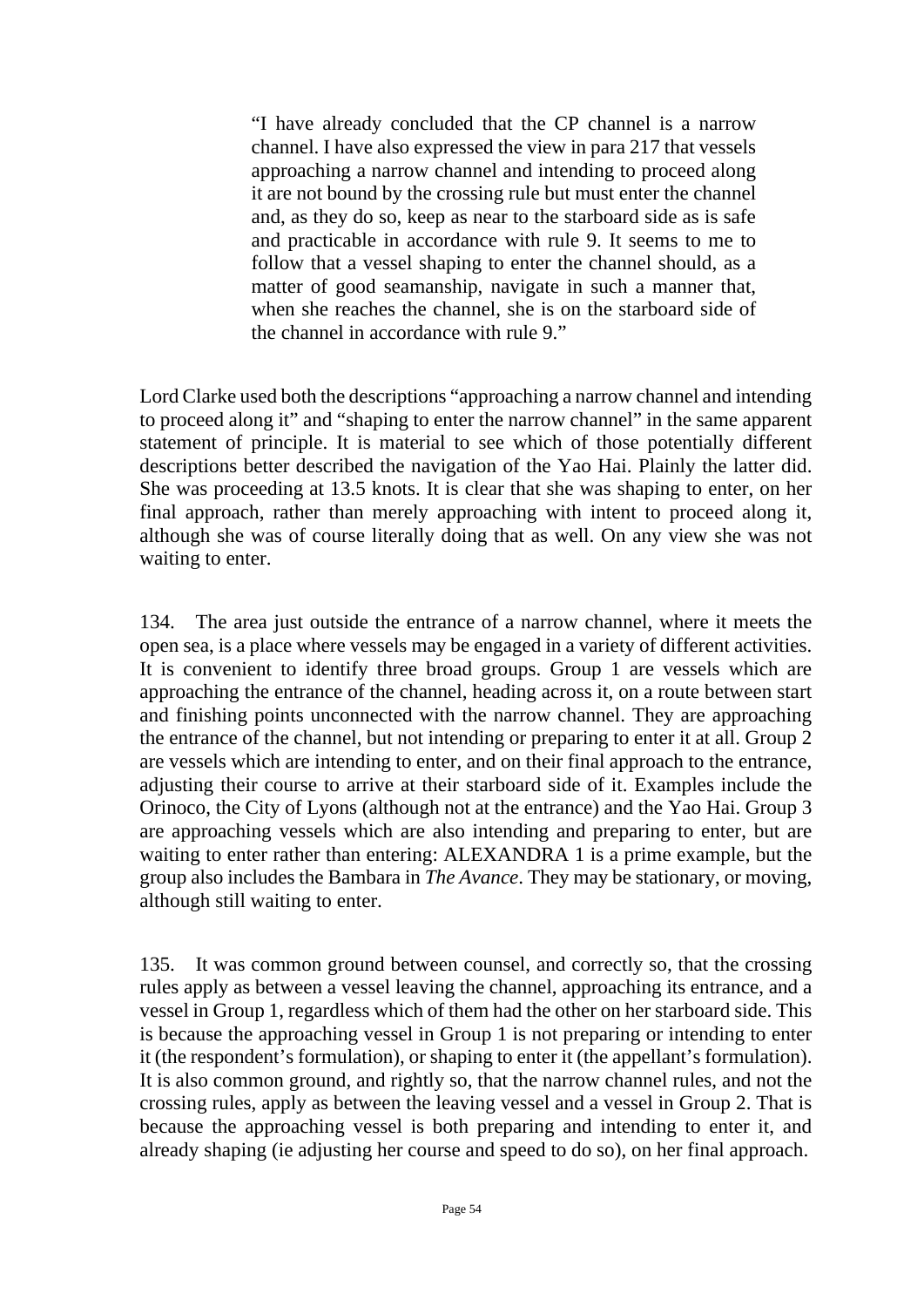"I have already concluded that the CP channel is a narrow channel. I have also expressed the view in para 217 that vessels approaching a narrow channel and intending to proceed along it are not bound by the crossing rule but must enter the channel and, as they do so, keep as near to the starboard side as is safe and practicable in accordance with rule 9. It seems to me to follow that a vessel shaping to enter the channel should, as a matter of good seamanship, navigate in such a manner that, when she reaches the channel, she is on the starboard side of the channel in accordance with rule 9."

Lord Clarke used both the descriptions "approaching a narrow channel and intending to proceed along it" and "shaping to enter the narrow channel" in the same apparent statement of principle. It is material to see which of those potentially different descriptions better described the navigation of the Yao Hai. Plainly the latter did. She was proceeding at 13.5 knots. It is clear that she was shaping to enter, on her final approach, rather than merely approaching with intent to proceed along it, although she was of course literally doing that as well. On any view she was not waiting to enter.

134. The area just outside the entrance of a narrow channel, where it meets the open sea, is a place where vessels may be engaged in a variety of different activities. It is convenient to identify three broad groups. Group 1 are vessels which are approaching the entrance of the channel, heading across it, on a route between start and finishing points unconnected with the narrow channel. They are approaching the entrance of the channel, but not intending or preparing to enter it at all. Group 2 are vessels which are intending to enter, and on their final approach to the entrance, adjusting their course to arrive at their starboard side of it. Examples include the Orinoco, the City of Lyons (although not at the entrance) and the Yao Hai. Group 3 are approaching vessels which are also intending and preparing to enter, but are waiting to enter rather than entering: ALEXANDRA 1 is a prime example, but the group also includes the Bambara in *The Avance*. They may be stationary, or moving, although still waiting to enter.

135. It was common ground between counsel, and correctly so, that the crossing rules apply as between a vessel leaving the channel, approaching its entrance, and a vessel in Group 1, regardless which of them had the other on her starboard side. This is because the approaching vessel in Group 1 is not preparing or intending to enter it (the respondent's formulation), or shaping to enter it (the appellant's formulation). It is also common ground, and rightly so, that the narrow channel rules, and not the crossing rules, apply as between the leaving vessel and a vessel in Group 2. That is because the approaching vessel is both preparing and intending to enter it, and already shaping (ie adjusting her course and speed to do so), on her final approach.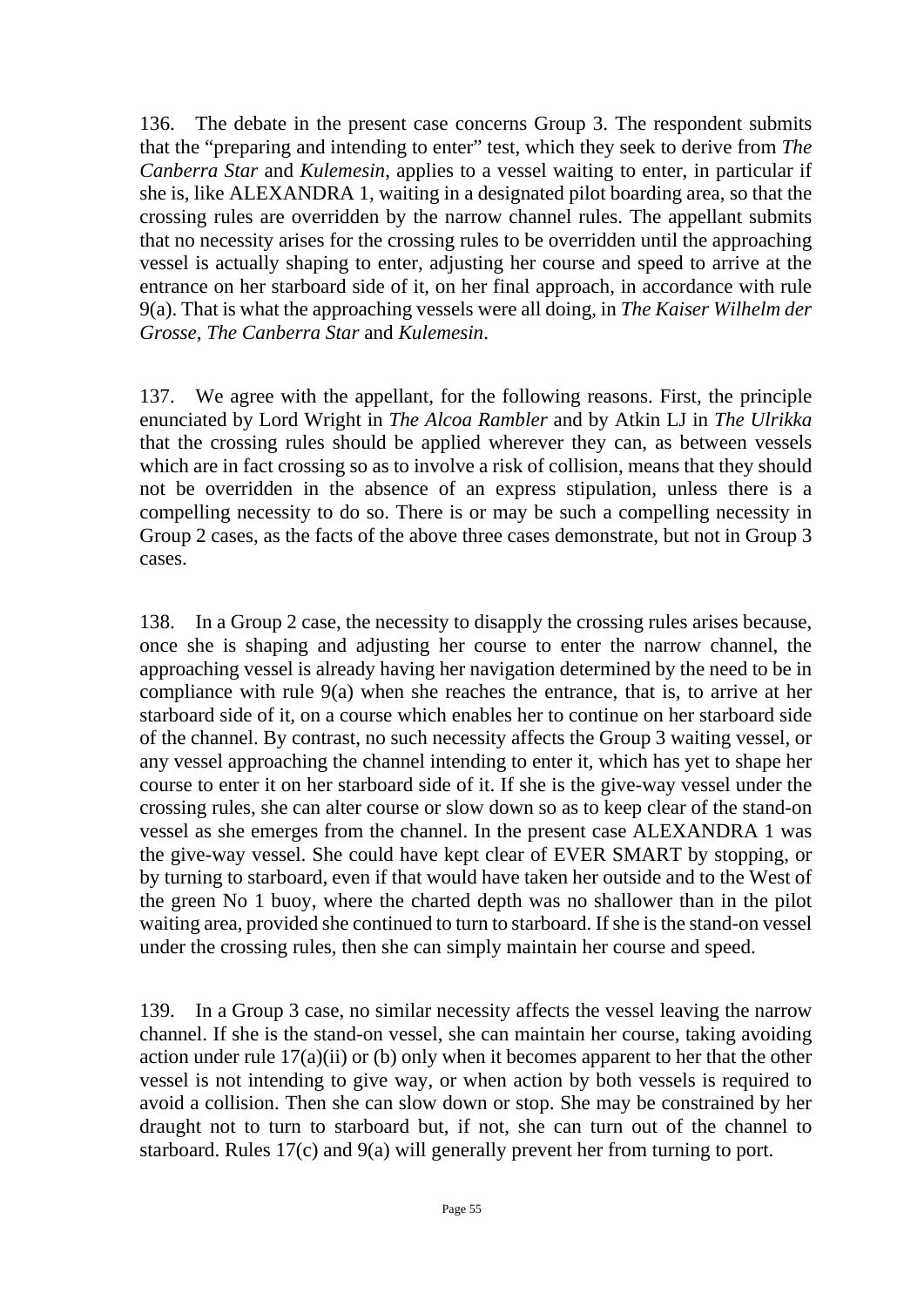136. The debate in the present case concerns Group 3. The respondent submits that the "preparing and intending to enter" test, which they seek to derive from *The Canberra Star* and *Kulemesin*, applies to a vessel waiting to enter, in particular if she is, like ALEXANDRA 1, waiting in a designated pilot boarding area, so that the crossing rules are overridden by the narrow channel rules. The appellant submits that no necessity arises for the crossing rules to be overridden until the approaching vessel is actually shaping to enter, adjusting her course and speed to arrive at the entrance on her starboard side of it, on her final approach, in accordance with rule 9(a). That is what the approaching vessels were all doing, in *The Kaiser Wilhelm der Grosse*, *The Canberra Star* and *Kulemesin*.

137. We agree with the appellant, for the following reasons. First, the principle enunciated by Lord Wright in *The Alcoa Rambler* and by Atkin LJ in *The Ulrikka* that the crossing rules should be applied wherever they can, as between vessels which are in fact crossing so as to involve a risk of collision, means that they should not be overridden in the absence of an express stipulation, unless there is a compelling necessity to do so. There is or may be such a compelling necessity in Group 2 cases, as the facts of the above three cases demonstrate, but not in Group 3 cases.

138. In a Group 2 case, the necessity to disapply the crossing rules arises because, once she is shaping and adjusting her course to enter the narrow channel, the approaching vessel is already having her navigation determined by the need to be in compliance with rule 9(a) when she reaches the entrance, that is, to arrive at her starboard side of it, on a course which enables her to continue on her starboard side of the channel. By contrast, no such necessity affects the Group 3 waiting vessel, or any vessel approaching the channel intending to enter it, which has yet to shape her course to enter it on her starboard side of it. If she is the give-way vessel under the crossing rules, she can alter course or slow down so as to keep clear of the stand-on vessel as she emerges from the channel. In the present case ALEXANDRA 1 was the give-way vessel. She could have kept clear of EVER SMART by stopping, or by turning to starboard, even if that would have taken her outside and to the West of the green No 1 buoy, where the charted depth was no shallower than in the pilot waiting area, provided she continued to turn to starboard. If she is the stand-on vessel under the crossing rules, then she can simply maintain her course and speed.

139. In a Group 3 case, no similar necessity affects the vessel leaving the narrow channel. If she is the stand-on vessel, she can maintain her course, taking avoiding action under rule 17(a)(ii) or (b) only when it becomes apparent to her that the other vessel is not intending to give way, or when action by both vessels is required to avoid a collision. Then she can slow down or stop. She may be constrained by her draught not to turn to starboard but, if not, she can turn out of the channel to starboard. Rules 17(c) and 9(a) will generally prevent her from turning to port.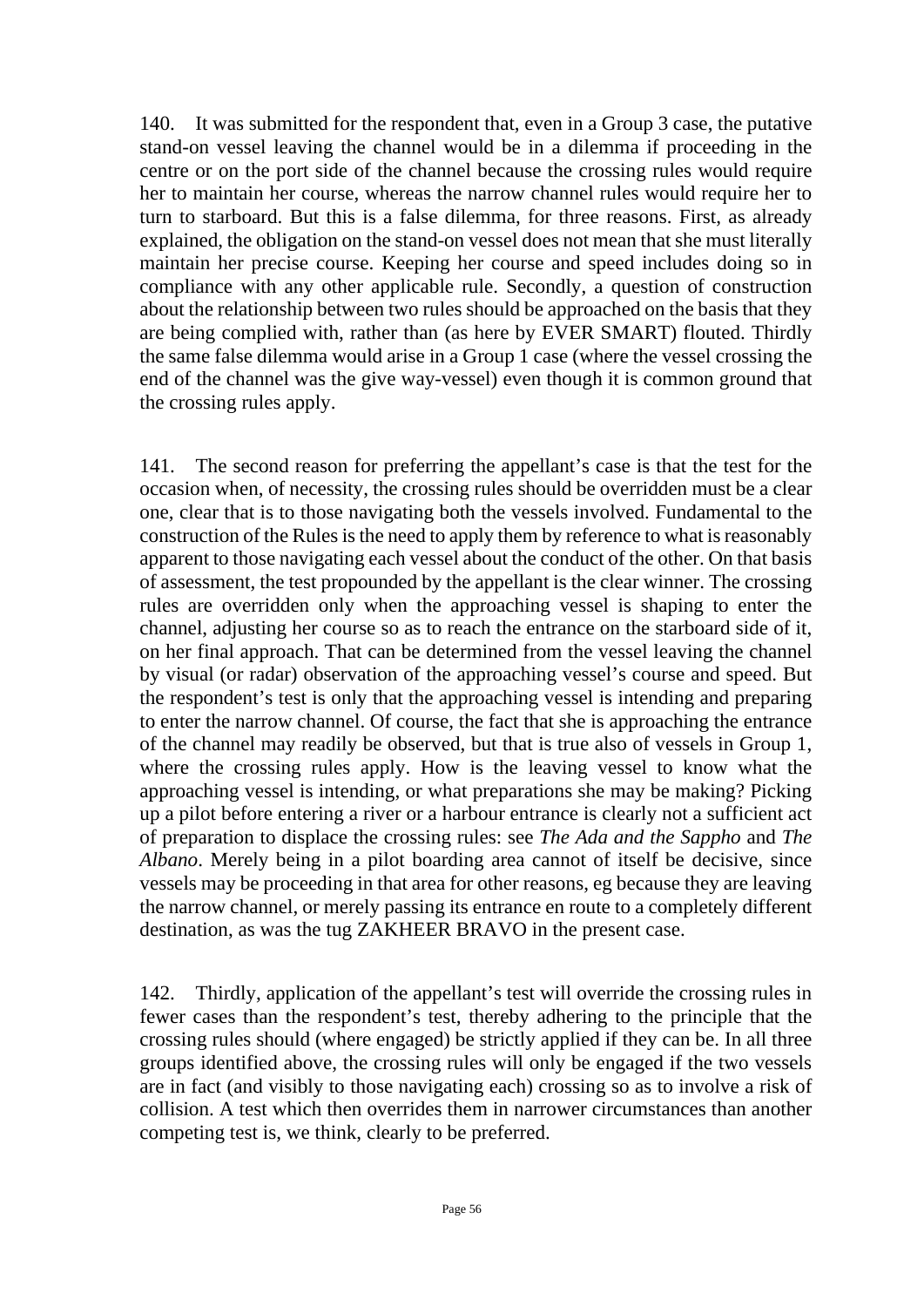140. It was submitted for the respondent that, even in a Group 3 case, the putative stand-on vessel leaving the channel would be in a dilemma if proceeding in the centre or on the port side of the channel because the crossing rules would require her to maintain her course, whereas the narrow channel rules would require her to turn to starboard. But this is a false dilemma, for three reasons. First, as already explained, the obligation on the stand-on vessel does not mean that she must literally maintain her precise course. Keeping her course and speed includes doing so in compliance with any other applicable rule. Secondly, a question of construction about the relationship between two rules should be approached on the basis that they are being complied with, rather than (as here by EVER SMART) flouted. Thirdly the same false dilemma would arise in a Group 1 case (where the vessel crossing the end of the channel was the give way-vessel) even though it is common ground that the crossing rules apply.

141. The second reason for preferring the appellant's case is that the test for the occasion when, of necessity, the crossing rules should be overridden must be a clear one, clear that is to those navigating both the vessels involved. Fundamental to the construction of the Rules is the need to apply them by reference to what is reasonably apparent to those navigating each vessel about the conduct of the other. On that basis of assessment, the test propounded by the appellant is the clear winner. The crossing rules are overridden only when the approaching vessel is shaping to enter the channel, adjusting her course so as to reach the entrance on the starboard side of it, on her final approach. That can be determined from the vessel leaving the channel by visual (or radar) observation of the approaching vessel's course and speed. But the respondent's test is only that the approaching vessel is intending and preparing to enter the narrow channel. Of course, the fact that she is approaching the entrance of the channel may readily be observed, but that is true also of vessels in Group 1, where the crossing rules apply. How is the leaving vessel to know what the approaching vessel is intending, or what preparations she may be making? Picking up a pilot before entering a river or a harbour entrance is clearly not a sufficient act of preparation to displace the crossing rules: see *The Ada and the Sappho* and *The Albano*. Merely being in a pilot boarding area cannot of itself be decisive, since vessels may be proceeding in that area for other reasons, eg because they are leaving the narrow channel, or merely passing its entrance en route to a completely different destination, as was the tug ZAKHEER BRAVO in the present case.

142. Thirdly, application of the appellant's test will override the crossing rules in fewer cases than the respondent's test, thereby adhering to the principle that the crossing rules should (where engaged) be strictly applied if they can be. In all three groups identified above, the crossing rules will only be engaged if the two vessels are in fact (and visibly to those navigating each) crossing so as to involve a risk of collision. A test which then overrides them in narrower circumstances than another competing test is, we think, clearly to be preferred.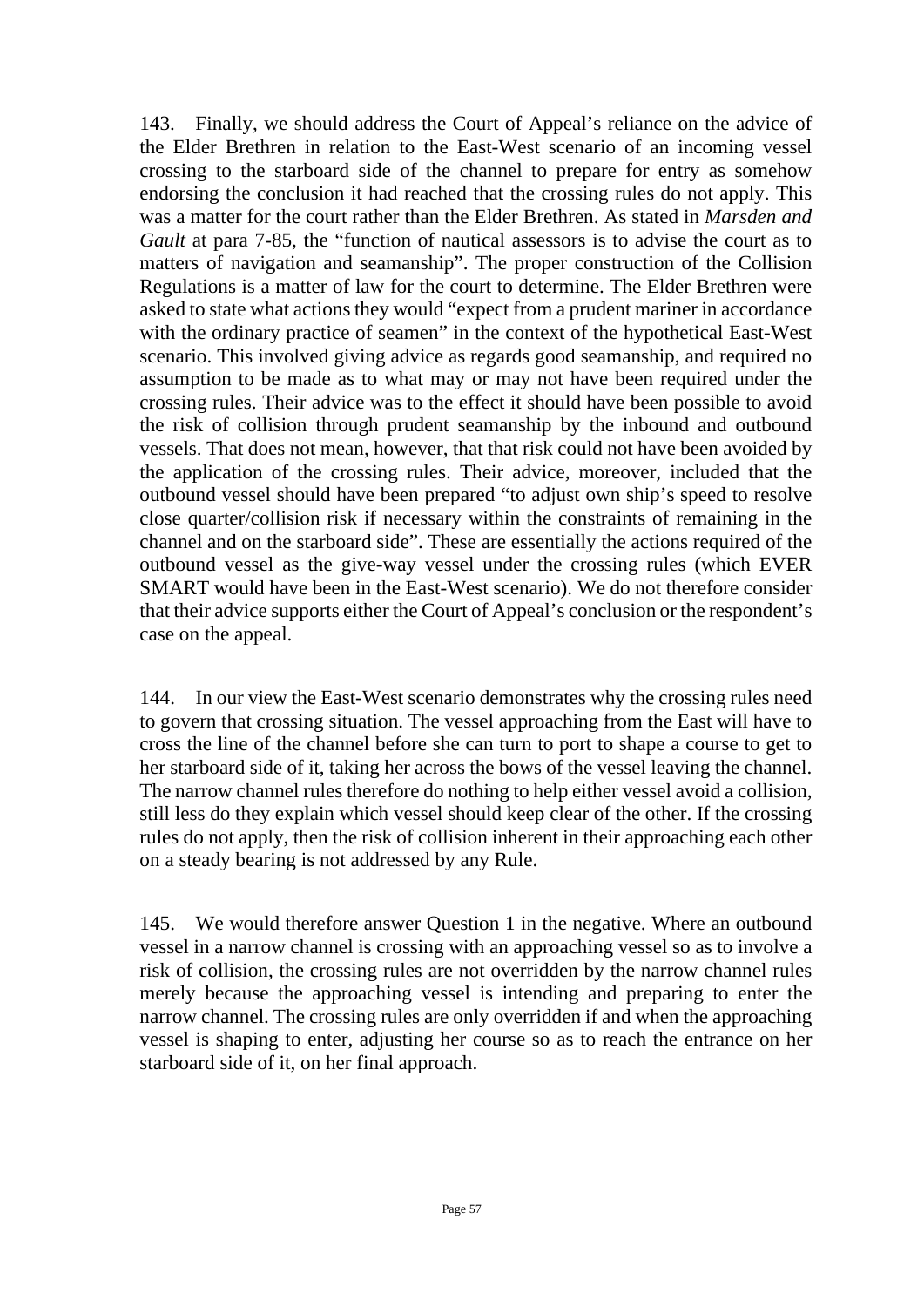143. Finally, we should address the Court of Appeal's reliance on the advice of the Elder Brethren in relation to the East-West scenario of an incoming vessel crossing to the starboard side of the channel to prepare for entry as somehow endorsing the conclusion it had reached that the crossing rules do not apply. This was a matter for the court rather than the Elder Brethren. As stated in *Marsden and Gault* at para 7-85, the "function of nautical assessors is to advise the court as to matters of navigation and seamanship". The proper construction of the Collision Regulations is a matter of law for the court to determine. The Elder Brethren were asked to state what actions they would "expect from a prudent mariner in accordance with the ordinary practice of seamen" in the context of the hypothetical East-West scenario. This involved giving advice as regards good seamanship, and required no assumption to be made as to what may or may not have been required under the crossing rules. Their advice was to the effect it should have been possible to avoid the risk of collision through prudent seamanship by the inbound and outbound vessels. That does not mean, however, that that risk could not have been avoided by the application of the crossing rules. Their advice, moreover, included that the outbound vessel should have been prepared "to adjust own ship's speed to resolve close quarter/collision risk if necessary within the constraints of remaining in the channel and on the starboard side". These are essentially the actions required of the outbound vessel as the give-way vessel under the crossing rules (which EVER SMART would have been in the East-West scenario). We do not therefore consider that their advice supports either the Court of Appeal's conclusion or the respondent's case on the appeal.

144. In our view the East-West scenario demonstrates why the crossing rules need to govern that crossing situation. The vessel approaching from the East will have to cross the line of the channel before she can turn to port to shape a course to get to her starboard side of it, taking her across the bows of the vessel leaving the channel. The narrow channel rules therefore do nothing to help either vessel avoid a collision, still less do they explain which vessel should keep clear of the other. If the crossing rules do not apply, then the risk of collision inherent in their approaching each other on a steady bearing is not addressed by any Rule.

145. We would therefore answer Question 1 in the negative. Where an outbound vessel in a narrow channel is crossing with an approaching vessel so as to involve a risk of collision, the crossing rules are not overridden by the narrow channel rules merely because the approaching vessel is intending and preparing to enter the narrow channel. The crossing rules are only overridden if and when the approaching vessel is shaping to enter, adjusting her course so as to reach the entrance on her starboard side of it, on her final approach.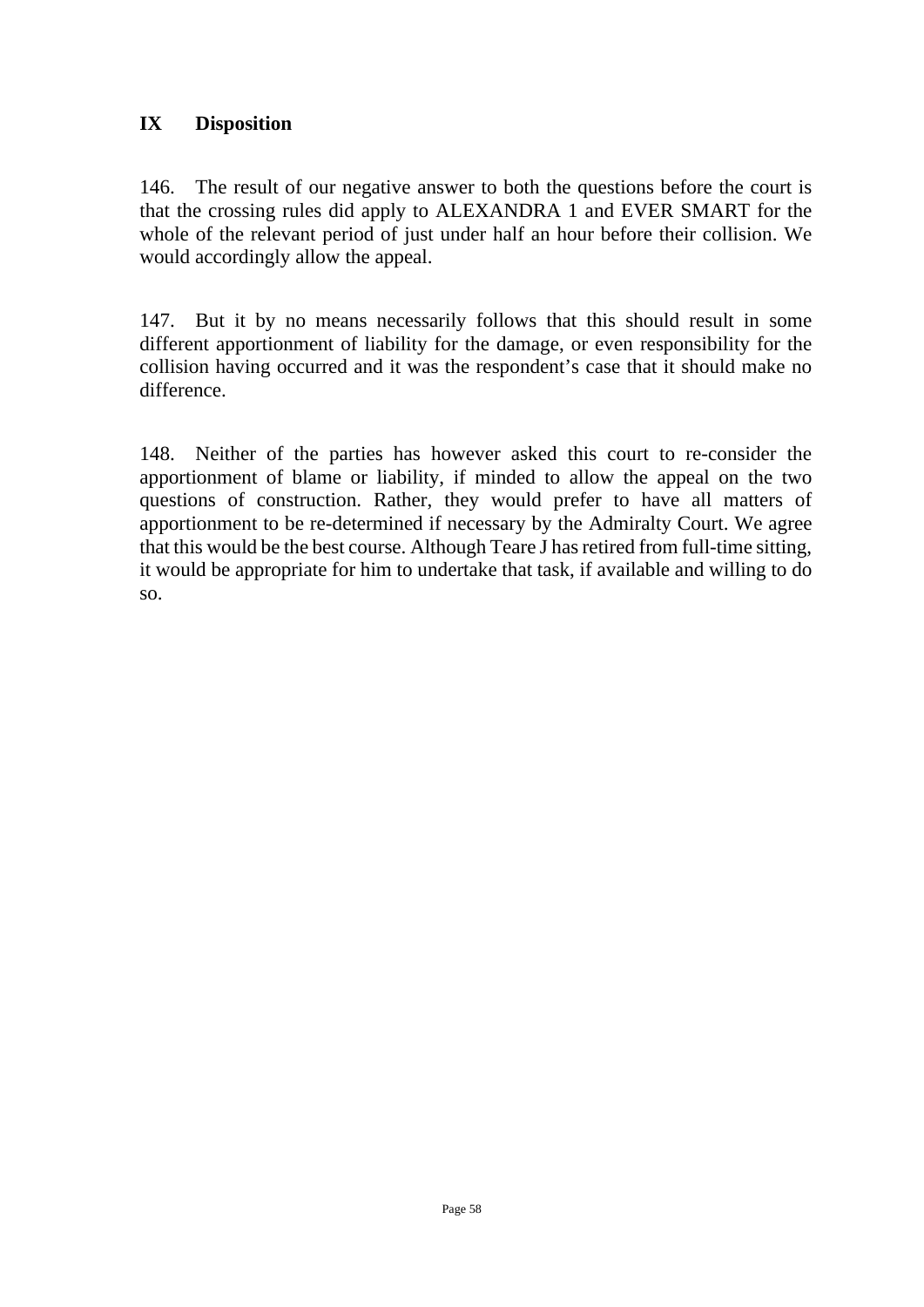## **IX Disposition**

146. The result of our negative answer to both the questions before the court is that the crossing rules did apply to ALEXANDRA 1 and EVER SMART for the whole of the relevant period of just under half an hour before their collision. We would accordingly allow the appeal.

147. But it by no means necessarily follows that this should result in some different apportionment of liability for the damage, or even responsibility for the collision having occurred and it was the respondent's case that it should make no difference.

148. Neither of the parties has however asked this court to re-consider the apportionment of blame or liability, if minded to allow the appeal on the two questions of construction. Rather, they would prefer to have all matters of apportionment to be re-determined if necessary by the Admiralty Court. We agree that this would be the best course. Although Teare J has retired from full-time sitting, it would be appropriate for him to undertake that task, if available and willing to do so.